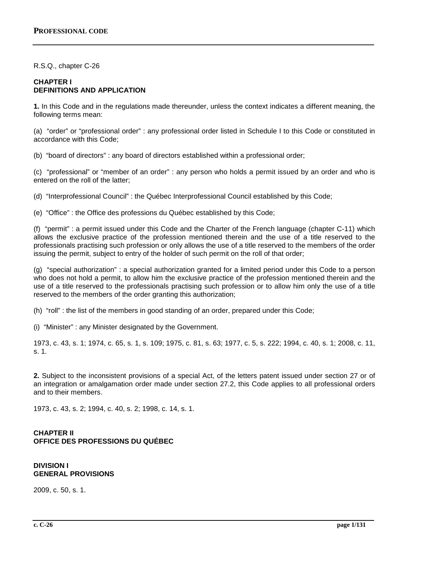R.S.Q., chapter C-26

## **CHAPTER I DEFINITIONS AND APPLICATION**

**1.** In this Code and in the regulations made thereunder, unless the context indicates a different meaning, the following terms mean:

(a) "order" or "professional order" : any professional order listed in Schedule I to this Code or constituted in accordance with this Code;

(b) "board of directors" : any board of directors established within a professional order;

(c) "professional" or "member of an order" : any person who holds a permit issued by an order and who is entered on the roll of the latter;

(d) "Interprofessional Council" : the Québec Interprofessional Council established by this Code;

(e) "Office" : the Office des professions du Québec established by this Code;

(f) "permit" : a permit issued under this Code and the Charter of the French language (chapter C-11) which allows the exclusive practice of the profession mentioned therein and the use of a title reserved to the professionals practising such profession or only allows the use of a title reserved to the members of the order issuing the permit, subject to entry of the holder of such permit on the roll of that order;

(g) "special authorization" : a special authorization granted for a limited period under this Code to a person who does not hold a permit, to allow him the exclusive practice of the profession mentioned therein and the use of a title reserved to the professionals practising such profession or to allow him only the use of a title reserved to the members of the order granting this authorization;

(h) "roll" : the list of the members in good standing of an order, prepared under this Code;

(i) "Minister" : any Minister designated by the Government.

1973, c. 43, s. 1; 1974, c. 65, s. 1, s. 109; 1975, c. 81, s. 63; 1977, c. 5, s. 222; 1994, c. 40, s. 1; 2008, c. 11, s. 1.

**2.** Subject to the inconsistent provisions of a special Act, of the letters patent issued under section 27 or of an integration or amalgamation order made under section 27.2, this Code applies to all professional orders and to their members.

1973, c. 43, s. 2; 1994, c. 40, s. 2; 1998, c. 14, s. 1.

# **CHAPTER II OFFICE DES PROFESSIONS DU QUÉBEC**

#### **DIVISION I GENERAL PROVISIONS**

2009, c. 50, s. 1.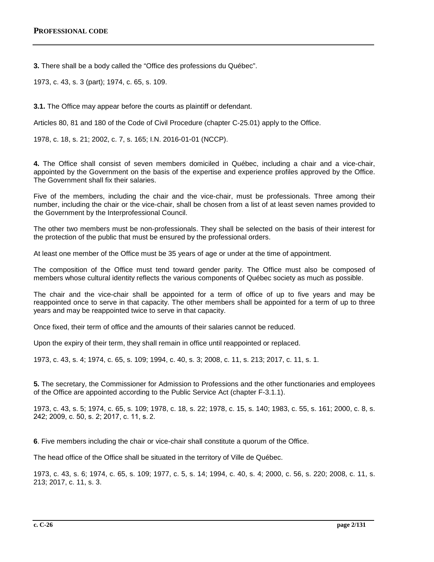**3.** There shall be a body called the "Office des professions du Québec".

1973, c. 43, s. 3 (part); 1974, c. 65, s. 109.

**3.1.** The Office may appear before the courts as plaintiff or defendant.

Articles 80, 81 and 180 of the Code of Civil Procedure (chapter C-25.01) apply to the Office.

1978, c. 18, s. 21; 2002, c. 7, s. 165; I.N. 2016-01-01 (NCCP).

**4.** The Office shall consist of seven members domiciled in Québec, including a chair and a vice-chair, appointed by the Government on the basis of the expertise and experience profiles approved by the Office. The Government shall fix their salaries.

Five of the members, including the chair and the vice-chair, must be professionals. Three among their number, including the chair or the vice-chair, shall be chosen from a list of at least seven names provided to the Government by the Interprofessional Council.

The other two members must be non-professionals. They shall be selected on the basis of their interest for the protection of the public that must be ensured by the professional orders.

At least one member of the Office must be 35 years of age or under at the time of appointment.

The composition of the Office must tend toward gender parity. The Office must also be composed of members whose cultural identity reflects the various components of Québec society as much as possible.

The chair and the vice-chair shall be appointed for a term of office of up to five years and may be reappointed once to serve in that capacity. The other members shall be appointed for a term of up to three years and may be reappointed twice to serve in that capacity.

Once fixed, their term of office and the amounts of their salaries cannot be reduced.

Upon the expiry of their term, they shall remain in office until reappointed or replaced.

1973, c. 43, s. 4; 1974, c. 65, s. 109; 1994, c. 40, s. 3; 2008, c. 11, s. 213; 2017, c. 11, s. 1.

**5.** The secretary, the Commissioner for Admission to Professions and the other functionaries and employees of the Office are appointed according to the Public Service Act (chapter F-3.1.1).

1973, c. 43, s. 5; 1974, c. 65, s. 109; 1978, c. 18, s. 22; 1978, c. 15, s. 140; 1983, c. 55, s. 161; 2000, c. 8, s. 242; 2009, c. 50, s. 2; 2017, c. 11, s. 2.

**6**. Five members including the chair or vice-chair shall constitute a quorum of the Office.

The head office of the Office shall be situated in the territory of Ville de Québec.

1973, c. 43, s. 6; 1974, c. 65, s. 109; 1977, c. 5, s. 14; 1994, c. 40, s. 4; 2000, c. 56, s. 220; 2008, c. 11, s. 213; 2017, c. 11, s. 3.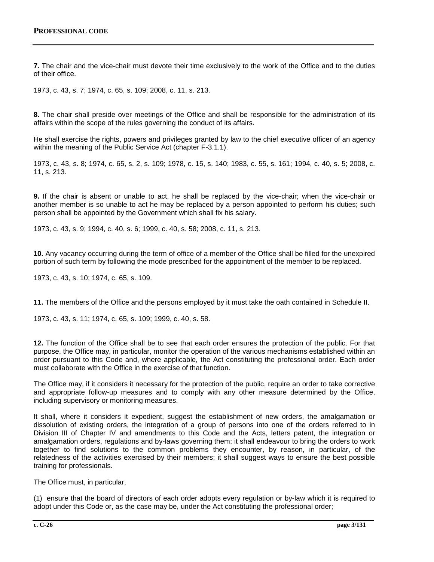**7.** The chair and the vice-chair must devote their time exclusively to the work of the Office and to the duties of their office.

1973, c. 43, s. 7; 1974, c. 65, s. 109; 2008, c. 11, s. 213.

**8.** The chair shall preside over meetings of the Office and shall be responsible for the administration of its affairs within the scope of the rules governing the conduct of its affairs.

He shall exercise the rights, powers and privileges granted by law to the chief executive officer of an agency within the meaning of the Public Service Act (chapter F-3.1.1).

1973, c. 43, s. 8; 1974, c. 65, s. 2, s. 109; 1978, c. 15, s. 140; 1983, c. 55, s. 161; 1994, c. 40, s. 5; 2008, c. 11, s. 213.

**9.** If the chair is absent or unable to act, he shall be replaced by the vice-chair; when the vice-chair or another member is so unable to act he may be replaced by a person appointed to perform his duties; such person shall be appointed by the Government which shall fix his salary.

1973, c. 43, s. 9; 1994, c. 40, s. 6; 1999, c. 40, s. 58; 2008, c. 11, s. 213.

**10.** Any vacancy occurring during the term of office of a member of the Office shall be filled for the unexpired portion of such term by following the mode prescribed for the appointment of the member to be replaced.

1973, c. 43, s. 10; 1974, c. 65, s. 109.

**11.** The members of the Office and the persons employed by it must take the oath contained in Schedule II.

1973, c. 43, s. 11; 1974, c. 65, s. 109; 1999, c. 40, s. 58.

**12.** The function of the Office shall be to see that each order ensures the protection of the public. For that purpose, the Office may, in particular, monitor the operation of the various mechanisms established within an order pursuant to this Code and, where applicable, the Act constituting the professional order. Each order must collaborate with the Office in the exercise of that function.

The Office may, if it considers it necessary for the protection of the public, require an order to take corrective and appropriate follow-up measures and to comply with any other measure determined by the Office, including supervisory or monitoring measures.

It shall, where it considers it expedient, suggest the establishment of new orders, the amalgamation or dissolution of existing orders, the integration of a group of persons into one of the orders referred to in Division III of Chapter IV and amendments to this Code and the Acts, letters patent, the integration or amalgamation orders, regulations and by-laws governing them; it shall endeavour to bring the orders to work together to find solutions to the common problems they encounter, by reason, in particular, of the relatedness of the activities exercised by their members; it shall suggest ways to ensure the best possible training for professionals.

The Office must, in particular,

(1) ensure that the board of directors of each order adopts every regulation or by-law which it is required to adopt under this Code or, as the case may be, under the Act constituting the professional order;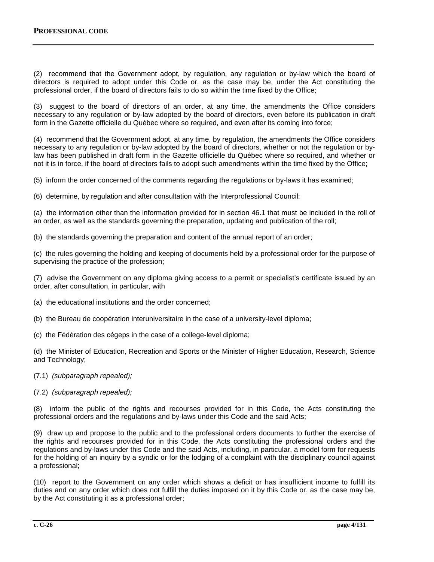(2) recommend that the Government adopt, by regulation, any regulation or by-law which the board of directors is required to adopt under this Code or, as the case may be, under the Act constituting the professional order, if the board of directors fails to do so within the time fixed by the Office;

(3) suggest to the board of directors of an order, at any time, the amendments the Office considers necessary to any regulation or by-law adopted by the board of directors, even before its publication in draft form in the Gazette officielle du Québec where so required, and even after its coming into force;

(4) recommend that the Government adopt, at any time, by regulation, the amendments the Office considers necessary to any regulation or by-law adopted by the board of directors, whether or not the regulation or bylaw has been published in draft form in the Gazette officielle du Québec where so required, and whether or not it is in force, if the board of directors fails to adopt such amendments within the time fixed by the Office;

(5) inform the order concerned of the comments regarding the regulations or by-laws it has examined;

(6) determine, by regulation and after consultation with the Interprofessional Council:

(a) the information other than the information provided for in section 46.1 that must be included in the roll of an order, as well as the standards governing the preparation, updating and publication of the roll;

(b) the standards governing the preparation and content of the annual report of an order;

(c) the rules governing the holding and keeping of documents held by a professional order for the purpose of supervising the practice of the profession;

(7) advise the Government on any diploma giving access to a permit or specialist's certificate issued by an order, after consultation, in particular, with

- (a) the educational institutions and the order concerned;
- (b) the Bureau de coopération interuniversitaire in the case of a university-level diploma;
- (c) the Fédération des cégeps in the case of a college-level diploma;

(d) the Minister of Education, Recreation and Sports or the Minister of Higher Education, Research, Science and Technology;

- (7.1) *(subparagraph repealed);*
- (7.2) *(subparagraph repealed);*

(8) inform the public of the rights and recourses provided for in this Code, the Acts constituting the professional orders and the regulations and by-laws under this Code and the said Acts;

(9) draw up and propose to the public and to the professional orders documents to further the exercise of the rights and recourses provided for in this Code, the Acts constituting the professional orders and the regulations and by-laws under this Code and the said Acts, including, in particular, a model form for requests for the holding of an inquiry by a syndic or for the lodging of a complaint with the disciplinary council against a professional;

(10) report to the Government on any order which shows a deficit or has insufficient income to fulfill its duties and on any order which does not fulfill the duties imposed on it by this Code or, as the case may be, by the Act constituting it as a professional order;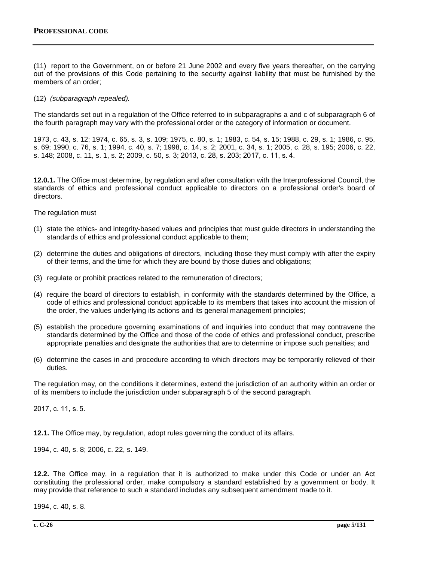(11) report to the Government, on or before 21 June 2002 and every five years thereafter, on the carrying out of the provisions of this Code pertaining to the security against liability that must be furnished by the members of an order;

(12) *(subparagraph repealed).*

The standards set out in a regulation of the Office referred to in subparagraphs a and c of subparagraph 6 of the fourth paragraph may vary with the professional order or the category of information or document.

1973, c. 43, s. 12; 1974, c. 65, s. 3, s. 109; 1975, c. 80, s. 1; 1983, c. 54, s. 15; 1988, c. 29, s. 1; 1986, c. 95, s. 69; 1990, c. 76, s. 1; 1994, c. 40, s. 7; 1998, c. 14, s. 2; 2001, c. 34, s. 1; 2005, c. 28, s. 195; 2006, c. 22, s. 148; 2008, c. 11, s. 1, s. 2; 2009, c. 50, s. 3; 2013, c. 28, s. 203; 2017, c. 11, s. 4.

**12.0.1.** The Office must determine, by regulation and after consultation with the Interprofessional Council, the standards of ethics and professional conduct applicable to directors on a professional order's board of directors.

The regulation must

- (1) state the ethics- and integrity-based values and principles that must guide directors in understanding the standards of ethics and professional conduct applicable to them;
- (2) determine the duties and obligations of directors, including those they must comply with after the expiry of their terms, and the time for which they are bound by those duties and obligations;
- (3) regulate or prohibit practices related to the remuneration of directors;
- (4) require the board of directors to establish, in conformity with the standards determined by the Office, a code of ethics and professional conduct applicable to its members that takes into account the mission of the order, the values underlying its actions and its general management principles;
- (5) establish the procedure governing examinations of and inquiries into conduct that may contravene the standards determined by the Office and those of the code of ethics and professional conduct, prescribe appropriate penalties and designate the authorities that are to determine or impose such penalties; and
- (6) determine the cases in and procedure according to which directors may be temporarily relieved of their duties.

The regulation may, on the conditions it determines, extend the jurisdiction of an authority within an order or of its members to include the jurisdiction under subparagraph 5 of the second paragraph.

2017, c. 11, s. 5.

**12.1.** The Office may, by regulation, adopt rules governing the conduct of its affairs.

1994, c. 40, s. 8; 2006, c. 22, s. 149.

**12.2.** The Office may, in a regulation that it is authorized to make under this Code or under an Act constituting the professional order, make compulsory a standard established by a government or body. It may provide that reference to such a standard includes any subsequent amendment made to it.

1994, c. 40, s. 8.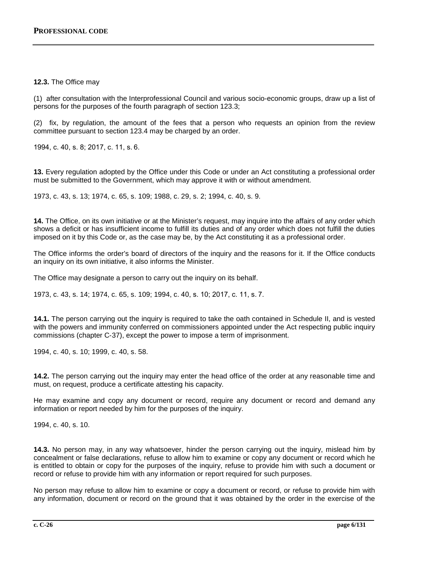## **12.3.** The Office may

(1) after consultation with the Interprofessional Council and various socio-economic groups, draw up a list of persons for the purposes of the fourth paragraph of section 123.3;

(2) fix, by regulation, the amount of the fees that a person who requests an opinion from the review committee pursuant to section 123.4 may be charged by an order.

1994, c. 40, s. 8; 2017, c. 11, s. 6.

**13.** Every regulation adopted by the Office under this Code or under an Act constituting a professional order must be submitted to the Government, which may approve it with or without amendment.

1973, c. 43, s. 13; 1974, c. 65, s. 109; 1988, c. 29, s. 2; 1994, c. 40, s. 9.

**14.** The Office, on its own initiative or at the Minister's request, may inquire into the affairs of any order which shows a deficit or has insufficient income to fulfill its duties and of any order which does not fulfill the duties imposed on it by this Code or, as the case may be, by the Act constituting it as a professional order.

The Office informs the order's board of directors of the inquiry and the reasons for it. If the Office conducts an inquiry on its own initiative, it also informs the Minister.

The Office may designate a person to carry out the inquiry on its behalf.

1973, c. 43, s. 14; 1974, c. 65, s. 109; 1994, c. 40, s. 10; 2017, c. 11, s. 7.

**14.1.** The person carrying out the inquiry is required to take the oath contained in Schedule II, and is vested with the powers and immunity conferred on commissioners appointed under the Act respecting public inquiry commissions (chapter C‐37), except the power to impose a term of imprisonment.

1994, c. 40, s. 10; 1999, c. 40, s. 58.

**14.2.** The person carrying out the inquiry may enter the head office of the order at any reasonable time and must, on request, produce a certificate attesting his capacity.

He may examine and copy any document or record, require any document or record and demand any information or report needed by him for the purposes of the inquiry.

1994, c. 40, s. 10.

**14.3.** No person may, in any way whatsoever, hinder the person carrying out the inquiry, mislead him by concealment or false declarations, refuse to allow him to examine or copy any document or record which he is entitled to obtain or copy for the purposes of the inquiry, refuse to provide him with such a document or record or refuse to provide him with any information or report required for such purposes.

No person may refuse to allow him to examine or copy a document or record, or refuse to provide him with any information, document or record on the ground that it was obtained by the order in the exercise of the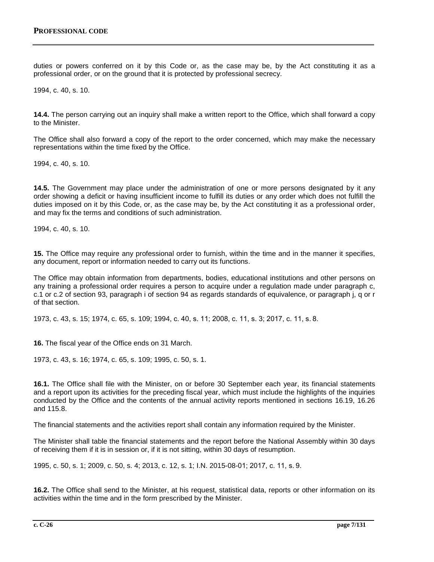duties or powers conferred on it by this Code or, as the case may be, by the Act constituting it as a professional order, or on the ground that it is protected by professional secrecy.

1994, c. 40, s. 10.

**14.4.** The person carrying out an inquiry shall make a written report to the Office, which shall forward a copy to the Minister.

The Office shall also forward a copy of the report to the order concerned, which may make the necessary representations within the time fixed by the Office.

1994, c. 40, s. 10.

**14.5.** The Government may place under the administration of one or more persons designated by it any order showing a deficit or having insufficient income to fulfill its duties or any order which does not fulfill the duties imposed on it by this Code, or, as the case may be, by the Act constituting it as a professional order, and may fix the terms and conditions of such administration.

1994, c. 40, s. 10.

**15.** The Office may require any professional order to furnish, within the time and in the manner it specifies, any document, report or information needed to carry out its functions.

The Office may obtain information from departments, bodies, educational institutions and other persons on any training a professional order requires a person to acquire under a regulation made under paragraph c, c.1 or c.2 of section 93, paragraph i of section 94 as regards standards of equivalence, or paragraph j, q or r of that section.

1973, c. 43, s. 15; 1974, c. 65, s. 109; 1994, c. 40, s. 11; 2008, c. 11, s. 3; 2017, c. 11, s. 8.

**16.** The fiscal year of the Office ends on 31 March.

1973, c. 43, s. 16; 1974, c. 65, s. 109; 1995, c. 50, s. 1.

**16.1.** The Office shall file with the Minister, on or before 30 September each year, its financial statements and a report upon its activities for the preceding fiscal year, which must include the highlights of the inquiries conducted by the Office and the contents of the annual activity reports mentioned in sections 16.19, 16.26 and 115.8.

The financial statements and the activities report shall contain any information required by the Minister.

The Minister shall table the financial statements and the report before the National Assembly within 30 days of receiving them if it is in session or, if it is not sitting, within 30 days of resumption.

1995, c. 50, s. 1; 2009, c. 50, s. 4; 2013, c. 12, s. 1; I.N. 2015-08-01; 2017, c. 11, s. 9.

**16.2.** The Office shall send to the Minister, at his request, statistical data, reports or other information on its activities within the time and in the form prescribed by the Minister.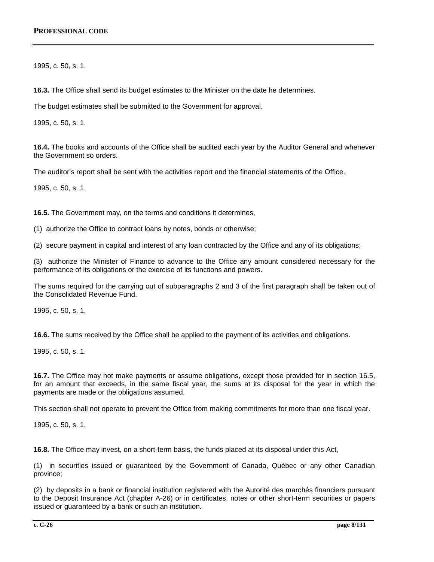1995, c. 50, s. 1.

**16.3.** The Office shall send its budget estimates to the Minister on the date he determines.

The budget estimates shall be submitted to the Government for approval.

1995, c. 50, s. 1.

**16.4.** The books and accounts of the Office shall be audited each year by the Auditor General and whenever the Government so orders.

The auditor's report shall be sent with the activities report and the financial statements of the Office.

1995, c. 50, s. 1.

**16.5.** The Government may, on the terms and conditions it determines,

(1) authorize the Office to contract loans by notes, bonds or otherwise;

(2) secure payment in capital and interest of any loan contracted by the Office and any of its obligations;

(3) authorize the Minister of Finance to advance to the Office any amount considered necessary for the performance of its obligations or the exercise of its functions and powers.

The sums required for the carrying out of subparagraphs 2 and 3 of the first paragraph shall be taken out of the Consolidated Revenue Fund.

1995, c. 50, s. 1.

**16.6.** The sums received by the Office shall be applied to the payment of its activities and obligations.

1995, c. 50, s. 1.

**16.7.** The Office may not make payments or assume obligations, except those provided for in section 16.5, for an amount that exceeds, in the same fiscal year, the sums at its disposal for the year in which the payments are made or the obligations assumed.

This section shall not operate to prevent the Office from making commitments for more than one fiscal year.

1995, c. 50, s. 1.

**16.8.** The Office may invest, on a short-term basis, the funds placed at its disposal under this Act,

(1) in securities issued or guaranteed by the Government of Canada, Québec or any other Canadian province;

(2) by deposits in a bank or financial institution registered with the Autorité des marchés financiers pursuant to the Deposit Insurance Act (chapter A-26) or in certificates, notes or other short-term securities or papers issued or guaranteed by a bank or such an institution.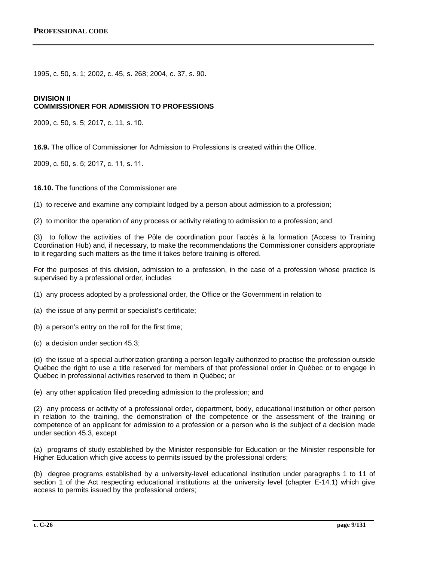1995, c. 50, s. 1; 2002, c. 45, s. 268; 2004, c. 37, s. 90.

#### **DIVISION II**

#### **COMMISSIONER FOR ADMISSION TO PROFESSIONS**

2009, c. 50, s. 5; 2017, c. 11, s. 10.

**16.9.** The office of Commissioner for Admission to Professions is created within the Office.

2009, c. 50, s. 5; 2017, c. 11, s. 11.

**16.10.** The functions of the Commissioner are

(1) to receive and examine any complaint lodged by a person about admission to a profession;

(2) to monitor the operation of any process or activity relating to admission to a profession; and

(3) to follow the activities of the Pôle de coordination pour l'accès à la formation (Access to Training Coordination Hub) and, if necessary, to make the recommendations the Commissioner considers appropriate to it regarding such matters as the time it takes before training is offered.

For the purposes of this division, admission to a profession, in the case of a profession whose practice is supervised by a professional order, includes

(1) any process adopted by a professional order, the Office or the Government in relation to

(a) the issue of any permit or specialist's certificate;

(b) a person's entry on the roll for the first time;

(c) a decision under section 45.3;

(d) the issue of a special authorization granting a person legally authorized to practise the profession outside Québec the right to use a title reserved for members of that professional order in Québec or to engage in Québec in professional activities reserved to them in Québec; or

(e) any other application filed preceding admission to the profession; and

(2) any process or activity of a professional order, department, body, educational institution or other person in relation to the training, the demonstration of the competence or the assessment of the training or competence of an applicant for admission to a profession or a person who is the subject of a decision made under section 45.3, except

(a) programs of study established by the Minister responsible for Education or the Minister responsible for Higher Education which give access to permits issued by the professional orders;

(b) degree programs established by a university-level educational institution under paragraphs 1 to 11 of section 1 of the Act respecting educational institutions at the university level (chapter E-14.1) which give access to permits issued by the professional orders;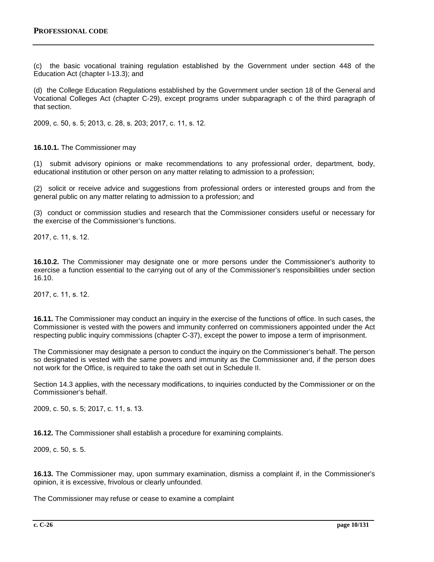(c) the basic vocational training regulation established by the Government under section 448 of the Education Act (chapter I-13.3); and

(d) the College Education Regulations established by the Government under section 18 of the General and Vocational Colleges Act (chapter C‐29), except programs under subparagraph c of the third paragraph of that section.

2009, c. 50, s. 5; 2013, c. 28, s. 203; 2017, c. 11, s. 12.

**16.10.1.** The Commissioner may

(1) submit advisory opinions or make recommendations to any professional order, department, body, educational institution or other person on any matter relating to admission to a profession;

(2) solicit or receive advice and suggestions from professional orders or interested groups and from the general public on any matter relating to admission to a profession; and

(3) conduct or commission studies and research that the Commissioner considers useful or necessary for the exercise of the Commissioner's functions.

2017, c. 11, s. 12.

**16.10.2.** The Commissioner may designate one or more persons under the Commissioner's authority to exercise a function essential to the carrying out of any of the Commissioner's responsibilities under section 16.10.

2017, c. 11, s. 12.

**16.11.** The Commissioner may conduct an inquiry in the exercise of the functions of office. In such cases, the Commissioner is vested with the powers and immunity conferred on commissioners appointed under the Act respecting public inquiry commissions (chapter C-37), except the power to impose a term of imprisonment.

The Commissioner may designate a person to conduct the inquiry on the Commissioner's behalf. The person so designated is vested with the same powers and immunity as the Commissioner and, if the person does not work for the Office, is required to take the oath set out in Schedule II.

Section 14.3 applies, with the necessary modifications, to inquiries conducted by the Commissioner or on the Commissioner's behalf.

2009, c. 50, s. 5; 2017, c. 11, s. 13.

**16.12.** The Commissioner shall establish a procedure for examining complaints.

2009, c. 50, s. 5.

**16.13.** The Commissioner may, upon summary examination, dismiss a complaint if, in the Commissioner's opinion, it is excessive, frivolous or clearly unfounded.

The Commissioner may refuse or cease to examine a complaint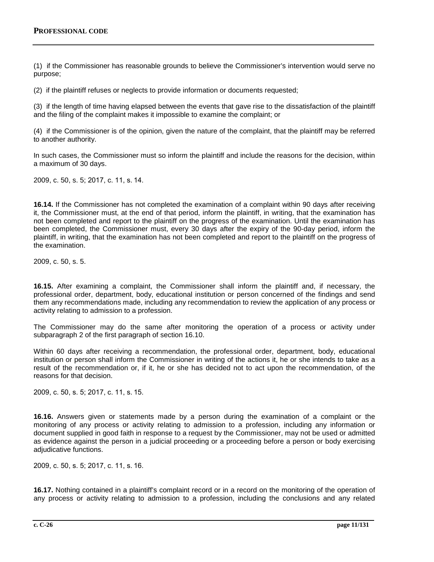(1) if the Commissioner has reasonable grounds to believe the Commissioner's intervention would serve no purpose;

(2) if the plaintiff refuses or neglects to provide information or documents requested;

(3) if the length of time having elapsed between the events that gave rise to the dissatisfaction of the plaintiff and the filing of the complaint makes it impossible to examine the complaint; or

(4) if the Commissioner is of the opinion, given the nature of the complaint, that the plaintiff may be referred to another authority.

In such cases, the Commissioner must so inform the plaintiff and include the reasons for the decision, within a maximum of 30 days.

2009, c. 50, s. 5; 2017, c. 11, s. 14.

**16.14.** If the Commissioner has not completed the examination of a complaint within 90 days after receiving it, the Commissioner must, at the end of that period, inform the plaintiff, in writing, that the examination has not been completed and report to the plaintiff on the progress of the examination. Until the examination has been completed, the Commissioner must, every 30 days after the expiry of the 90-day period, inform the plaintiff, in writing, that the examination has not been completed and report to the plaintiff on the progress of the examination.

2009, c. 50, s. 5.

**16.15.** After examining a complaint, the Commissioner shall inform the plaintiff and, if necessary, the professional order, department, body, educational institution or person concerned of the findings and send them any recommendations made, including any recommendation to review the application of any process or activity relating to admission to a profession.

The Commissioner may do the same after monitoring the operation of a process or activity under subparagraph 2 of the first paragraph of section 16.10.

Within 60 days after receiving a recommendation, the professional order, department, body, educational institution or person shall inform the Commissioner in writing of the actions it, he or she intends to take as a result of the recommendation or, if it, he or she has decided not to act upon the recommendation, of the reasons for that decision.

2009, c. 50, s. 5; 2017, c. 11, s. 15.

**16.16.** Answers given or statements made by a person during the examination of a complaint or the monitoring of any process or activity relating to admission to a profession, including any information or document supplied in good faith in response to a request by the Commissioner, may not be used or admitted as evidence against the person in a judicial proceeding or a proceeding before a person or body exercising adjudicative functions.

2009, c. 50, s. 5; 2017, c. 11, s. 16.

**16.17.** Nothing contained in a plaintiff's complaint record or in a record on the monitoring of the operation of any process or activity relating to admission to a profession, including the conclusions and any related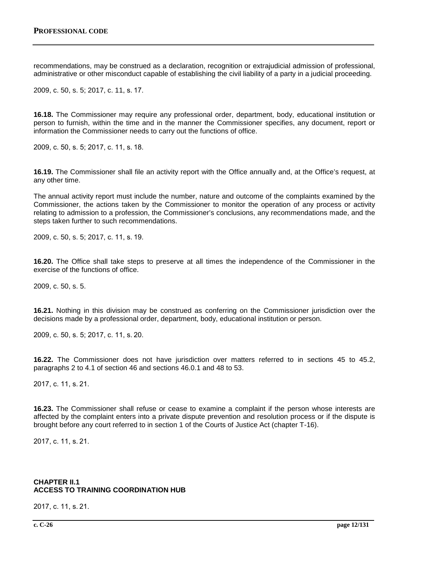recommendations, may be construed as a declaration, recognition or extrajudicial admission of professional, administrative or other misconduct capable of establishing the civil liability of a party in a judicial proceeding.

2009, c. 50, s. 5; 2017, c. 11, s. 17.

**16.18.** The Commissioner may require any professional order, department, body, educational institution or person to furnish, within the time and in the manner the Commissioner specifies, any document, report or information the Commissioner needs to carry out the functions of office.

2009, c. 50, s. 5; 2017, c. 11, s. 18.

**16.19.** The Commissioner shall file an activity report with the Office annually and, at the Office's request, at any other time.

The annual activity report must include the number, nature and outcome of the complaints examined by the Commissioner, the actions taken by the Commissioner to monitor the operation of any process or activity relating to admission to a profession, the Commissioner's conclusions, any recommendations made, and the steps taken further to such recommendations.

2009, c. 50, s. 5; 2017, c. 11, s. 19.

**16.20.** The Office shall take steps to preserve at all times the independence of the Commissioner in the exercise of the functions of office.

2009, c. 50, s. 5.

**16.21.** Nothing in this division may be construed as conferring on the Commissioner jurisdiction over the decisions made by a professional order, department, body, educational institution or person.

2009, c. 50, s. 5; 2017, c. 11, s. 20.

**16.22.** The Commissioner does not have jurisdiction over matters referred to in sections 45 to 45.2, paragraphs 2 to 4.1 of section 46 and sections 46.0.1 and 48 to 53.

2017, c. 11, s. 21.

**16.23.** The Commissioner shall refuse or cease to examine a complaint if the person whose interests are affected by the complaint enters into a private dispute prevention and resolution process or if the dispute is brought before any court referred to in section 1 of the Courts of Justice Act (chapter T-16).

2017, c. 11, s. 21.

## **CHAPTER II.1 ACCESS TO TRAINING COORDINATION HUB**

2017, c. 11, s. 21.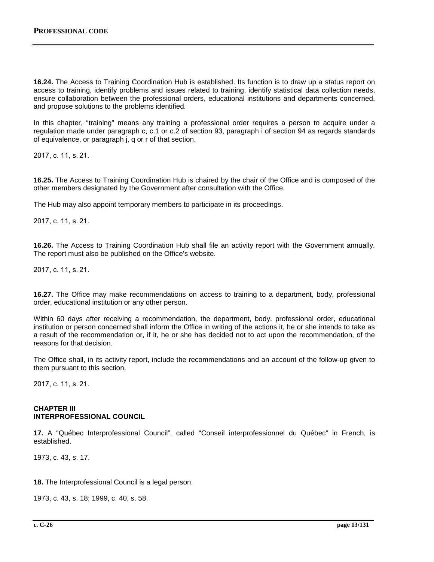**16.24.** The Access to Training Coordination Hub is established. Its function is to draw up a status report on access to training, identify problems and issues related to training, identify statistical data collection needs, ensure collaboration between the professional orders, educational institutions and departments concerned, and propose solutions to the problems identified.

In this chapter, "training" means any training a professional order requires a person to acquire under a regulation made under paragraph c, c.1 or c.2 of section 93, paragraph i of section 94 as regards standards of equivalence, or paragraph j, q or r of that section.

2017, c. 11, s. 21.

**16.25.** The Access to Training Coordination Hub is chaired by the chair of the Office and is composed of the other members designated by the Government after consultation with the Office.

The Hub may also appoint temporary members to participate in its proceedings.

2017, c. 11, s. 21.

**16.26.** The Access to Training Coordination Hub shall file an activity report with the Government annually. The report must also be published on the Office's website.

2017, c. 11, s. 21.

**16.27.** The Office may make recommendations on access to training to a department, body, professional order, educational institution or any other person.

Within 60 days after receiving a recommendation, the department, body, professional order, educational institution or person concerned shall inform the Office in writing of the actions it, he or she intends to take as a result of the recommendation or, if it, he or she has decided not to act upon the recommendation, of the reasons for that decision.

The Office shall, in its activity report, include the recommendations and an account of the follow-up given to them pursuant to this section.

2017, c. 11, s. 21.

#### **CHAPTER III INTERPROFESSIONAL COUNCIL**

**17.** A "Québec Interprofessional Council", called "Conseil interprofessionnel du Québec" in French, is established.

1973, c. 43, s. 17.

**18.** The Interprofessional Council is a legal person.

1973, c. 43, s. 18; 1999, c. 40, s. 58.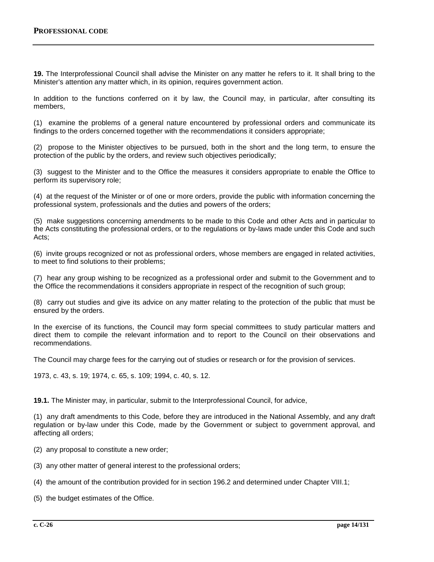**19.** The Interprofessional Council shall advise the Minister on any matter he refers to it. It shall bring to the Minister's attention any matter which, in its opinion, requires government action.

In addition to the functions conferred on it by law, the Council may, in particular, after consulting its members,

(1) examine the problems of a general nature encountered by professional orders and communicate its findings to the orders concerned together with the recommendations it considers appropriate;

(2) propose to the Minister objectives to be pursued, both in the short and the long term, to ensure the protection of the public by the orders, and review such objectives periodically;

(3) suggest to the Minister and to the Office the measures it considers appropriate to enable the Office to perform its supervisory role;

(4) at the request of the Minister or of one or more orders, provide the public with information concerning the professional system, professionals and the duties and powers of the orders;

(5) make suggestions concerning amendments to be made to this Code and other Acts and in particular to the Acts constituting the professional orders, or to the regulations or by-laws made under this Code and such Acts;

(6) invite groups recognized or not as professional orders, whose members are engaged in related activities, to meet to find solutions to their problems;

(7) hear any group wishing to be recognized as a professional order and submit to the Government and to the Office the recommendations it considers appropriate in respect of the recognition of such group;

(8) carry out studies and give its advice on any matter relating to the protection of the public that must be ensured by the orders.

In the exercise of its functions, the Council may form special committees to study particular matters and direct them to compile the relevant information and to report to the Council on their observations and recommendations.

The Council may charge fees for the carrying out of studies or research or for the provision of services.

1973, c. 43, s. 19; 1974, c. 65, s. 109; 1994, c. 40, s. 12.

**19.1.** The Minister may, in particular, submit to the Interprofessional Council, for advice,

(1) any draft amendments to this Code, before they are introduced in the National Assembly, and any draft regulation or by-law under this Code, made by the Government or subject to government approval, and affecting all orders;

- (2) any proposal to constitute a new order;
- (3) any other matter of general interest to the professional orders;
- (4) the amount of the contribution provided for in section 196.2 and determined under Chapter VIII.1;
- (5) the budget estimates of the Office.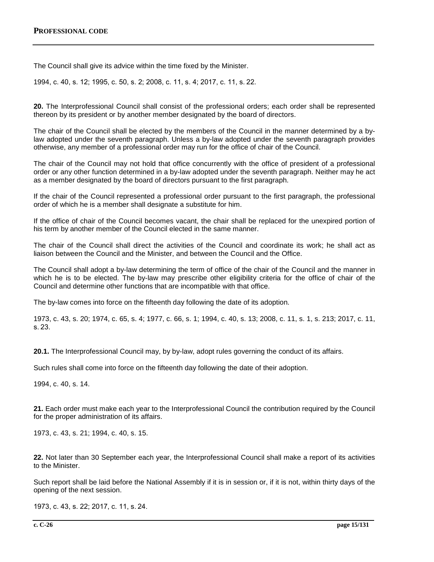The Council shall give its advice within the time fixed by the Minister.

1994, c. 40, s. 12; 1995, c. 50, s. 2; 2008, c. 11, s. 4; 2017, c. 11, s. 22.

**20.** The Interprofessional Council shall consist of the professional orders; each order shall be represented thereon by its president or by another member designated by the board of directors.

The chair of the Council shall be elected by the members of the Council in the manner determined by a bylaw adopted under the seventh paragraph. Unless a by-law adopted under the seventh paragraph provides otherwise, any member of a professional order may run for the office of chair of the Council.

The chair of the Council may not hold that office concurrently with the office of president of a professional order or any other function determined in a by-law adopted under the seventh paragraph. Neither may he act as a member designated by the board of directors pursuant to the first paragraph.

If the chair of the Council represented a professional order pursuant to the first paragraph, the professional order of which he is a member shall designate a substitute for him.

If the office of chair of the Council becomes vacant, the chair shall be replaced for the unexpired portion of his term by another member of the Council elected in the same manner.

The chair of the Council shall direct the activities of the Council and coordinate its work; he shall act as liaison between the Council and the Minister, and between the Council and the Office.

The Council shall adopt a by-law determining the term of office of the chair of the Council and the manner in which he is to be elected. The by-law may prescribe other eligibility criteria for the office of chair of the Council and determine other functions that are incompatible with that office.

The by-law comes into force on the fifteenth day following the date of its adoption.

1973, c. 43, s. 20; 1974, c. 65, s. 4; 1977, c. 66, s. 1; 1994, c. 40, s. 13; 2008, c. 11, s. 1, s. 213; 2017, c. 11, s. 23.

**20.1.** The Interprofessional Council may, by by-law, adopt rules governing the conduct of its affairs.

Such rules shall come into force on the fifteenth day following the date of their adoption.

1994, c. 40, s. 14.

**21.** Each order must make each year to the Interprofessional Council the contribution required by the Council for the proper administration of its affairs.

1973, c. 43, s. 21; 1994, c. 40, s. 15.

**22.** Not later than 30 September each year, the Interprofessional Council shall make a report of its activities to the Minister.

Such report shall be laid before the National Assembly if it is in session or, if it is not, within thirty days of the opening of the next session.

1973, c. 43, s. 22; 2017, c. 11, s. 24.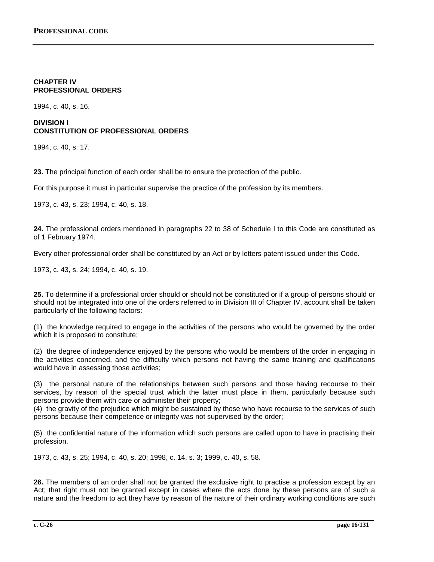## **CHAPTER IV PROFESSIONAL ORDERS**

1994, c. 40, s. 16.

## **DIVISION I CONSTITUTION OF PROFESSIONAL ORDERS**

1994, c. 40, s. 17.

**23.** The principal function of each order shall be to ensure the protection of the public.

For this purpose it must in particular supervise the practice of the profession by its members.

1973, c. 43, s. 23; 1994, c. 40, s. 18.

**24.** The professional orders mentioned in paragraphs 22 to 38 of Schedule I to this Code are constituted as of 1 February 1974.

Every other professional order shall be constituted by an Act or by letters patent issued under this Code.

1973, c. 43, s. 24; 1994, c. 40, s. 19.

**25.** To determine if a professional order should or should not be constituted or if a group of persons should or should not be integrated into one of the orders referred to in Division III of Chapter IV, account shall be taken particularly of the following factors:

(1) the knowledge required to engage in the activities of the persons who would be governed by the order which it is proposed to constitute;

(2) the degree of independence enjoyed by the persons who would be members of the order in engaging in the activities concerned, and the difficulty which persons not having the same training and qualifications would have in assessing those activities;

(3) the personal nature of the relationships between such persons and those having recourse to their services, by reason of the special trust which the latter must place in them, particularly because such persons provide them with care or administer their property;

(4) the gravity of the prejudice which might be sustained by those who have recourse to the services of such persons because their competence or integrity was not supervised by the order;

(5) the confidential nature of the information which such persons are called upon to have in practising their profession.

1973, c. 43, s. 25; 1994, c. 40, s. 20; 1998, c. 14, s. 3; 1999, c. 40, s. 58.

**26.** The members of an order shall not be granted the exclusive right to practise a profession except by an Act; that right must not be granted except in cases where the acts done by these persons are of such a nature and the freedom to act they have by reason of the nature of their ordinary working conditions are such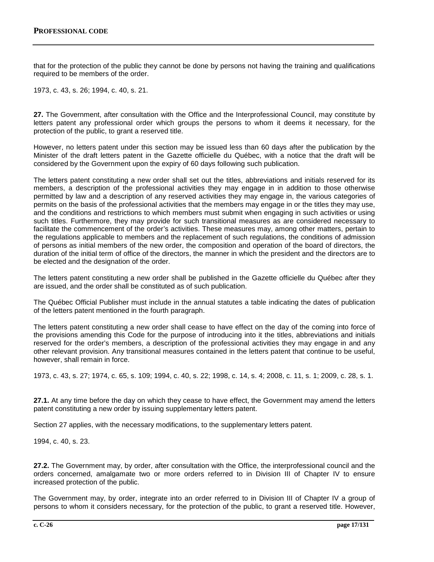that for the protection of the public they cannot be done by persons not having the training and qualifications required to be members of the order.

1973, c. 43, s. 26; 1994, c. 40, s. 21.

**27.** The Government, after consultation with the Office and the Interprofessional Council, may constitute by letters patent any professional order which groups the persons to whom it deems it necessary, for the protection of the public, to grant a reserved title.

However, no letters patent under this section may be issued less than 60 days after the publication by the Minister of the draft letters patent in the Gazette officielle du Québec, with a notice that the draft will be considered by the Government upon the expiry of 60 days following such publication.

The letters patent constituting a new order shall set out the titles, abbreviations and initials reserved for its members, a description of the professional activities they may engage in in addition to those otherwise permitted by law and a description of any reserved activities they may engage in, the various categories of permits on the basis of the professional activities that the members may engage in or the titles they may use, and the conditions and restrictions to which members must submit when engaging in such activities or using such titles. Furthermore, they may provide for such transitional measures as are considered necessary to facilitate the commencement of the order's activities. These measures may, among other matters, pertain to the regulations applicable to members and the replacement of such regulations, the conditions of admission of persons as initial members of the new order, the composition and operation of the board of directors, the duration of the initial term of office of the directors, the manner in which the president and the directors are to be elected and the designation of the order.

The letters patent constituting a new order shall be published in the Gazette officielle du Québec after they are issued, and the order shall be constituted as of such publication.

The Québec Official Publisher must include in the annual statutes a table indicating the dates of publication of the letters patent mentioned in the fourth paragraph.

The letters patent constituting a new order shall cease to have effect on the day of the coming into force of the provisions amending this Code for the purpose of introducing into it the titles, abbreviations and initials reserved for the order's members, a description of the professional activities they may engage in and any other relevant provision. Any transitional measures contained in the letters patent that continue to be useful, however, shall remain in force.

1973, c. 43, s. 27; 1974, c. 65, s. 109; 1994, c. 40, s. 22; 1998, c. 14, s. 4; 2008, c. 11, s. 1; 2009, c. 28, s. 1.

**27.1.** At any time before the day on which they cease to have effect, the Government may amend the letters patent constituting a new order by issuing supplementary letters patent.

Section 27 applies, with the necessary modifications, to the supplementary letters patent.

1994, c. 40, s. 23.

**27.2.** The Government may, by order, after consultation with the Office, the interprofessional council and the orders concerned, amalgamate two or more orders referred to in Division III of Chapter IV to ensure increased protection of the public.

The Government may, by order, integrate into an order referred to in Division III of Chapter IV a group of persons to whom it considers necessary, for the protection of the public, to grant a reserved title. However,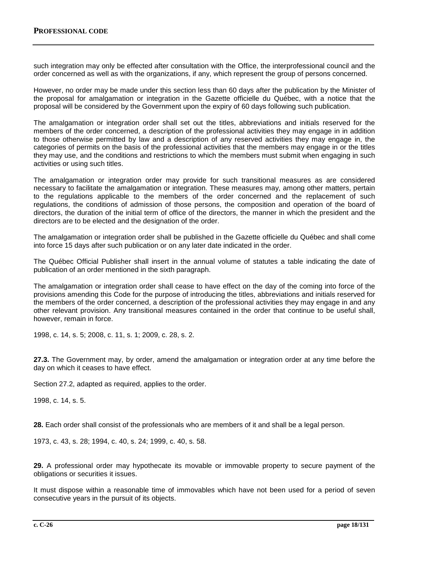such integration may only be effected after consultation with the Office, the interprofessional council and the order concerned as well as with the organizations, if any, which represent the group of persons concerned.

However, no order may be made under this section less than 60 days after the publication by the Minister of the proposal for amalgamation or integration in the Gazette officielle du Québec, with a notice that the proposal will be considered by the Government upon the expiry of 60 days following such publication.

The amalgamation or integration order shall set out the titles, abbreviations and initials reserved for the members of the order concerned, a description of the professional activities they may engage in in addition to those otherwise permitted by law and a description of any reserved activities they may engage in, the categories of permits on the basis of the professional activities that the members may engage in or the titles they may use, and the conditions and restrictions to which the members must submit when engaging in such activities or using such titles.

The amalgamation or integration order may provide for such transitional measures as are considered necessary to facilitate the amalgamation or integration. These measures may, among other matters, pertain to the regulations applicable to the members of the order concerned and the replacement of such regulations, the conditions of admission of those persons, the composition and operation of the board of directors, the duration of the initial term of office of the directors, the manner in which the president and the directors are to be elected and the designation of the order.

The amalgamation or integration order shall be published in the Gazette officielle du Québec and shall come into force 15 days after such publication or on any later date indicated in the order.

The Québec Official Publisher shall insert in the annual volume of statutes a table indicating the date of publication of an order mentioned in the sixth paragraph.

The amalgamation or integration order shall cease to have effect on the day of the coming into force of the provisions amending this Code for the purpose of introducing the titles, abbreviations and initials reserved for the members of the order concerned, a description of the professional activities they may engage in and any other relevant provision. Any transitional measures contained in the order that continue to be useful shall, however, remain in force.

1998, c. 14, s. 5; 2008, c. 11, s. 1; 2009, c. 28, s. 2.

**27.3.** The Government may, by order, amend the amalgamation or integration order at any time before the day on which it ceases to have effect.

Section 27.2, adapted as required, applies to the order.

1998, c. 14, s. 5.

**28.** Each order shall consist of the professionals who are members of it and shall be a legal person.

1973, c. 43, s. 28; 1994, c. 40, s. 24; 1999, c. 40, s. 58.

**29.** A professional order may hypothecate its movable or immovable property to secure payment of the obligations or securities it issues.

It must dispose within a reasonable time of immovables which have not been used for a period of seven consecutive years in the pursuit of its objects.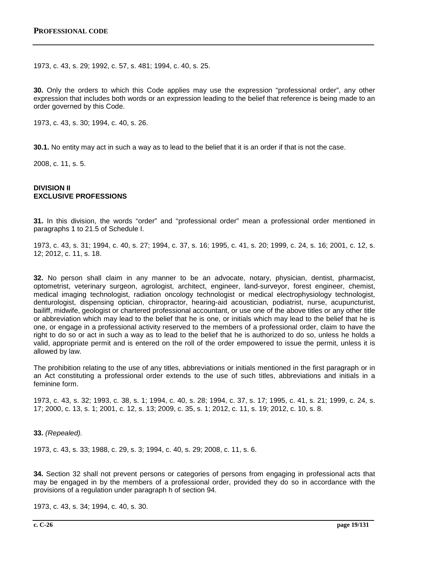1973, c. 43, s. 29; 1992, c. 57, s. 481; 1994, c. 40, s. 25.

**30.** Only the orders to which this Code applies may use the expression "professional order", any other expression that includes both words or an expression leading to the belief that reference is being made to an order governed by this Code.

1973, c. 43, s. 30; 1994, c. 40, s. 26.

**30.1.** No entity may act in such a way as to lead to the belief that it is an order if that is not the case.

2008, c. 11, s. 5.

#### **DIVISION II EXCLUSIVE PROFESSIONS**

**31.** In this division, the words "order" and "professional order" mean a professional order mentioned in paragraphs 1 to 21.5 of Schedule I.

1973, c. 43, s. 31; 1994, c. 40, s. 27; 1994, c. 37, s. 16; 1995, c. 41, s. 20; 1999, c. 24, s. 16; 2001, c. 12, s. 12; 2012, c. 11, s. 18.

**32.** No person shall claim in any manner to be an advocate, notary, physician, dentist, pharmacist, optometrist, veterinary surgeon, agrologist, architect, engineer, land-surveyor, forest engineer, chemist, medical imaging technologist, radiation oncology technologist or medical electrophysiology technologist, denturologist, dispensing optician, chiropractor, hearing-aid acoustician, podiatrist, nurse, acupuncturist, bailiff, midwife, geologist or chartered professional accountant, or use one of the above titles or any other title or abbreviation which may lead to the belief that he is one, or initials which may lead to the belief that he is one, or engage in a professional activity reserved to the members of a professional order, claim to have the right to do so or act in such a way as to lead to the belief that he is authorized to do so, unless he holds a valid, appropriate permit and is entered on the roll of the order empowered to issue the permit, unless it is allowed by law.

The prohibition relating to the use of any titles, abbreviations or initials mentioned in the first paragraph or in an Act constituting a professional order extends to the use of such titles, abbreviations and initials in a feminine form.

1973, c. 43, s. 32; 1993, c. 38, s. 1; 1994, c. 40, s. 28; 1994, c. 37, s. 17; 1995, c. 41, s. 21; 1999, c. 24, s. 17; 2000, c. 13, s. 1; 2001, c. 12, s. 13; 2009, c. 35, s. 1; 2012, c. 11, s. 19; 2012, c. 10, s. 8.

**33.** *(Repealed).*

1973, c. 43, s. 33; 1988, c. 29, s. 3; 1994, c. 40, s. 29; 2008, c. 11, s. 6.

**34.** Section 32 shall not prevent persons or categories of persons from engaging in professional acts that may be engaged in by the members of a professional order, provided they do so in accordance with the provisions of a regulation under paragraph h of section 94.

1973, c. 43, s. 34; 1994, c. 40, s. 30.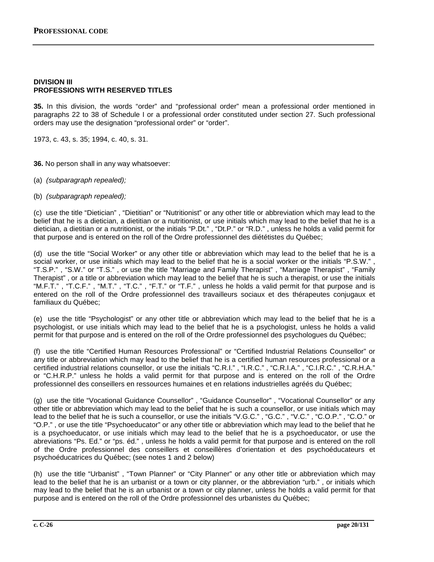#### **DIVISION III PROFESSIONS WITH RESERVED TITLES**

**35.** In this division, the words "order" and "professional order" mean a professional order mentioned in paragraphs 22 to 38 of Schedule I or a professional order constituted under section 27. Such professional orders may use the designation "professional order" or "order".

1973, c. 43, s. 35; 1994, c. 40, s. 31.

**36.** No person shall in any way whatsoever:

- (a) *(subparagraph repealed);*
- (b) *(subparagraph repealed);*

(c) use the title "Dietician" , "Dietitian" or "Nutritionist" or any other title or abbreviation which may lead to the belief that he is a dietician, a dietitian or a nutritionist, or use initials which may lead to the belief that he is a dietician, a dietitian or a nutritionist, or the initials "P.Dt." , "Dt.P." or "R.D." , unless he holds a valid permit for that purpose and is entered on the roll of the Ordre professionnel des diététistes du Québec;

(d) use the title "Social Worker" or any other title or abbreviation which may lead to the belief that he is a social worker, or use initials which may lead to the belief that he is a social worker or the initials "P.S.W." , "T.S.P." , "S.W." or "T.S." , or use the title "Marriage and Family Therapist" , "Marriage Therapist" , "Family Therapist" , or a title or abbreviation which may lead to the belief that he is such a therapist, or use the initials "M.F.T." , "T.C.F." , "M.T." , "T.C." , "F.T." or "T.F." , unless he holds a valid permit for that purpose and is entered on the roll of the Ordre professionnel des travailleurs sociaux et des thérapeutes conjugaux et familiaux du Québec;

(e) use the title "Psychologist" or any other title or abbreviation which may lead to the belief that he is a psychologist, or use initials which may lead to the belief that he is a psychologist, unless he holds a valid permit for that purpose and is entered on the roll of the Ordre professionnel des psychologues du Québec;

(f) use the title "Certified Human Resources Professional" or "Certified Industrial Relations Counsellor" or any title or abbreviation which may lead to the belief that he is a certified human resources professional or a certified industrial relations counsellor, or use the initials "C.R.I." , "I.R.C." , "C.R.I.A." , "C.I.R.C." , "C.R.H.A." or "C.H.R.P." unless he holds a valid permit for that purpose and is entered on the roll of the Ordre professionnel des conseillers en ressources humaines et en relations industrielles agréés du Québec;

(g) use the title "Vocational Guidance Counsellor" , "Guidance Counsellor" , "Vocational Counsellor" or any other title or abbreviation which may lead to the belief that he is such a counsellor, or use initials which may lead to the belief that he is such a counsellor, or use the initials "V.G.C." , "G.C." , "V.C." , "C.O.P." , "C.O." or "O.P." , or use the title "Psychoeducator" or any other title or abbreviation which may lead to the belief that he is a psychoeducator, or use initials which may lead to the belief that he is a psychoeducator, or use the abreviations "Ps. Ed." or "ps. éd." , unless he holds a valid permit for that purpose and is entered on the roll of the Ordre professionnel des conseillers et conseillères d'orientation et des psychoéducateurs et psychoéducatrices du Québec; (see notes 1 and 2 below)

(h) use the title "Urbanist" , "Town Planner" or "City Planner" or any other title or abbreviation which may lead to the belief that he is an urbanist or a town or city planner, or the abbreviation "urb." , or initials which may lead to the belief that he is an urbanist or a town or city planner, unless he holds a valid permit for that purpose and is entered on the roll of the Ordre professionnel des urbanistes du Québec;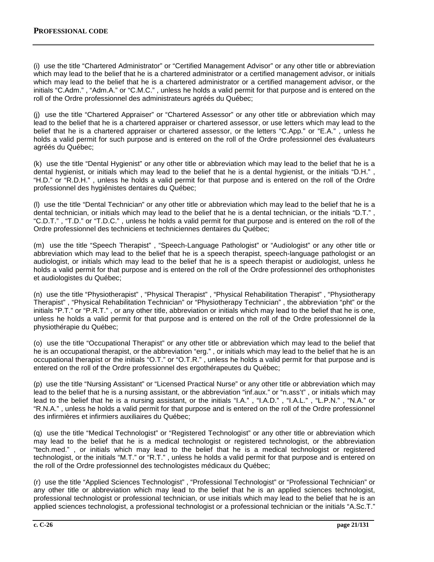(i) use the title "Chartered Administrator" or "Certified Management Advisor" or any other title or abbreviation which may lead to the belief that he is a chartered administrator or a certified management advisor, or initials which may lead to the belief that he is a chartered administrator or a certified management advisor, or the initials "C.Adm." , "Adm.A." or "C.M.C." , unless he holds a valid permit for that purpose and is entered on the roll of the Ordre professionnel des administrateurs agréés du Québec;

(j) use the title "Chartered Appraiser" or "Chartered Assessor" or any other title or abbreviation which may lead to the belief that he is a chartered appraiser or chartered assessor, or use letters which may lead to the belief that he is a chartered appraiser or chartered assessor, or the letters "C.App." or "E.A." , unless he holds a valid permit for such purpose and is entered on the roll of the Ordre professionnel des évaluateurs agréés du Québec;

(k) use the title "Dental Hygienist" or any other title or abbreviation which may lead to the belief that he is a dental hygienist, or initials which may lead to the belief that he is a dental hygienist, or the initials "D.H." "H.D." or "R.D.H." , unless he holds a valid permit for that purpose and is entered on the roll of the Ordre professionnel des hygiénistes dentaires du Québec;

(l) use the title "Dental Technician" or any other title or abbreviation which may lead to the belief that he is a dental technician, or initials which may lead to the belief that he is a dental technician, or the initials "D.T." , "C.D.T." , "T.D." or "T.D.C." , unless he holds a valid permit for that purpose and is entered on the roll of the Ordre professionnel des techniciens et techniciennes dentaires du Québec;

(m) use the title "Speech Therapist" , "Speech-Language Pathologist" or "Audiologist" or any other title or abbreviation which may lead to the belief that he is a speech therapist, speech-language pathologist or an audiologist, or initials which may lead to the belief that he is a speech therapist or audiologist, unless he holds a valid permit for that purpose and is entered on the roll of the Ordre professionnel des orthophonistes et audiologistes du Québec;

(n) use the title "Physiotherapist" , "Physical Therapist" , "Physical Rehabilitation Therapist" , "Physiotherapy Therapist" , "Physical Rehabilitation Technician" or "Physiotherapy Technician" , the abbreviation "pht" or the initials "P.T." or "P.R.T." , or any other title, abbreviation or initials which may lead to the belief that he is one, unless he holds a valid permit for that purpose and is entered on the roll of the Ordre professionnel de la physiothérapie du Québec;

(o) use the title "Occupational Therapist" or any other title or abbreviation which may lead to the belief that he is an occupational therapist, or the abbreviation "erg." , or initials which may lead to the belief that he is an occupational therapist or the initials "O.T." or "O.T.R.", unless he holds a valid permit for that purpose and is entered on the roll of the Ordre professionnel des ergothérapeutes du Québec;

(p) use the title "Nursing Assistant" or "Licensed Practical Nurse" or any other title or abbreviation which may lead to the belief that he is a nursing assistant, or the abbreviation "inf.aux." or "n.ass't" , or initials which may lead to the belief that he is a nursing assistant, or the initials "I.A.", "I.A.D.", "I.A.L.", "L.P.N.", "N.A." or "R.N.A." , unless he holds a valid permit for that purpose and is entered on the roll of the Ordre professionnel des infirmières et infirmiers auxiliaires du Québec;

(q) use the title "Medical Technologist" or "Registered Technologist" or any other title or abbreviation which may lead to the belief that he is a medical technologist or registered technologist, or the abbreviation "tech.med." , or initials which may lead to the belief that he is a medical technologist or registered technologist, or the initials "M.T." or "R.T." , unless he holds a valid permit for that purpose and is entered on the roll of the Ordre professionnel des technologistes médicaux du Québec;

(r) use the title "Applied Sciences Technologist" , "Professional Technologist" or "Professional Technician" or any other title or abbreviation which may lead to the belief that he is an applied sciences technologist, professional technologist or professional technician, or use initials which may lead to the belief that he is an applied sciences technologist, a professional technologist or a professional technician or the initials "A.Sc.T."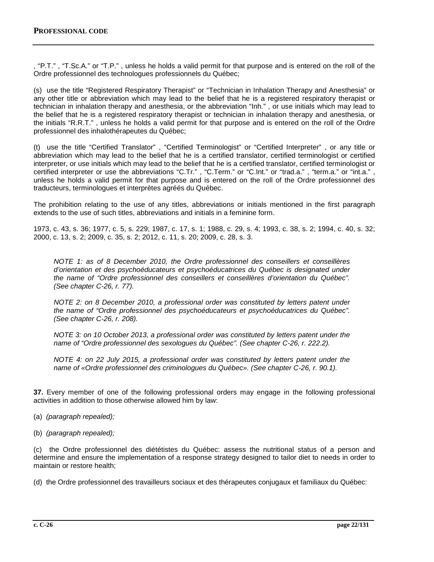, "P.T." , "T.Sc.A." or "T.P." , unless he holds a valid permit for that purpose and is entered on the roll of the Ordre professionnel des technologues professionnels du Québec;

(s) use the title "Registered Respiratory Therapist" or "Technician in Inhalation Therapy and Anesthesia" or any other title or abbreviation which may lead to the belief that he is a registered respiratory therapist or technician in inhalation therapy and anesthesia, or the abbreviation "Inh." , or use initials which may lead to the belief that he is a registered respiratory therapist or technician in inhalation therapy and anesthesia, or the initials "R.R.T." , unless he holds a valid permit for that purpose and is entered on the roll of the Ordre professionnel des inhalothérapeutes du Québec;

(t) use the title "Certified Translator" , "Certified Terminologist" or "Certified Interpreter" , or any title or abbreviation which may lead to the belief that he is a certified translator, certified terminologist or certified interpreter, or use initials which may lead to the belief that he is a certified translator, certified terminologist or certified interpreter or use the abbreviations "C.Tr.", "C.Term." or "C.Int." or "trad.a.", "term.a." or "int.a.", unless he holds a valid permit for that purpose and is entered on the roll of the Ordre professionnel des traducteurs, terminologues et interprètes agréés du Québec.

The prohibition relating to the use of any titles, abbreviations or initials mentioned in the first paragraph extends to the use of such titles, abbreviations and initials in a feminine form.

1973, c. 43, s. 36; 1977, c. 5, s. 229; 1987, c. 17, s. 1; 1988, c. 29, s. 4; 1993, c. 38, s. 2; 1994, c. 40, s. 32; 2000, c. 13, s. 2; 2009, c. 35, s. 2; 2012, c. 11, s. 20; 2009, c. 28, s. 3.

*NOTE 1: as of 8 December 2010, the Ordre professionnel des conseillers et conseillères d'orientation et des psychoéducateurs et psychoéducatrices du Québec is designated under the name of "Ordre professionnel des conseillers et conseillères d'orientation du Québec". (See chapter C-26, r. 77).*

*NOTE 2: on 8 December 2010, a professional order was constituted by letters patent under the name of "Ordre professionnel des psychoéducateurs et psychoéducatrices du Québec". (See chapter C-26, r. 208).*

*NOTE 3: on 10 October 2013, a professional order was constituted by letters patent under the name of "Ordre professionnel des sexologues du Québec". (See chapter C-26, r. 222.2).*

*NOTE 4: on 22 July 2015, a professional order was constituted by letters patent under the name of «Ordre professionnel des criminologues du Québec». (See chapter C-26, r. 90.1).*

**37.** Every member of one of the following professional orders may engage in the following professional activities in addition to those otherwise allowed him by law:

- (a) *(paragraph repealed);*
- (b) *(paragraph repealed);*

(c) the Ordre professionnel des diététistes du Québec: assess the nutritional status of a person and determine and ensure the implementation of a response strategy designed to tailor diet to needs in order to maintain or restore health;

(d) the Ordre professionnel des travailleurs sociaux et des thérapeutes conjugaux et familiaux du Québec: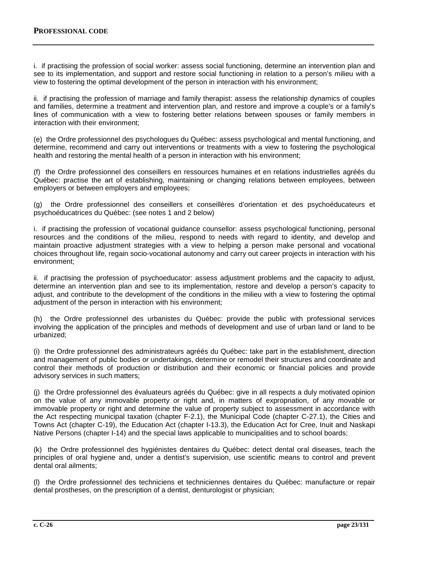i. if practising the profession of social worker: assess social functioning, determine an intervention plan and see to its implementation, and support and restore social functioning in relation to a person's milieu with a view to fostering the optimal development of the person in interaction with his environment;

ii. if practising the profession of marriage and family therapist: assess the relationship dynamics of couples and families, determine a treatment and intervention plan, and restore and improve a couple's or a family's lines of communication with a view to fostering better relations between spouses or family members in interaction with their environment;

(e) the Ordre professionnel des psychologues du Québec: assess psychological and mental functioning, and determine, recommend and carry out interventions or treatments with a view to fostering the psychological health and restoring the mental health of a person in interaction with his environment;

(f) the Ordre professionnel des conseillers en ressources humaines et en relations industrielles agréés du Québec: practise the art of establishing, maintaining or changing relations between employees, between employers or between employers and employees;

(g) the Ordre professionnel des conseillers et conseillères d'orientation et des psychoéducateurs et psychoéducatrices du Québec: (see notes 1 and 2 below)

i. if practising the profession of vocational guidance counsellor: assess psychological functioning, personal resources and the conditions of the milieu, respond to needs with regard to identity, and develop and maintain proactive adjustment strategies with a view to helping a person make personal and vocational choices throughout life, regain socio-vocational autonomy and carry out career projects in interaction with his environment;

ii. if practising the profession of psychoeducator: assess adjustment problems and the capacity to adjust, determine an intervention plan and see to its implementation, restore and develop a person's capacity to adjust, and contribute to the development of the conditions in the milieu with a view to fostering the optimal adjustment of the person in interaction with his environment;

(h) the Ordre professionnel des urbanistes du Québec: provide the public with professional services involving the application of the principles and methods of development and use of urban land or land to be urbanized;

(i) the Ordre professionnel des administrateurs agréés du Québec: take part in the establishment, direction and management of public bodies or undertakings, determine or remodel their structures and coordinate and control their methods of production or distribution and their economic or financial policies and provide advisory services in such matters;

(j) the Ordre professionnel des évaluateurs agréés du Québec: give in all respects a duly motivated opinion on the value of any immovable property or right and, in matters of expropriation, of any movable or immovable property or right and determine the value of property subject to assessment in accordance with the Act respecting municipal taxation (chapter F-2.1), the Municipal Code (chapter C-27.1), the Cities and Towns Act (chapter C-19), the Education Act (chapter I-13.3), the Education Act for Cree, Inuit and Naskapi Native Persons (chapter I-14) and the special laws applicable to municipalities and to school boards;

(k) the Ordre professionnel des hygiénistes dentaires du Québec: detect dental oral diseases, teach the principles of oral hygiene and, under a dentist's supervision, use scientific means to control and prevent dental oral ailments;

(l) the Ordre professionnel des techniciens et techniciennes dentaires du Québec: manufacture or repair dental prostheses, on the prescription of a dentist, denturologist or physician;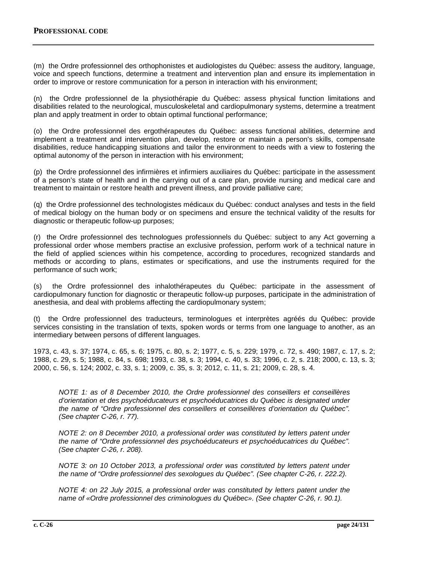(m) the Ordre professionnel des orthophonistes et audiologistes du Québec: assess the auditory, language, voice and speech functions, determine a treatment and intervention plan and ensure its implementation in order to improve or restore communication for a person in interaction with his environment;

(n) the Ordre professionnel de la physiothérapie du Québec: assess physical function limitations and disabilities related to the neurological, musculoskeletal and cardiopulmonary systems, determine a treatment plan and apply treatment in order to obtain optimal functional performance;

(o) the Ordre professionnel des ergothérapeutes du Québec: assess functional abilities, determine and implement a treatment and intervention plan, develop, restore or maintain a person's skills, compensate disabilities, reduce handicapping situations and tailor the environment to needs with a view to fostering the optimal autonomy of the person in interaction with his environment;

(p) the Ordre professionnel des infirmières et infirmiers auxiliaires du Québec: participate in the assessment of a person's state of health and in the carrying out of a care plan, provide nursing and medical care and treatment to maintain or restore health and prevent illness, and provide palliative care;

(q) the Ordre professionnel des technologistes médicaux du Québec: conduct analyses and tests in the field of medical biology on the human body or on specimens and ensure the technical validity of the results for diagnostic or therapeutic follow-up purposes;

(r) the Ordre professionnel des technologues professionnels du Québec: subject to any Act governing a professional order whose members practise an exclusive profession, perform work of a technical nature in the field of applied sciences within his competence, according to procedures, recognized standards and methods or according to plans, estimates or specifications, and use the instruments required for the performance of such work;

(s) the Ordre professionnel des inhalothérapeutes du Québec: participate in the assessment of cardiopulmonary function for diagnostic or therapeutic follow-up purposes, participate in the administration of anesthesia, and deal with problems affecting the cardiopulmonary system;

(t) the Ordre professionnel des traducteurs, terminologues et interprètes agréés du Québec: provide services consisting in the translation of texts, spoken words or terms from one language to another, as an intermediary between persons of different languages.

1973, c. 43, s. 37; 1974, c. 65, s. 6; 1975, c. 80, s. 2; 1977, c. 5, s. 229; 1979, c. 72, s. 490; 1987, c. 17, s. 2; 1988, c. 29, s. 5; 1988, c. 84, s. 698; 1993, c. 38, s. 3; 1994, c. 40, s. 33; 1996, c. 2, s. 218; 2000, c. 13, s. 3; 2000, c. 56, s. 124; 2002, c. 33, s. 1; 2009, c. 35, s. 3; 2012, c. 11, s. 21; 2009, c. 28, s. 4.

*NOTE 1: as of 8 December 2010, the Ordre professionnel des conseillers et conseillères d'orientation et des psychoéducateurs et psychoéducatrices du Québec is designated under the name of "Ordre professionnel des conseillers et conseillères d'orientation du Québec". (See chapter C-26, r. 77).*

*NOTE 2: on 8 December 2010, a professional order was constituted by letters patent under the name of "Ordre professionnel des psychoéducateurs et psychoéducatrices du Québec". (See chapter C-26, r. 208).*

*NOTE 3: on 10 October 2013, a professional order was constituted by letters patent under the name of "Ordre professionnel des sexologues du Québec". (See chapter C-26, r. 222.2).*

*NOTE 4: on 22 July 2015, a professional order was constituted by letters patent under the name of «Ordre professionnel des criminologues du Québec». (See chapter C-26, r. 90.1).*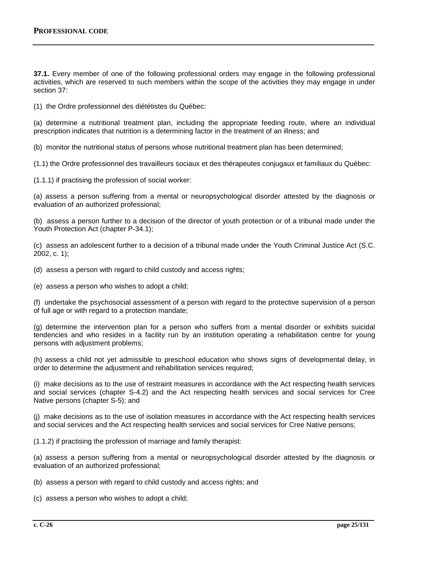**37.1.** Every member of one of the following professional orders may engage in the following professional activities, which are reserved to such members within the scope of the activities they may engage in under section 37:

(1) the Ordre professionnel des diététistes du Québec:

(a) determine a nutritional treatment plan, including the appropriate feeding route, where an individual prescription indicates that nutrition is a determining factor in the treatment of an illness; and

(b) monitor the nutritional status of persons whose nutritional treatment plan has been determined;

(1.1) the Ordre professionnel des travailleurs sociaux et des thérapeutes conjugaux et familiaux du Québec:

(1.1.1) if practising the profession of social worker:

(a) assess a person suffering from a mental or neuropsychological disorder attested by the diagnosis or evaluation of an authorized professional;

(b) assess a person further to a decision of the director of youth protection or of a tribunal made under the Youth Protection Act (chapter P-34.1);

(c) assess an adolescent further to a decision of a tribunal made under the Youth Criminal Justice Act (S.C. 2002, c. 1);

(d) assess a person with regard to child custody and access rights;

(e) assess a person who wishes to adopt a child;

(f) undertake the psychosocial assessment of a person with regard to the protective supervision of a person of full age or with regard to a protection mandate;

(g) determine the intervention plan for a person who suffers from a mental disorder or exhibits suicidal tendencies and who resides in a facility run by an institution operating a rehabilitation centre for young persons with adjustment problems;

(h) assess a child not yet admissible to preschool education who shows signs of developmental delay, in order to determine the adjustment and rehabilitation services required;

(i) make decisions as to the use of restraint measures in accordance with the Act respecting health services and social services (chapter S-4.2) and the Act respecting health services and social services for Cree Native persons (chapter S-5); and

(j) make decisions as to the use of isolation measures in accordance with the Act respecting health services and social services and the Act respecting health services and social services for Cree Native persons;

(1.1.2) if practising the profession of marriage and family therapist:

(a) assess a person suffering from a mental or neuropsychological disorder attested by the diagnosis or evaluation of an authorized professional;

(b) assess a person with regard to child custody and access rights; and

(c) assess a person who wishes to adopt a child;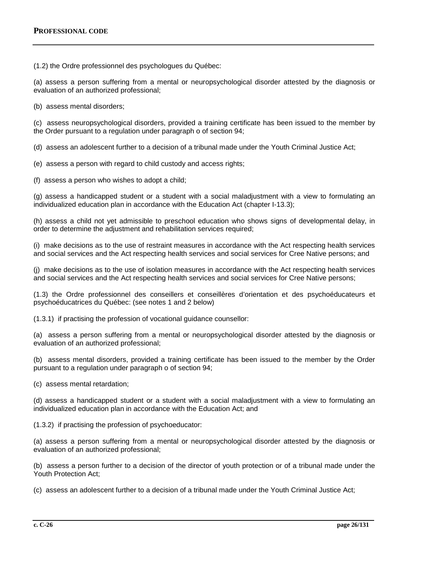(1.2) the Ordre professionnel des psychologues du Québec:

(a) assess a person suffering from a mental or neuropsychological disorder attested by the diagnosis or evaluation of an authorized professional;

(b) assess mental disorders;

(c) assess neuropsychological disorders, provided a training certificate has been issued to the member by the Order pursuant to a regulation under paragraph o of section 94;

(d) assess an adolescent further to a decision of a tribunal made under the Youth Criminal Justice Act;

- (e) assess a person with regard to child custody and access rights;
- (f) assess a person who wishes to adopt a child;

(g) assess a handicapped student or a student with a social maladjustment with a view to formulating an individualized education plan in accordance with the Education Act (chapter I-13.3);

(h) assess a child not yet admissible to preschool education who shows signs of developmental delay, in order to determine the adjustment and rehabilitation services required;

(i) make decisions as to the use of restraint measures in accordance with the Act respecting health services and social services and the Act respecting health services and social services for Cree Native persons; and

(j) make decisions as to the use of isolation measures in accordance with the Act respecting health services and social services and the Act respecting health services and social services for Cree Native persons;

(1.3) the Ordre professionnel des conseillers et conseillères d'orientation et des psychoéducateurs et psychoéducatrices du Québec: (see notes 1 and 2 below)

(1.3.1) if practising the profession of vocational guidance counsellor:

(a) assess a person suffering from a mental or neuropsychological disorder attested by the diagnosis or evaluation of an authorized professional;

(b) assess mental disorders, provided a training certificate has been issued to the member by the Order pursuant to a regulation under paragraph o of section 94;

(c) assess mental retardation;

(d) assess a handicapped student or a student with a social maladjustment with a view to formulating an individualized education plan in accordance with the Education Act; and

(1.3.2) if practising the profession of psychoeducator:

(a) assess a person suffering from a mental or neuropsychological disorder attested by the diagnosis or evaluation of an authorized professional;

(b) assess a person further to a decision of the director of youth protection or of a tribunal made under the Youth Protection Act;

(c) assess an adolescent further to a decision of a tribunal made under the Youth Criminal Justice Act;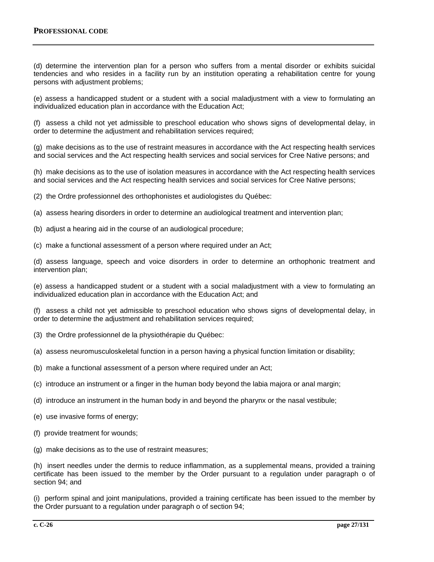(d) determine the intervention plan for a person who suffers from a mental disorder or exhibits suicidal tendencies and who resides in a facility run by an institution operating a rehabilitation centre for young persons with adjustment problems;

(e) assess a handicapped student or a student with a social maladjustment with a view to formulating an individualized education plan in accordance with the Education Act;

(f) assess a child not yet admissible to preschool education who shows signs of developmental delay, in order to determine the adjustment and rehabilitation services required;

(g) make decisions as to the use of restraint measures in accordance with the Act respecting health services and social services and the Act respecting health services and social services for Cree Native persons; and

(h) make decisions as to the use of isolation measures in accordance with the Act respecting health services and social services and the Act respecting health services and social services for Cree Native persons;

(2) the Ordre professionnel des orthophonistes et audiologistes du Québec:

(a) assess hearing disorders in order to determine an audiological treatment and intervention plan;

(b) adjust a hearing aid in the course of an audiological procedure;

(c) make a functional assessment of a person where required under an Act;

(d) assess language, speech and voice disorders in order to determine an orthophonic treatment and intervention plan;

(e) assess a handicapped student or a student with a social maladjustment with a view to formulating an individualized education plan in accordance with the Education Act; and

(f) assess a child not yet admissible to preschool education who shows signs of developmental delay, in order to determine the adjustment and rehabilitation services required;

- (3) the Ordre professionnel de la physiothérapie du Québec:
- (a) assess neuromusculoskeletal function in a person having a physical function limitation or disability;
- (b) make a functional assessment of a person where required under an Act;
- (c) introduce an instrument or a finger in the human body beyond the labia majora or anal margin;
- (d) introduce an instrument in the human body in and beyond the pharynx or the nasal vestibule;
- (e) use invasive forms of energy;
- (f) provide treatment for wounds;
- (g) make decisions as to the use of restraint measures;

(h) insert needles under the dermis to reduce inflammation, as a supplemental means, provided a training certificate has been issued to the member by the Order pursuant to a regulation under paragraph o of section 94; and

(i) perform spinal and joint manipulations, provided a training certificate has been issued to the member by the Order pursuant to a regulation under paragraph o of section 94;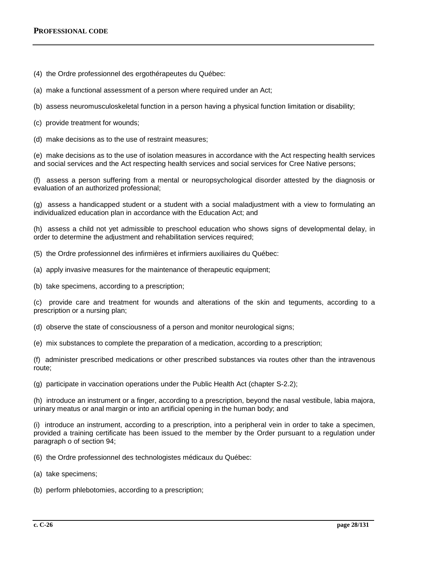(4) the Ordre professionnel des ergothérapeutes du Québec:

- (a) make a functional assessment of a person where required under an Act;
- (b) assess neuromusculoskeletal function in a person having a physical function limitation or disability;
- (c) provide treatment for wounds;
- (d) make decisions as to the use of restraint measures;

(e) make decisions as to the use of isolation measures in accordance with the Act respecting health services and social services and the Act respecting health services and social services for Cree Native persons;

(f) assess a person suffering from a mental or neuropsychological disorder attested by the diagnosis or evaluation of an authorized professional;

(g) assess a handicapped student or a student with a social maladjustment with a view to formulating an individualized education plan in accordance with the Education Act; and

(h) assess a child not yet admissible to preschool education who shows signs of developmental delay, in order to determine the adjustment and rehabilitation services required;

- (5) the Ordre professionnel des infirmières et infirmiers auxiliaires du Québec:
- (a) apply invasive measures for the maintenance of therapeutic equipment;

(b) take specimens, according to a prescription;

(c) provide care and treatment for wounds and alterations of the skin and teguments, according to a prescription or a nursing plan;

(d) observe the state of consciousness of a person and monitor neurological signs;

(e) mix substances to complete the preparation of a medication, according to a prescription;

(f) administer prescribed medications or other prescribed substances via routes other than the intravenous route;

(g) participate in vaccination operations under the Public Health Act (chapter S-2.2);

(h) introduce an instrument or a finger, according to a prescription, beyond the nasal vestibule, labia majora, urinary meatus or anal margin or into an artificial opening in the human body; and

(i) introduce an instrument, according to a prescription, into a peripheral vein in order to take a specimen, provided a training certificate has been issued to the member by the Order pursuant to a regulation under paragraph o of section 94;

- (6) the Ordre professionnel des technologistes médicaux du Québec:
- (a) take specimens;
- (b) perform phlebotomies, according to a prescription;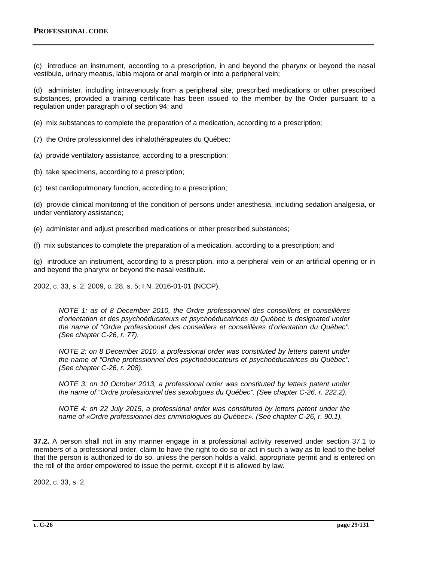(c) introduce an instrument, according to a prescription, in and beyond the pharynx or beyond the nasal vestibule, urinary meatus, labia majora or anal margin or into a peripheral vein;

(d) administer, including intravenously from a peripheral site, prescribed medications or other prescribed substances, provided a training certificate has been issued to the member by the Order pursuant to a regulation under paragraph o of section 94; and

(e) mix substances to complete the preparation of a medication, according to a prescription;

(7) the Ordre professionnel des inhalothérapeutes du Québec:

(a) provide ventilatory assistance, according to a prescription;

(b) take specimens, according to a prescription;

(c) test cardiopulmonary function, according to a prescription;

(d) provide clinical monitoring of the condition of persons under anesthesia, including sedation analgesia, or under ventilatory assistance;

- (e) administer and adjust prescribed medications or other prescribed substances;
- (f) mix substances to complete the preparation of a medication, according to a prescription; and

(g) introduce an instrument, according to a prescription, into a peripheral vein or an artificial opening or in and beyond the pharynx or beyond the nasal vestibule.

2002, c. 33, s. 2; 2009, c. 28, s. 5; I.N. 2016-01-01 (NCCP).

*NOTE 1: as of 8 December 2010, the Ordre professionnel des conseillers et conseillères d'orientation et des psychoéducateurs et psychoéducatrices du Québec is designated under the name of "Ordre professionnel des conseillers et conseillères d'orientation du Québec". (See chapter C-26, r. 77).*

*NOTE 2: on 8 December 2010, a professional order was constituted by letters patent under the name of "Ordre professionnel des psychoéducateurs et psychoéducatrices du Québec". (See chapter C-26, r. 208).*

*NOTE 3: on 10 October 2013, a professional order was constituted by letters patent under the name of "Ordre professionnel des sexologues du Québec". (See chapter C-26, r. 222.2).*

*NOTE 4: on 22 July 2015, a professional order was constituted by letters patent under the name of «Ordre professionnel des criminologues du Québec». (See chapter C-26, r. 90.1).*

**37.2.** A person shall not in any manner engage in a professional activity reserved under section 37.1 to members of a professional order, claim to have the right to do so or act in such a way as to lead to the belief that the person is authorized to do so, unless the person holds a valid, appropriate permit and is entered on the roll of the order empowered to issue the permit, except if it is allowed by law.

2002, c. 33, s. 2.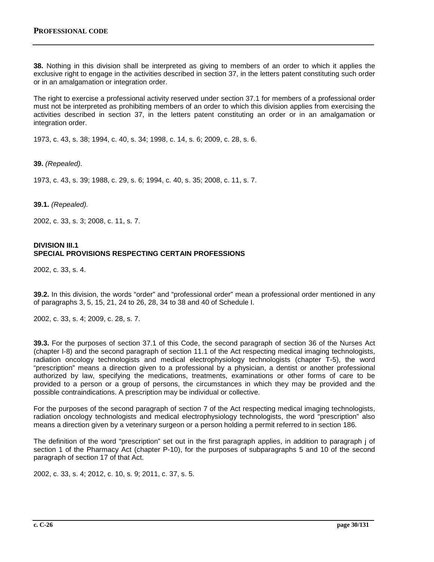**38.** Nothing in this division shall be interpreted as giving to members of an order to which it applies the exclusive right to engage in the activities described in section 37, in the letters patent constituting such order or in an amalgamation or integration order.

The right to exercise a professional activity reserved under section 37.1 for members of a professional order must not be interpreted as prohibiting members of an order to which this division applies from exercising the activities described in section 37, in the letters patent constituting an order or in an amalgamation or integration order.

1973, c. 43, s. 38; 1994, c. 40, s. 34; 1998, c. 14, s. 6; 2009, c. 28, s. 6.

**39.** *(Repealed).*

1973, c. 43, s. 39; 1988, c. 29, s. 6; 1994, c. 40, s. 35; 2008, c. 11, s. 7.

**39.1.** *(Repealed).*

2002, c. 33, s. 3; 2008, c. 11, s. 7.

## **DIVISION III.1 SPECIAL PROVISIONS RESPECTING CERTAIN PROFESSIONS**

2002, c. 33, s. 4.

**39.2.** In this division, the words "order" and "professional order" mean a professional order mentioned in any of paragraphs 3, 5, 15, 21, 24 to 26, 28, 34 to 38 and 40 of Schedule I.

2002, c. 33, s. 4; 2009, c. 28, s. 7.

**39.3.** For the purposes of section 37.1 of this Code, the second paragraph of section 36 of the Nurses Act (chapter I-8) and the second paragraph of section 11.1 of the Act respecting medical imaging technologists, radiation oncology technologists and medical electrophysiology technologists (chapter T-5), the word "prescription" means a direction given to a professional by a physician, a dentist or another professional authorized by law, specifying the medications, treatments, examinations or other forms of care to be provided to a person or a group of persons, the circumstances in which they may be provided and the possible contraindications. A prescription may be individual or collective.

For the purposes of the second paragraph of section 7 of the Act respecting medical imaging technologists, radiation oncology technologists and medical electrophysiology technologists, the word "prescription" also means a direction given by a veterinary surgeon or a person holding a permit referred to in section 186.

The definition of the word "prescription" set out in the first paragraph applies, in addition to paragraph j of section 1 of the Pharmacy Act (chapter P-10), for the purposes of subparagraphs 5 and 10 of the second paragraph of section 17 of that Act.

2002, c. 33, s. 4; 2012, c. 10, s. 9; 2011, c. 37, s. 5.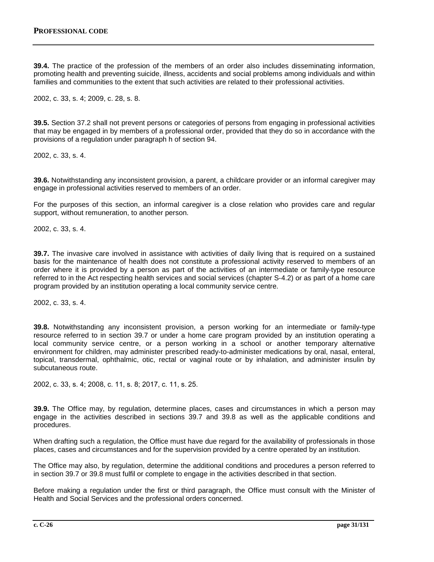**39.4.** The practice of the profession of the members of an order also includes disseminating information, promoting health and preventing suicide, illness, accidents and social problems among individuals and within families and communities to the extent that such activities are related to their professional activities.

2002, c. 33, s. 4; 2009, c. 28, s. 8.

**39.5.** Section 37.2 shall not prevent persons or categories of persons from engaging in professional activities that may be engaged in by members of a professional order, provided that they do so in accordance with the provisions of a regulation under paragraph h of section 94.

2002, c. 33, s. 4.

**39.6.** Notwithstanding any inconsistent provision, a parent, a childcare provider or an informal caregiver may engage in professional activities reserved to members of an order.

For the purposes of this section, an informal caregiver is a close relation who provides care and regular support, without remuneration, to another person.

2002, c. 33, s. 4.

**39.7.** The invasive care involved in assistance with activities of daily living that is required on a sustained basis for the maintenance of health does not constitute a professional activity reserved to members of an order where it is provided by a person as part of the activities of an intermediate or family-type resource referred to in the Act respecting health services and social services (chapter S‐4.2) or as part of a home care program provided by an institution operating a local community service centre.

2002, c. 33, s. 4.

**39.8.** Notwithstanding any inconsistent provision, a person working for an intermediate or family-type resource referred to in section 39.7 or under a home care program provided by an institution operating a local community service centre, or a person working in a school or another temporary alternative environment for children, may administer prescribed ready-to-administer medications by oral, nasal, enteral, topical, transdermal, ophthalmic, otic, rectal or vaginal route or by inhalation, and administer insulin by subcutaneous route.

2002, c. 33, s. 4; 2008, c. 11, s. 8; 2017, c. 11, s. 25.

**39.9.** The Office may, by regulation, determine places, cases and circumstances in which a person may engage in the activities described in sections 39.7 and 39.8 as well as the applicable conditions and procedures.

When drafting such a regulation, the Office must have due regard for the availability of professionals in those places, cases and circumstances and for the supervision provided by a centre operated by an institution.

The Office may also, by regulation, determine the additional conditions and procedures a person referred to in section 39.7 or 39.8 must fulfil or complete to engage in the activities described in that section.

Before making a regulation under the first or third paragraph, the Office must consult with the Minister of Health and Social Services and the professional orders concerned.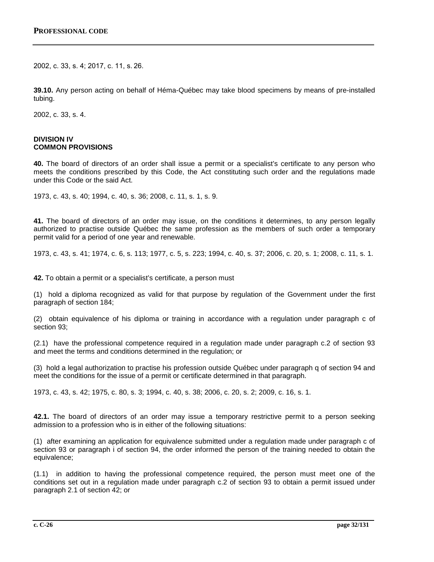2002, c. 33, s. 4; 2017, c. 11, s. 26.

**39.10.** Any person acting on behalf of Héma-Québec may take blood specimens by means of pre-installed tubing.

2002, c. 33, s. 4.

#### **DIVISION IV COMMON PROVISIONS**

**40.** The board of directors of an order shall issue a permit or a specialist's certificate to any person who meets the conditions prescribed by this Code, the Act constituting such order and the regulations made under this Code or the said Act.

1973, c. 43, s. 40; 1994, c. 40, s. 36; 2008, c. 11, s. 1, s. 9.

**41.** The board of directors of an order may issue, on the conditions it determines, to any person legally authorized to practise outside Québec the same profession as the members of such order a temporary permit valid for a period of one year and renewable.

1973, c. 43, s. 41; 1974, c. 6, s. 113; 1977, c. 5, s. 223; 1994, c. 40, s. 37; 2006, c. 20, s. 1; 2008, c. 11, s. 1.

**42.** To obtain a permit or a specialist's certificate, a person must

(1) hold a diploma recognized as valid for that purpose by regulation of the Government under the first paragraph of section 184;

(2) obtain equivalence of his diploma or training in accordance with a regulation under paragraph c of section 93;

(2.1) have the professional competence required in a regulation made under paragraph c.2 of section 93 and meet the terms and conditions determined in the regulation; or

(3) hold a legal authorization to practise his profession outside Québec under paragraph q of section 94 and meet the conditions for the issue of a permit or certificate determined in that paragraph.

1973, c. 43, s. 42; 1975, c. 80, s. 3; 1994, c. 40, s. 38; 2006, c. 20, s. 2; 2009, c. 16, s. 1.

**42.1.** The board of directors of an order may issue a temporary restrictive permit to a person seeking admission to a profession who is in either of the following situations:

(1) after examining an application for equivalence submitted under a regulation made under paragraph c of section 93 or paragraph i of section 94, the order informed the person of the training needed to obtain the equivalence;

(1.1) in addition to having the professional competence required, the person must meet one of the conditions set out in a regulation made under paragraph c.2 of section 93 to obtain a permit issued under paragraph 2.1 of section 42; or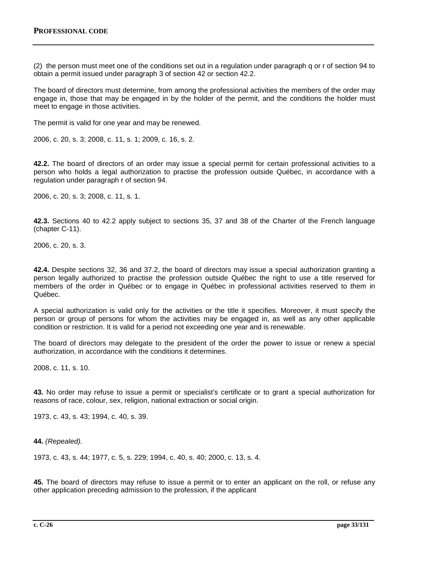(2) the person must meet one of the conditions set out in a regulation under paragraph q or r of section 94 to obtain a permit issued under paragraph 3 of section 42 or section 42.2.

The board of directors must determine, from among the professional activities the members of the order may engage in, those that may be engaged in by the holder of the permit, and the conditions the holder must meet to engage in those activities.

The permit is valid for one year and may be renewed.

2006, c. 20, s. 3; 2008, c. 11, s. 1; 2009, c. 16, s. 2.

**42.2.** The board of directors of an order may issue a special permit for certain professional activities to a person who holds a legal authorization to practise the profession outside Québec, in accordance with a regulation under paragraph r of section 94.

2006, c. 20, s. 3; 2008, c. 11, s. 1.

**42.3.** Sections 40 to 42.2 apply subject to sections 35, 37 and 38 of the Charter of the French language (chapter C-11).

2006, c. 20, s. 3.

**42.4.** Despite sections 32, 36 and 37.2, the board of directors may issue a special authorization granting a person legally authorized to practise the profession outside Québec the right to use a title reserved for members of the order in Québec or to engage in Québec in professional activities reserved to them in Québec.

A special authorization is valid only for the activities or the title it specifies. Moreover, it must specify the person or group of persons for whom the activities may be engaged in, as well as any other applicable condition or restriction. It is valid for a period not exceeding one year and is renewable.

The board of directors may delegate to the president of the order the power to issue or renew a special authorization, in accordance with the conditions it determines.

2008, c. 11, s. 10.

**43.** No order may refuse to issue a permit or specialist's certificate or to grant a special authorization for reasons of race, colour, sex, religion, national extraction or social origin.

1973, c. 43, s. 43; 1994, c. 40, s. 39.

**44.** *(Repealed).*

1973, c. 43, s. 44; 1977, c. 5, s. 229; 1994, c. 40, s. 40; 2000, c. 13, s. 4.

**45.** The board of directors may refuse to issue a permit or to enter an applicant on the roll, or refuse any other application preceding admission to the profession, if the applicant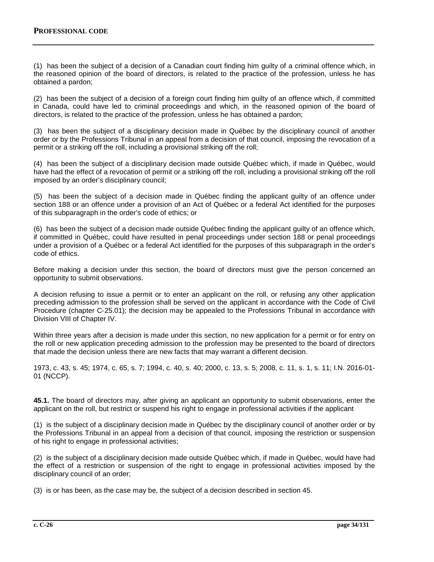(1) has been the subject of a decision of a Canadian court finding him guilty of a criminal offence which, in the reasoned opinion of the board of directors, is related to the practice of the profession, unless he has obtained a pardon;

(2) has been the subject of a decision of a foreign court finding him guilty of an offence which, if committed in Canada, could have led to criminal proceedings and which, in the reasoned opinion of the board of directors, is related to the practice of the profession, unless he has obtained a pardon;

(3) has been the subject of a disciplinary decision made in Québec by the disciplinary council of another order or by the Professions Tribunal in an appeal from a decision of that council, imposing the revocation of a permit or a striking off the roll, including a provisional striking off the roll;

(4) has been the subject of a disciplinary decision made outside Québec which, if made in Québec, would have had the effect of a revocation of permit or a striking off the roll, including a provisional striking off the roll imposed by an order's disciplinary council;

(5) has been the subject of a decision made in Québec finding the applicant guilty of an offence under section 188 or an offence under a provision of an Act of Québec or a federal Act identified for the purposes of this subparagraph in the order's code of ethics; or

(6) has been the subject of a decision made outside Québec finding the applicant guilty of an offence which, if committed in Québec, could have resulted in penal proceedings under section 188 or penal proceedings under a provision of a Québec or a federal Act identified for the purposes of this subparagraph in the order's code of ethics.

Before making a decision under this section, the board of directors must give the person concerned an opportunity to submit observations.

A decision refusing to issue a permit or to enter an applicant on the roll, or refusing any other application preceding admission to the profession shall be served on the applicant in accordance with the Code of Civil Procedure (chapter C‐25.01); the decision may be appealed to the Professions Tribunal in accordance with Division VIII of Chapter IV.

Within three years after a decision is made under this section, no new application for a permit or for entry on the roll or new application preceding admission to the profession may be presented to the board of directors that made the decision unless there are new facts that may warrant a different decision.

1973, c. 43, s. 45; 1974, c. 65, s. 7; 1994, c. 40, s. 40; 2000, c. 13, s. 5; 2008, c. 11, s. 1, s. 11; I.N. 2016-01- 01 (NCCP).

**45.1.** The board of directors may, after giving an applicant an opportunity to submit observations, enter the applicant on the roll, but restrict or suspend his right to engage in professional activities if the applicant

(1) is the subject of a disciplinary decision made in Québec by the disciplinary council of another order or by the Professions Tribunal in an appeal from a decision of that council, imposing the restriction or suspension of his right to engage in professional activities;

(2) is the subject of a disciplinary decision made outside Québec which, if made in Québec, would have had the effect of a restriction or suspension of the right to engage in professional activities imposed by the disciplinary council of an order;

(3) is or has been, as the case may be, the subject of a decision described in section 45.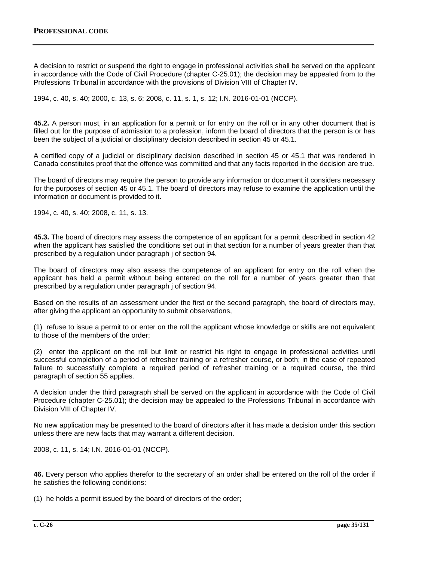A decision to restrict or suspend the right to engage in professional activities shall be served on the applicant in accordance with the Code of Civil Procedure (chapter C‐25.01); the decision may be appealed from to the Professions Tribunal in accordance with the provisions of Division VIII of Chapter IV.

1994, c. 40, s. 40; 2000, c. 13, s. 6; 2008, c. 11, s. 1, s. 12; I.N. 2016-01-01 (NCCP).

**45.2.** A person must, in an application for a permit or for entry on the roll or in any other document that is filled out for the purpose of admission to a profession, inform the board of directors that the person is or has been the subject of a judicial or disciplinary decision described in section 45 or 45.1.

A certified copy of a judicial or disciplinary decision described in section 45 or 45.1 that was rendered in Canada constitutes proof that the offence was committed and that any facts reported in the decision are true.

The board of directors may require the person to provide any information or document it considers necessary for the purposes of section 45 or 45.1. The board of directors may refuse to examine the application until the information or document is provided to it.

1994, c. 40, s. 40; 2008, c. 11, s. 13.

**45.3.** The board of directors may assess the competence of an applicant for a permit described in section 42 when the applicant has satisfied the conditions set out in that section for a number of years greater than that prescribed by a regulation under paragraph j of section 94.

The board of directors may also assess the competence of an applicant for entry on the roll when the applicant has held a permit without being entered on the roll for a number of years greater than that prescribed by a regulation under paragraph j of section 94.

Based on the results of an assessment under the first or the second paragraph, the board of directors may, after giving the applicant an opportunity to submit observations,

(1) refuse to issue a permit to or enter on the roll the applicant whose knowledge or skills are not equivalent to those of the members of the order;

(2) enter the applicant on the roll but limit or restrict his right to engage in professional activities until successful completion of a period of refresher training or a refresher course, or both; in the case of repeated failure to successfully complete a required period of refresher training or a required course, the third paragraph of section 55 applies.

A decision under the third paragraph shall be served on the applicant in accordance with the Code of Civil Procedure (chapter C‐25.01); the decision may be appealed to the Professions Tribunal in accordance with Division VIII of Chapter IV.

No new application may be presented to the board of directors after it has made a decision under this section unless there are new facts that may warrant a different decision.

2008, c. 11, s. 14; I.N. 2016-01-01 (NCCP).

**46.** Every person who applies therefor to the secretary of an order shall be entered on the roll of the order if he satisfies the following conditions:

(1) he holds a permit issued by the board of directors of the order;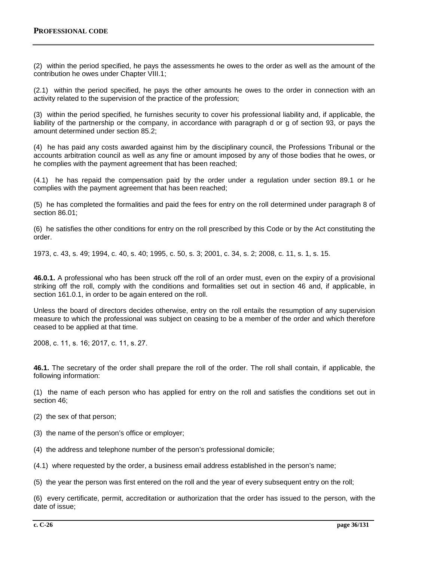(2) within the period specified, he pays the assessments he owes to the order as well as the amount of the contribution he owes under Chapter VIII.1;

(2.1) within the period specified, he pays the other amounts he owes to the order in connection with an activity related to the supervision of the practice of the profession;

(3) within the period specified, he furnishes security to cover his professional liability and, if applicable, the liability of the partnership or the company, in accordance with paragraph d or g of section 93, or pays the amount determined under section 85.2;

(4) he has paid any costs awarded against him by the disciplinary council, the Professions Tribunal or the accounts arbitration council as well as any fine or amount imposed by any of those bodies that he owes, or he complies with the payment agreement that has been reached;

(4.1) he has repaid the compensation paid by the order under a regulation under section 89.1 or he complies with the payment agreement that has been reached;

(5) he has completed the formalities and paid the fees for entry on the roll determined under paragraph 8 of section 86.01;

(6) he satisfies the other conditions for entry on the roll prescribed by this Code or by the Act constituting the order.

1973, c. 43, s. 49; 1994, c. 40, s. 40; 1995, c. 50, s. 3; 2001, c. 34, s. 2; 2008, c. 11, s. 1, s. 15.

**46.0.1.** A professional who has been struck off the roll of an order must, even on the expiry of a provisional striking off the roll, comply with the conditions and formalities set out in section 46 and, if applicable, in section 161.0.1, in order to be again entered on the roll.

Unless the board of directors decides otherwise, entry on the roll entails the resumption of any supervision measure to which the professional was subject on ceasing to be a member of the order and which therefore ceased to be applied at that time.

2008, c. 11, s. 16; 2017, c. 11, s. 27.

**46.1.** The secretary of the order shall prepare the roll of the order. The roll shall contain, if applicable, the following information:

(1) the name of each person who has applied for entry on the roll and satisfies the conditions set out in section 46;

(2) the sex of that person;

(3) the name of the person's office or employer;

(4) the address and telephone number of the person's professional domicile;

(4.1) where requested by the order, a business email address established in the person's name;

(5) the year the person was first entered on the roll and the year of every subsequent entry on the roll;

(6) every certificate, permit, accreditation or authorization that the order has issued to the person, with the date of issue;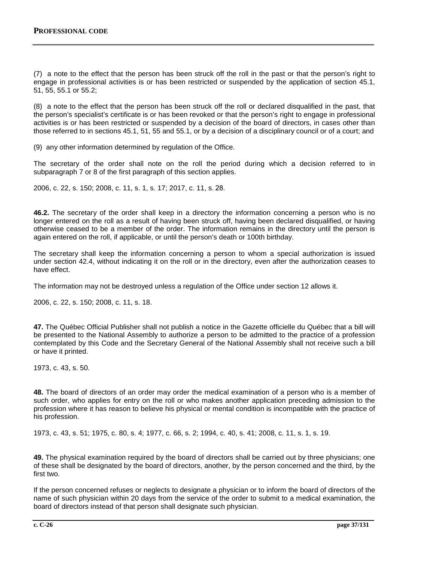(7) a note to the effect that the person has been struck off the roll in the past or that the person's right to engage in professional activities is or has been restricted or suspended by the application of section 45.1, 51, 55, 55.1 or 55.2;

(8) a note to the effect that the person has been struck off the roll or declared disqualified in the past, that the person's specialist's certificate is or has been revoked or that the person's right to engage in professional activities is or has been restricted or suspended by a decision of the board of directors, in cases other than those referred to in sections 45.1, 51, 55 and 55.1, or by a decision of a disciplinary council or of a court; and

(9) any other information determined by regulation of the Office.

The secretary of the order shall note on the roll the period during which a decision referred to in subparagraph 7 or 8 of the first paragraph of this section applies.

2006, c. 22, s. 150; 2008, c. 11, s. 1, s. 17; 2017, c. 11, s. 28.

**46.2.** The secretary of the order shall keep in a directory the information concerning a person who is no longer entered on the roll as a result of having been struck off, having been declared disqualified, or having otherwise ceased to be a member of the order. The information remains in the directory until the person is again entered on the roll, if applicable, or until the person's death or 100th birthday.

The secretary shall keep the information concerning a person to whom a special authorization is issued under section 42.4, without indicating it on the roll or in the directory, even after the authorization ceases to have effect.

The information may not be destroyed unless a regulation of the Office under section 12 allows it.

2006, c. 22, s. 150; 2008, c. 11, s. 18.

**47.** The Québec Official Publisher shall not publish a notice in the Gazette officielle du Québec that a bill will be presented to the National Assembly to authorize a person to be admitted to the practice of a profession contemplated by this Code and the Secretary General of the National Assembly shall not receive such a bill or have it printed.

1973, c. 43, s. 50.

**48.** The board of directors of an order may order the medical examination of a person who is a member of such order, who applies for entry on the roll or who makes another application preceding admission to the profession where it has reason to believe his physical or mental condition is incompatible with the practice of his profession.

1973, c. 43, s. 51; 1975, c. 80, s. 4; 1977, c. 66, s. 2; 1994, c. 40, s. 41; 2008, c. 11, s. 1, s. 19.

**49.** The physical examination required by the board of directors shall be carried out by three physicians; one of these shall be designated by the board of directors, another, by the person concerned and the third, by the first two.

If the person concerned refuses or neglects to designate a physician or to inform the board of directors of the name of such physician within 20 days from the service of the order to submit to a medical examination, the board of directors instead of that person shall designate such physician.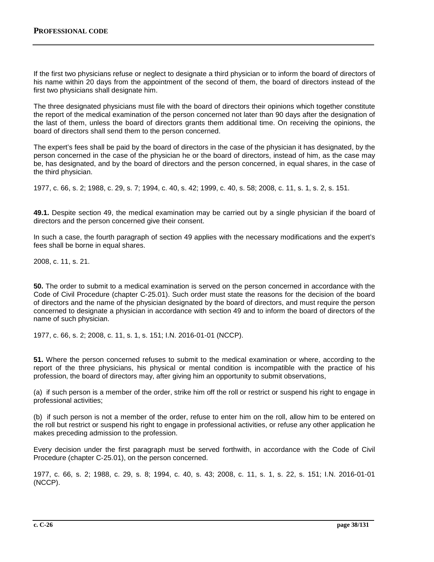If the first two physicians refuse or neglect to designate a third physician or to inform the board of directors of his name within 20 days from the appointment of the second of them, the board of directors instead of the first two physicians shall designate him.

The three designated physicians must file with the board of directors their opinions which together constitute the report of the medical examination of the person concerned not later than 90 days after the designation of the last of them, unless the board of directors grants them additional time. On receiving the opinions, the board of directors shall send them to the person concerned.

The expert's fees shall be paid by the board of directors in the case of the physician it has designated, by the person concerned in the case of the physician he or the board of directors, instead of him, as the case may be, has designated, and by the board of directors and the person concerned, in equal shares, in the case of the third physician.

1977, c. 66, s. 2; 1988, c. 29, s. 7; 1994, c. 40, s. 42; 1999, c. 40, s. 58; 2008, c. 11, s. 1, s. 2, s. 151.

**49.1.** Despite section 49, the medical examination may be carried out by a single physician if the board of directors and the person concerned give their consent.

In such a case, the fourth paragraph of section 49 applies with the necessary modifications and the expert's fees shall be borne in equal shares.

2008, c. 11, s. 21.

**50.** The order to submit to a medical examination is served on the person concerned in accordance with the Code of Civil Procedure (chapter C‐25.01). Such order must state the reasons for the decision of the board of directors and the name of the physician designated by the board of directors, and must require the person concerned to designate a physician in accordance with section 49 and to inform the board of directors of the name of such physician.

1977, c. 66, s. 2; 2008, c. 11, s. 1, s. 151; I.N. 2016-01-01 (NCCP).

**51.** Where the person concerned refuses to submit to the medical examination or where, according to the report of the three physicians, his physical or mental condition is incompatible with the practice of his profession, the board of directors may, after giving him an opportunity to submit observations,

(a) if such person is a member of the order, strike him off the roll or restrict or suspend his right to engage in professional activities;

(b) if such person is not a member of the order, refuse to enter him on the roll, allow him to be entered on the roll but restrict or suspend his right to engage in professional activities, or refuse any other application he makes preceding admission to the profession.

Every decision under the first paragraph must be served forthwith, in accordance with the Code of Civil Procedure (chapter C‐25.01), on the person concerned.

1977, c. 66, s. 2; 1988, c. 29, s. 8; 1994, c. 40, s. 43; 2008, c. 11, s. 1, s. 22, s. 151; I.N. 2016-01-01 (NCCP).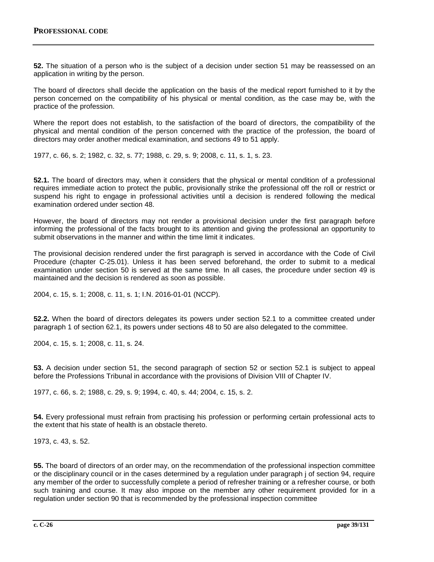**52.** The situation of a person who is the subject of a decision under section 51 may be reassessed on an application in writing by the person.

The board of directors shall decide the application on the basis of the medical report furnished to it by the person concerned on the compatibility of his physical or mental condition, as the case may be, with the practice of the profession.

Where the report does not establish, to the satisfaction of the board of directors, the compatibility of the physical and mental condition of the person concerned with the practice of the profession, the board of directors may order another medical examination, and sections 49 to 51 apply.

1977, c. 66, s. 2; 1982, c. 32, s. 77; 1988, c. 29, s. 9; 2008, c. 11, s. 1, s. 23.

**52.1.** The board of directors may, when it considers that the physical or mental condition of a professional requires immediate action to protect the public, provisionally strike the professional off the roll or restrict or suspend his right to engage in professional activities until a decision is rendered following the medical examination ordered under section 48.

However, the board of directors may not render a provisional decision under the first paragraph before informing the professional of the facts brought to its attention and giving the professional an opportunity to submit observations in the manner and within the time limit it indicates.

The provisional decision rendered under the first paragraph is served in accordance with the Code of Civil Procedure (chapter C‐25.01). Unless it has been served beforehand, the order to submit to a medical examination under section 50 is served at the same time. In all cases, the procedure under section 49 is maintained and the decision is rendered as soon as possible.

2004, c. 15, s. 1; 2008, c. 11, s. 1; I.N. 2016-01-01 (NCCP).

**52.2.** When the board of directors delegates its powers under section 52.1 to a committee created under paragraph 1 of section 62.1, its powers under sections 48 to 50 are also delegated to the committee.

2004, c. 15, s. 1; 2008, c. 11, s. 24.

**53.** A decision under section 51, the second paragraph of section 52 or section 52.1 is subject to appeal before the Professions Tribunal in accordance with the provisions of Division VIII of Chapter IV.

1977, c. 66, s. 2; 1988, c. 29, s. 9; 1994, c. 40, s. 44; 2004, c. 15, s. 2.

**54.** Every professional must refrain from practising his profession or performing certain professional acts to the extent that his state of health is an obstacle thereto.

1973, c. 43, s. 52.

**55.** The board of directors of an order may, on the recommendation of the professional inspection committee or the disciplinary council or in the cases determined by a regulation under paragraph j of section 94, require any member of the order to successfully complete a period of refresher training or a refresher course, or both such training and course. It may also impose on the member any other requirement provided for in a regulation under section 90 that is recommended by the professional inspection committee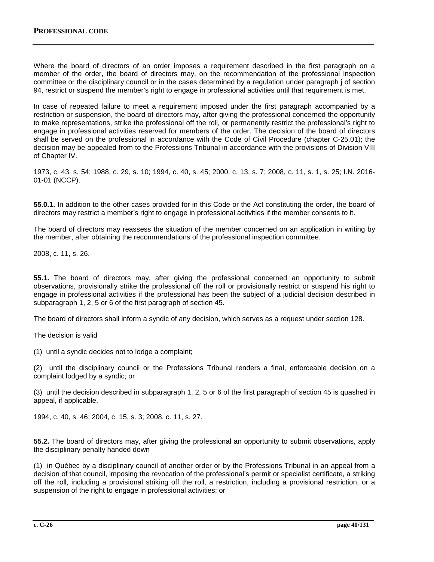Where the board of directors of an order imposes a requirement described in the first paragraph on a member of the order, the board of directors may, on the recommendation of the professional inspection committee or the disciplinary council or in the cases determined by a regulation under paragraph j of section 94, restrict or suspend the member's right to engage in professional activities until that requirement is met.

In case of repeated failure to meet a requirement imposed under the first paragraph accompanied by a restriction or suspension, the board of directors may, after giving the professional concerned the opportunity to make representations, strike the professional off the roll, or permanently restrict the professional's right to engage in professional activities reserved for members of the order. The decision of the board of directors shall be served on the professional in accordance with the Code of Civil Procedure (chapter C‐25.01); the decision may be appealed from to the Professions Tribunal in accordance with the provisions of Division VIII of Chapter IV.

1973, c. 43, s. 54; 1988, c. 29, s. 10; 1994, c. 40, s. 45; 2000, c. 13, s. 7; 2008, c. 11, s. 1, s. 25; I.N. 2016- 01-01 (NCCP).

**55.0.1.** In addition to the other cases provided for in this Code or the Act constituting the order, the board of directors may restrict a member's right to engage in professional activities if the member consents to it.

The board of directors may reassess the situation of the member concerned on an application in writing by the member, after obtaining the recommendations of the professional inspection committee.

2008, c. 11, s. 26.

**55.1.** The board of directors may, after giving the professional concerned an opportunity to submit observations, provisionally strike the professional off the roll or provisionally restrict or suspend his right to engage in professional activities if the professional has been the subject of a judicial decision described in subparagraph 1, 2, 5 or 6 of the first paragraph of section 45.

The board of directors shall inform a syndic of any decision, which serves as a request under section 128.

The decision is valid

(1) until a syndic decides not to lodge a complaint;

(2) until the disciplinary council or the Professions Tribunal renders a final, enforceable decision on a complaint lodged by a syndic; or

(3) until the decision described in subparagraph 1, 2, 5 or 6 of the first paragraph of section 45 is quashed in appeal, if applicable.

1994, c. 40, s. 46; 2004, c. 15, s. 3; 2008, c. 11, s. 27.

**55.2.** The board of directors may, after giving the professional an opportunity to submit observations, apply the disciplinary penalty handed down

(1) in Québec by a disciplinary council of another order or by the Professions Tribunal in an appeal from a decision of that council, imposing the revocation of the professional's permit or specialist certificate, a striking off the roll, including a provisional striking off the roll, a restriction, including a provisional restriction, or a suspension of the right to engage in professional activities; or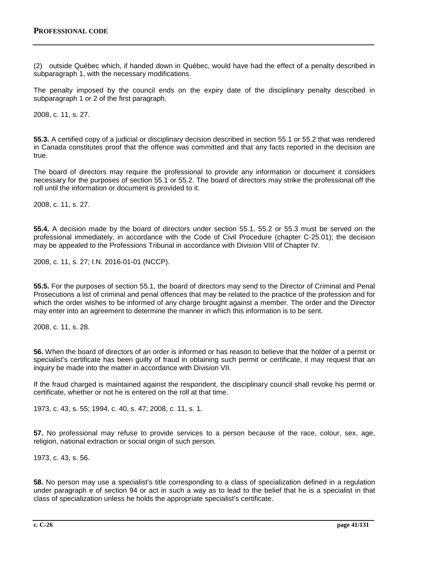(2) outside Québec which, if handed down in Québec, would have had the effect of a penalty described in subparagraph 1, with the necessary modifications.

The penalty imposed by the council ends on the expiry date of the disciplinary penalty described in subparagraph 1 or 2 of the first paragraph.

2008, c. 11, s. 27.

**55.3.** A certified copy of a judicial or disciplinary decision described in section 55.1 or 55.2 that was rendered in Canada constitutes proof that the offence was committed and that any facts reported in the decision are true.

The board of directors may require the professional to provide any information or document it considers necessary for the purposes of section 55.1 or 55.2. The board of directors may strike the professional off the roll until the information or document is provided to it.

2008, c. 11, s. 27.

**55.4.** A decision made by the board of directors under section 55.1, 55.2 or 55.3 must be served on the professional immediately, in accordance with the Code of Civil Procedure (chapter C‐25.01); the decision may be appealed to the Professions Tribunal in accordance with Division VIII of Chapter IV.

2008, c. 11, s. 27; I.N. 2016-01-01 (NCCP).

**55.5.** For the purposes of section 55.1, the board of directors may send to the Director of Criminal and Penal Prosecutions a list of criminal and penal offences that may be related to the practice of the profession and for which the order wishes to be informed of any charge brought against a member. The order and the Director may enter into an agreement to determine the manner in which this information is to be sent.

2008, c. 11, s. 28.

**56.** When the board of directors of an order is informed or has reason to believe that the holder of a permit or specialist's certificate has been guilty of fraud in obtaining such permit or certificate, it may request that an inquiry be made into the matter in accordance with Division VII.

If the fraud charged is maintained against the respondent, the disciplinary council shall revoke his permit or certificate, whether or not he is entered on the roll at that time.

1973, c. 43, s. 55; 1994, c. 40, s. 47; 2008, c. 11, s. 1.

**57.** No professional may refuse to provide services to a person because of the race, colour, sex, age, religion, national extraction or social origin of such person.

1973, c. 43, s. 56.

**58.** No person may use a specialist's title corresponding to a class of specialization defined in a regulation under paragraph e of section 94 or act in such a way as to lead to the belief that he is a specialist in that class of specialization unless he holds the appropriate specialist's certificate.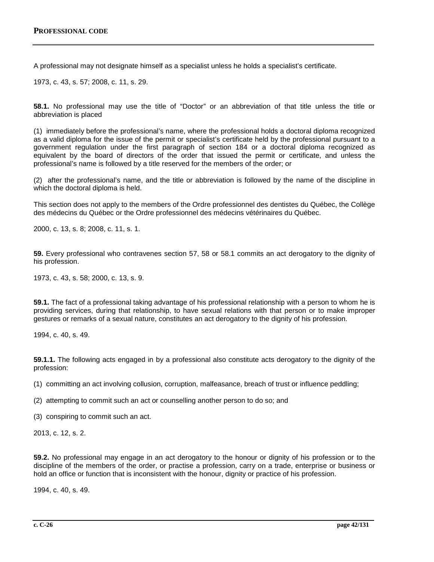A professional may not designate himself as a specialist unless he holds a specialist's certificate.

1973, c. 43, s. 57; 2008, c. 11, s. 29.

**58.1.** No professional may use the title of "Doctor" or an abbreviation of that title unless the title or abbreviation is placed

(1) immediately before the professional's name, where the professional holds a doctoral diploma recognized as a valid diploma for the issue of the permit or specialist's certificate held by the professional pursuant to a government regulation under the first paragraph of section 184 or a doctoral diploma recognized as equivalent by the board of directors of the order that issued the permit or certificate, and unless the professional's name is followed by a title reserved for the members of the order; or

(2) after the professional's name, and the title or abbreviation is followed by the name of the discipline in which the doctoral diploma is held.

This section does not apply to the members of the Ordre professionnel des dentistes du Québec, the Collège des médecins du Québec or the Ordre professionnel des médecins vétérinaires du Québec.

2000, c. 13, s. 8; 2008, c. 11, s. 1.

**59.** Every professional who contravenes section 57, 58 or 58.1 commits an act derogatory to the dignity of his profession.

1973, c. 43, s. 58; 2000, c. 13, s. 9.

**59.1.** The fact of a professional taking advantage of his professional relationship with a person to whom he is providing services, during that relationship, to have sexual relations with that person or to make improper gestures or remarks of a sexual nature, constitutes an act derogatory to the dignity of his profession.

1994, c. 40, s. 49.

**59.1.1.** The following acts engaged in by a professional also constitute acts derogatory to the dignity of the profession:

(1) committing an act involving collusion, corruption, malfeasance, breach of trust or influence peddling;

(2) attempting to commit such an act or counselling another person to do so; and

(3) conspiring to commit such an act.

2013, c. 12, s. 2.

**59.2.** No professional may engage in an act derogatory to the honour or dignity of his profession or to the discipline of the members of the order, or practise a profession, carry on a trade, enterprise or business or hold an office or function that is inconsistent with the honour, dignity or practice of his profession.

1994, c. 40, s. 49.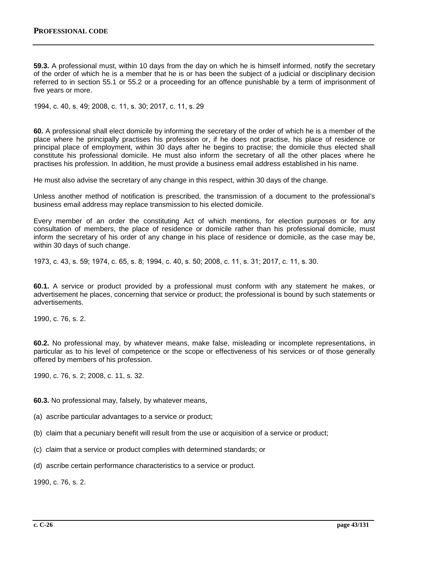**59.3.** A professional must, within 10 days from the day on which he is himself informed, notify the secretary of the order of which he is a member that he is or has been the subject of a judicial or disciplinary decision referred to in section 55.1 or 55.2 or a proceeding for an offence punishable by a term of imprisonment of five years or more.

1994, c. 40, s. 49; 2008, c. 11, s. 30; 2017, c. 11, s. 29

**60.** A professional shall elect domicile by informing the secretary of the order of which he is a member of the place where he principally practises his profession or, if he does not practise, his place of residence or principal place of employment, within 30 days after he begins to practise; the domicile thus elected shall constitute his professional domicile. He must also inform the secretary of all the other places where he practises his profession. In addition, he must provide a business email address established in his name.

He must also advise the secretary of any change in this respect, within 30 days of the change.

Unless another method of notification is prescribed, the transmission of a document to the professional's business email address may replace transmission to his elected domicile.

Every member of an order the constituting Act of which mentions, for election purposes or for any consultation of members, the place of residence or domicile rather than his professional domicile, must inform the secretary of his order of any change in his place of residence or domicile, as the case may be, within 30 days of such change.

1973, c. 43, s. 59; 1974, c. 65, s. 8; 1994, c. 40, s. 50; 2008, c. 11, s. 31; 2017, c. 11, s. 30.

**60.1.** A service or product provided by a professional must conform with any statement he makes, or advertisement he places, concerning that service or product; the professional is bound by such statements or advertisements.

1990, c. 76, s. 2.

**60.2.** No professional may, by whatever means, make false, misleading or incomplete representations, in particular as to his level of competence or the scope or effectiveness of his services or of those generally offered by members of his profession.

1990, c. 76, s. 2; 2008, c. 11, s. 32.

**60.3.** No professional may, falsely, by whatever means,

- (a) ascribe particular advantages to a service or product;
- (b) claim that a pecuniary benefit will result from the use or acquisition of a service or product;
- (c) claim that a service or product complies with determined standards; or
- (d) ascribe certain performance characteristics to a service or product.

1990, c. 76, s. 2.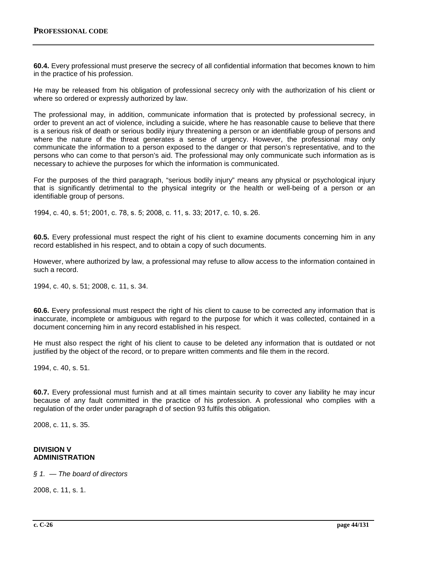**60.4.** Every professional must preserve the secrecy of all confidential information that becomes known to him in the practice of his profession.

He may be released from his obligation of professional secrecy only with the authorization of his client or where so ordered or expressly authorized by law.

The professional may, in addition, communicate information that is protected by professional secrecy, in order to prevent an act of violence, including a suicide, where he has reasonable cause to believe that there is a serious risk of death or serious bodily injury threatening a person or an identifiable group of persons and where the nature of the threat generates a sense of urgency. However, the professional may only communicate the information to a person exposed to the danger or that person's representative, and to the persons who can come to that person's aid. The professional may only communicate such information as is necessary to achieve the purposes for which the information is communicated.

For the purposes of the third paragraph, "serious bodily injury" means any physical or psychological injury that is significantly detrimental to the physical integrity or the health or well-being of a person or an identifiable group of persons.

1994, c. 40, s. 51; 2001, c. 78, s. 5; 2008, c. 11, s. 33; 2017, c. 10, s. 26.

**60.5.** Every professional must respect the right of his client to examine documents concerning him in any record established in his respect, and to obtain a copy of such documents.

However, where authorized by law, a professional may refuse to allow access to the information contained in such a record.

1994, c. 40, s. 51; 2008, c. 11, s. 34.

**60.6.** Every professional must respect the right of his client to cause to be corrected any information that is inaccurate, incomplete or ambiguous with regard to the purpose for which it was collected, contained in a document concerning him in any record established in his respect.

He must also respect the right of his client to cause to be deleted any information that is outdated or not justified by the object of the record, or to prepare written comments and file them in the record.

1994, c. 40, s. 51.

**60.7.** Every professional must furnish and at all times maintain security to cover any liability he may incur because of any fault committed in the practice of his profession. A professional who complies with a regulation of the order under paragraph d of section 93 fulfils this obligation.

2008, c. 11, s. 35.

## **DIVISION V ADMINISTRATION**

*§ 1. — The board of directors*

2008, c. 11, s. 1.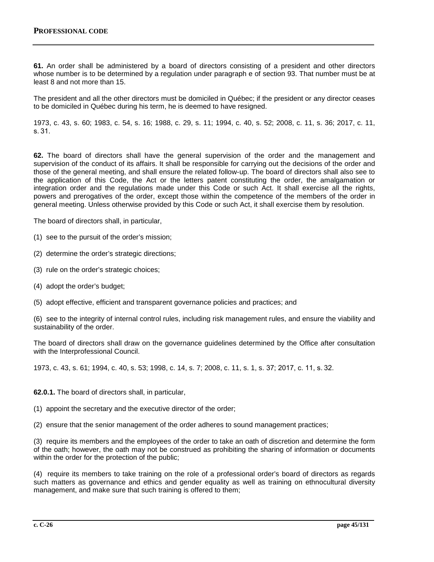**61.** An order shall be administered by a board of directors consisting of a president and other directors whose number is to be determined by a regulation under paragraph e of section 93. That number must be at least 8 and not more than 15.

The president and all the other directors must be domiciled in Québec; if the president or any director ceases to be domiciled in Québec during his term, he is deemed to have resigned.

1973, c. 43, s. 60; 1983, c. 54, s. 16; 1988, c. 29, s. 11; 1994, c. 40, s. 52; 2008, c. 11, s. 36; 2017, c. 11, s. 31.

**62.** The board of directors shall have the general supervision of the order and the management and supervision of the conduct of its affairs. It shall be responsible for carrying out the decisions of the order and those of the general meeting, and shall ensure the related follow-up. The board of directors shall also see to the application of this Code, the Act or the letters patent constituting the order, the amalgamation or integration order and the regulations made under this Code or such Act. It shall exercise all the rights, powers and prerogatives of the order, except those within the competence of the members of the order in general meeting. Unless otherwise provided by this Code or such Act, it shall exercise them by resolution.

The board of directors shall, in particular,

- (1) see to the pursuit of the order's mission;
- (2) determine the order's strategic directions;
- (3) rule on the order's strategic choices;
- (4) adopt the order's budget;
- (5) adopt effective, efficient and transparent governance policies and practices; and

(6) see to the integrity of internal control rules, including risk management rules, and ensure the viability and sustainability of the order.

The board of directors shall draw on the governance guidelines determined by the Office after consultation with the Interprofessional Council.

1973, c. 43, s. 61; 1994, c. 40, s. 53; 1998, c. 14, s. 7; 2008, c. 11, s. 1, s. 37; 2017, c. 11, s. 32.

**62.0.1.** The board of directors shall, in particular,

(1) appoint the secretary and the executive director of the order;

(2) ensure that the senior management of the order adheres to sound management practices;

(3) require its members and the employees of the order to take an oath of discretion and determine the form of the oath; however, the oath may not be construed as prohibiting the sharing of information or documents within the order for the protection of the public;

(4) require its members to take training on the role of a professional order's board of directors as regards such matters as governance and ethics and gender equality as well as training on ethnocultural diversity management, and make sure that such training is offered to them;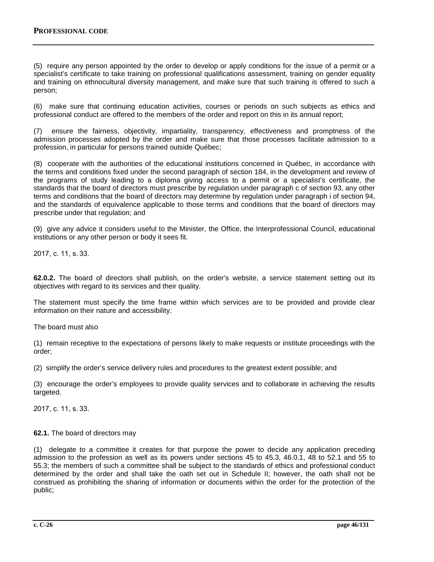(5) require any person appointed by the order to develop or apply conditions for the issue of a permit or a specialist's certificate to take training on professional qualifications assessment, training on gender equality and training on ethnocultural diversity management, and make sure that such training is offered to such a person;

(6) make sure that continuing education activities, courses or periods on such subjects as ethics and professional conduct are offered to the members of the order and report on this in its annual report;

(7) ensure the fairness, objectivity, impartiality, transparency, effectiveness and promptness of the admission processes adopted by the order and make sure that those processes facilitate admission to a profession, in particular for persons trained outside Québec;

(8) cooperate with the authorities of the educational institutions concerned in Québec, in accordance with the terms and conditions fixed under the second paragraph of section 184, in the development and review of the programs of study leading to a diploma giving access to a permit or a specialist's certificate, the standards that the board of directors must prescribe by regulation under paragraph c of section 93, any other terms and conditions that the board of directors may determine by regulation under paragraph i of section 94, and the standards of equivalence applicable to those terms and conditions that the board of directors may prescribe under that regulation; and

(9) give any advice it considers useful to the Minister, the Office, the Interprofessional Council, educational institutions or any other person or body it sees fit.

2017, c. 11, s. 33.

**62.0.2.** The board of directors shall publish, on the order's website, a service statement setting out its objectives with regard to its services and their quality.

The statement must specify the time frame within which services are to be provided and provide clear information on their nature and accessibility.

The board must also

(1) remain receptive to the expectations of persons likely to make requests or institute proceedings with the order;

(2) simplify the order's service delivery rules and procedures to the greatest extent possible; and

(3) encourage the order's employees to provide quality services and to collaborate in achieving the results targeted.

2017, c. 11, s. 33.

## **62.1.** The board of directors may

(1) delegate to a committee it creates for that purpose the power to decide any application preceding admission to the profession as well as its powers under sections 45 to 45.3, 46.0.1, 48 to 52.1 and 55 to 55.3; the members of such a committee shall be subject to the standards of ethics and professional conduct determined by the order and shall take the oath set out in Schedule II; however, the oath shall not be construed as prohibiting the sharing of information or documents within the order for the protection of the public;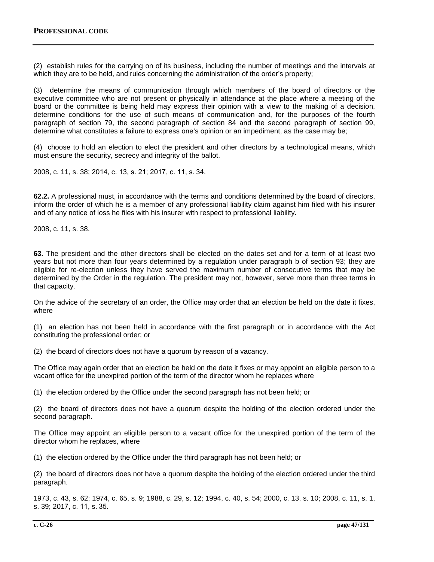(2) establish rules for the carrying on of its business, including the number of meetings and the intervals at which they are to be held, and rules concerning the administration of the order's property;

(3) determine the means of communication through which members of the board of directors or the executive committee who are not present or physically in attendance at the place where a meeting of the board or the committee is being held may express their opinion with a view to the making of a decision, determine conditions for the use of such means of communication and, for the purposes of the fourth paragraph of section 79, the second paragraph of section 84 and the second paragraph of section 99, determine what constitutes a failure to express one's opinion or an impediment, as the case may be;

(4) choose to hold an election to elect the president and other directors by a technological means, which must ensure the security, secrecy and integrity of the ballot.

2008, c. 11, s. 38; 2014, c. 13, s. 21; 2017, c. 11, s. 34.

**62.2.** A professional must, in accordance with the terms and conditions determined by the board of directors, inform the order of which he is a member of any professional liability claim against him filed with his insurer and of any notice of loss he files with his insurer with respect to professional liability.

2008, c. 11, s. 38.

**63.** The president and the other directors shall be elected on the dates set and for a term of at least two years but not more than four years determined by a regulation under paragraph b of section 93; they are eligible for re-election unless they have served the maximum number of consecutive terms that may be determined by the Order in the regulation. The president may not, however, serve more than three terms in that capacity.

On the advice of the secretary of an order, the Office may order that an election be held on the date it fixes, where

(1) an election has not been held in accordance with the first paragraph or in accordance with the Act constituting the professional order; or

(2) the board of directors does not have a quorum by reason of a vacancy.

The Office may again order that an election be held on the date it fixes or may appoint an eligible person to a vacant office for the unexpired portion of the term of the director whom he replaces where

(1) the election ordered by the Office under the second paragraph has not been held; or

(2) the board of directors does not have a quorum despite the holding of the election ordered under the second paragraph.

The Office may appoint an eligible person to a vacant office for the unexpired portion of the term of the director whom he replaces, where

(1) the election ordered by the Office under the third paragraph has not been held; or

(2) the board of directors does not have a quorum despite the holding of the election ordered under the third paragraph.

1973, c. 43, s. 62; 1974, c. 65, s. 9; 1988, c. 29, s. 12; 1994, c. 40, s. 54; 2000, c. 13, s. 10; 2008, c. 11, s. 1, s. 39; 2017, c. 11, s. 35.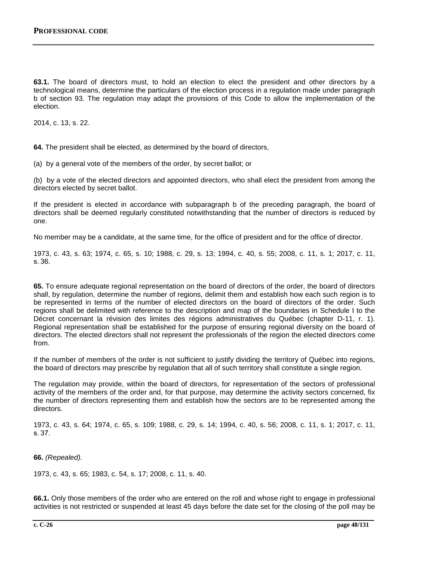**63.1.** The board of directors must, to hold an election to elect the president and other directors by a technological means, determine the particulars of the election process in a regulation made under paragraph b of section 93. The regulation may adapt the provisions of this Code to allow the implementation of the election.

2014, c. 13, s. 22.

**64.** The president shall be elected, as determined by the board of directors,

(a) by a general vote of the members of the order, by secret ballot; or

(b) by a vote of the elected directors and appointed directors, who shall elect the president from among the directors elected by secret ballot.

If the president is elected in accordance with subparagraph b of the preceding paragraph, the board of directors shall be deemed regularly constituted notwithstanding that the number of directors is reduced by one.

No member may be a candidate, at the same time, for the office of president and for the office of director.

1973, c. 43, s. 63; 1974, c. 65, s. 10; 1988, c. 29, s. 13; 1994, c. 40, s. 55; 2008, c. 11, s. 1; 2017, c. 11, s. 36.

**65.** To ensure adequate regional representation on the board of directors of the order, the board of directors shall, by regulation, determine the number of regions, delimit them and establish how each such region is to be represented in terms of the number of elected directors on the board of directors of the order. Such regions shall be delimited with reference to the description and map of the boundaries in Schedule I to the Décret concernant la révision des limites des régions administratives du Québec (chapter D-11, r. 1). Regional representation shall be established for the purpose of ensuring regional diversity on the board of directors. The elected directors shall not represent the professionals of the region the elected directors come from.

If the number of members of the order is not sufficient to justify dividing the territory of Québec into regions, the board of directors may prescribe by regulation that all of such territory shall constitute a single region.

The regulation may provide, within the board of directors, for representation of the sectors of professional activity of the members of the order and, for that purpose, may determine the activity sectors concerned, fix the number of directors representing them and establish how the sectors are to be represented among the directors.

1973, c. 43, s. 64; 1974, c. 65, s. 109; 1988, c. 29, s. 14; 1994, c. 40, s. 56; 2008, c. 11, s. 1; 2017, c. 11, s. 37.

**66.** *(Repealed).*

1973, c. 43, s. 65; 1983, c. 54, s. 17; 2008, c. 11, s. 40.

**66.1.** Only those members of the order who are entered on the roll and whose right to engage in professional activities is not restricted or suspended at least 45 days before the date set for the closing of the poll may be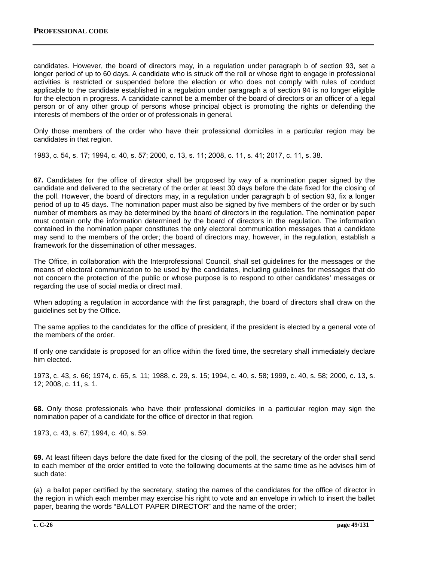candidates. However, the board of directors may, in a regulation under paragraph b of section 93, set a longer period of up to 60 days. A candidate who is struck off the roll or whose right to engage in professional activities is restricted or suspended before the election or who does not comply with rules of conduct applicable to the candidate established in a regulation under paragraph a of section 94 is no longer eligible for the election in progress. A candidate cannot be a member of the board of directors or an officer of a legal person or of any other group of persons whose principal object is promoting the rights or defending the interests of members of the order or of professionals in general.

Only those members of the order who have their professional domiciles in a particular region may be candidates in that region.

1983, c. 54, s. 17; 1994, c. 40, s. 57; 2000, c. 13, s. 11; 2008, c. 11, s. 41; 2017, c. 11, s. 38.

**67.** Candidates for the office of director shall be proposed by way of a nomination paper signed by the candidate and delivered to the secretary of the order at least 30 days before the date fixed for the closing of the poll. However, the board of directors may, in a regulation under paragraph b of section 93, fix a longer period of up to 45 days. The nomination paper must also be signed by five members of the order or by such number of members as may be determined by the board of directors in the regulation. The nomination paper must contain only the information determined by the board of directors in the regulation. The information contained in the nomination paper constitutes the only electoral communication messages that a candidate may send to the members of the order; the board of directors may, however, in the regulation, establish a framework for the dissemination of other messages.

The Office, in collaboration with the Interprofessional Council, shall set guidelines for the messages or the means of electoral communication to be used by the candidates, including guidelines for messages that do not concern the protection of the public or whose purpose is to respond to other candidates' messages or regarding the use of social media or direct mail.

When adopting a regulation in accordance with the first paragraph, the board of directors shall draw on the guidelines set by the Office.

The same applies to the candidates for the office of president, if the president is elected by a general vote of the members of the order.

If only one candidate is proposed for an office within the fixed time, the secretary shall immediately declare him elected.

1973, c. 43, s. 66; 1974, c. 65, s. 11; 1988, c. 29, s. 15; 1994, c. 40, s. 58; 1999, c. 40, s. 58; 2000, c. 13, s. 12; 2008, c. 11, s. 1.

**68.** Only those professionals who have their professional domiciles in a particular region may sign the nomination paper of a candidate for the office of director in that region.

1973, c. 43, s. 67; 1994, c. 40, s. 59.

**69.** At least fifteen days before the date fixed for the closing of the poll, the secretary of the order shall send to each member of the order entitled to vote the following documents at the same time as he advises him of such date:

(a) a ballot paper certified by the secretary, stating the names of the candidates for the office of director in the region in which each member may exercise his right to vote and an envelope in which to insert the ballet paper, bearing the words "BALLOT PAPER DIRECTOR" and the name of the order;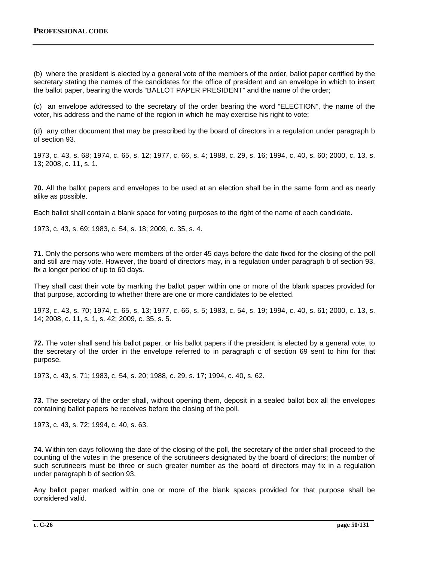(b) where the president is elected by a general vote of the members of the order, ballot paper certified by the secretary stating the names of the candidates for the office of president and an envelope in which to insert the ballot paper, bearing the words "BALLOT PAPER PRESIDENT" and the name of the order;

(c) an envelope addressed to the secretary of the order bearing the word "ELECTION", the name of the voter, his address and the name of the region in which he may exercise his right to vote;

(d) any other document that may be prescribed by the board of directors in a regulation under paragraph b of section 93.

1973, c. 43, s. 68; 1974, c. 65, s. 12; 1977, c. 66, s. 4; 1988, c. 29, s. 16; 1994, c. 40, s. 60; 2000, c. 13, s. 13; 2008, c. 11, s. 1.

**70.** All the ballot papers and envelopes to be used at an election shall be in the same form and as nearly alike as possible.

Each ballot shall contain a blank space for voting purposes to the right of the name of each candidate.

1973, c. 43, s. 69; 1983, c. 54, s. 18; 2009, c. 35, s. 4.

**71.** Only the persons who were members of the order 45 days before the date fixed for the closing of the poll and still are may vote. However, the board of directors may, in a regulation under paragraph b of section 93, fix a longer period of up to 60 days.

They shall cast their vote by marking the ballot paper within one or more of the blank spaces provided for that purpose, according to whether there are one or more candidates to be elected.

1973, c. 43, s. 70; 1974, c. 65, s. 13; 1977, c. 66, s. 5; 1983, c. 54, s. 19; 1994, c. 40, s. 61; 2000, c. 13, s. 14; 2008, c. 11, s. 1, s. 42; 2009, c. 35, s. 5.

**72.** The voter shall send his ballot paper, or his ballot papers if the president is elected by a general vote, to the secretary of the order in the envelope referred to in paragraph c of section 69 sent to him for that purpose.

1973, c. 43, s. 71; 1983, c. 54, s. 20; 1988, c. 29, s. 17; 1994, c. 40, s. 62.

**73.** The secretary of the order shall, without opening them, deposit in a sealed ballot box all the envelopes containing ballot papers he receives before the closing of the poll.

1973, c. 43, s. 72; 1994, c. 40, s. 63.

**74.** Within ten days following the date of the closing of the poll, the secretary of the order shall proceed to the counting of the votes in the presence of the scrutineers designated by the board of directors; the number of such scrutineers must be three or such greater number as the board of directors may fix in a regulation under paragraph b of section 93.

Any ballot paper marked within one or more of the blank spaces provided for that purpose shall be considered valid.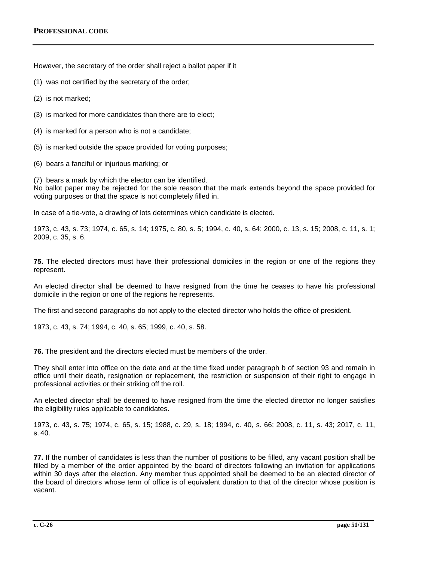However, the secretary of the order shall reject a ballot paper if it

- (1) was not certified by the secretary of the order;
- (2) is not marked;
- (3) is marked for more candidates than there are to elect;
- (4) is marked for a person who is not a candidate;
- (5) is marked outside the space provided for voting purposes;
- (6) bears a fanciful or injurious marking; or

(7) bears a mark by which the elector can be identified. No ballot paper may be rejected for the sole reason that the mark extends beyond the space provided for voting purposes or that the space is not completely filled in.

In case of a tie-vote, a drawing of lots determines which candidate is elected.

1973, c. 43, s. 73; 1974, c. 65, s. 14; 1975, c. 80, s. 5; 1994, c. 40, s. 64; 2000, c. 13, s. 15; 2008, c. 11, s. 1; 2009, c. 35, s. 6.

**75.** The elected directors must have their professional domiciles in the region or one of the regions they represent.

An elected director shall be deemed to have resigned from the time he ceases to have his professional domicile in the region or one of the regions he represents.

The first and second paragraphs do not apply to the elected director who holds the office of president.

1973, c. 43, s. 74; 1994, c. 40, s. 65; 1999, c. 40, s. 58.

**76.** The president and the directors elected must be members of the order.

They shall enter into office on the date and at the time fixed under paragraph b of section 93 and remain in office until their death, resignation or replacement, the restriction or suspension of their right to engage in professional activities or their striking off the roll.

An elected director shall be deemed to have resigned from the time the elected director no longer satisfies the eligibility rules applicable to candidates.

1973, c. 43, s. 75; 1974, c. 65, s. 15; 1988, c. 29, s. 18; 1994, c. 40, s. 66; 2008, c. 11, s. 43; 2017, c. 11, s. 40.

**77.** If the number of candidates is less than the number of positions to be filled, any vacant position shall be filled by a member of the order appointed by the board of directors following an invitation for applications within 30 days after the election. Any member thus appointed shall be deemed to be an elected director of the board of directors whose term of office is of equivalent duration to that of the director whose position is vacant.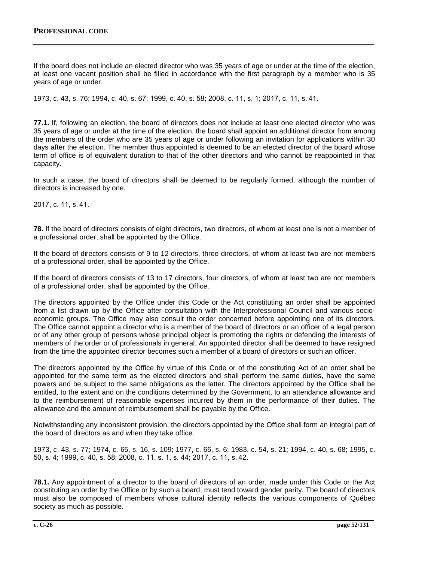If the board does not include an elected director who was 35 years of age or under at the time of the election, at least one vacant position shall be filled in accordance with the first paragraph by a member who is 35 years of age or under.

1973, c. 43, s. 76; 1994, c. 40, s. 67; 1999, c. 40, s. 58; 2008, c. 11, s. 1; 2017, c. 11, s. 41.

**77.1.** If, following an election, the board of directors does not include at least one elected director who was 35 years of age or under at the time of the election, the board shall appoint an additional director from among the members of the order who are 35 years of age or under following an invitation for applications within 30 days after the election. The member thus appointed is deemed to be an elected director of the board whose term of office is of equivalent duration to that of the other directors and who cannot be reappointed in that capacity.

In such a case, the board of directors shall be deemed to be regularly formed, although the number of directors is increased by one.

2017, c. 11, s. 41.

**78.** If the board of directors consists of eight directors, two directors, of whom at least one is not a member of a professional order, shall be appointed by the Office.

If the board of directors consists of 9 to 12 directors, three directors, of whom at least two are not members of a professional order, shall be appointed by the Office.

If the board of directors consists of 13 to 17 directors, four directors, of whom at least two are not members of a professional order, shall be appointed by the Office.

The directors appointed by the Office under this Code or the Act constituting an order shall be appointed from a list drawn up by the Office after consultation with the Interprofessional Council and various socioeconomic groups. The Office may also consult the order concerned before appointing one of its directors. The Office cannot appoint a director who is a member of the board of directors or an officer of a legal person or of any other group of persons whose principal object is promoting the rights or defending the interests of members of the order or of professionals in general. An appointed director shall be deemed to have resigned from the time the appointed director becomes such a member of a board of directors or such an officer.

The directors appointed by the Office by virtue of this Code or of the constituting Act of an order shall be appointed for the same term as the elected directors and shall perform the same duties, have the same powers and be subject to the same obligations as the latter. The directors appointed by the Office shall be entitled, to the extent and on the conditions determined by the Government, to an attendance allowance and to the reimbursement of reasonable expenses incurred by them in the performance of their duties. The allowance and the amount of reimbursement shall be payable by the Office.

Notwithstanding any inconsistent provision, the directors appointed by the Office shall form an integral part of the board of directors as and when they take office.

1973, c. 43, s. 77; 1974, c. 65, s. 16, s. 109; 1977, c. 66, s. 6; 1983, c. 54, s. 21; 1994, c. 40, s. 68; 1995, c. 50, s. 4; 1999, c. 40, s. 58; 2008, c. 11, s. 1, s. 44; 2017, c. 11, s. 42.

**78.1.** Any appointment of a director to the board of directors of an order, made under this Code or the Act constituting an order by the Office or by such a board, must tend toward gender parity. The board of directors must also be composed of members whose cultural identity reflects the various components of Québec society as much as possible.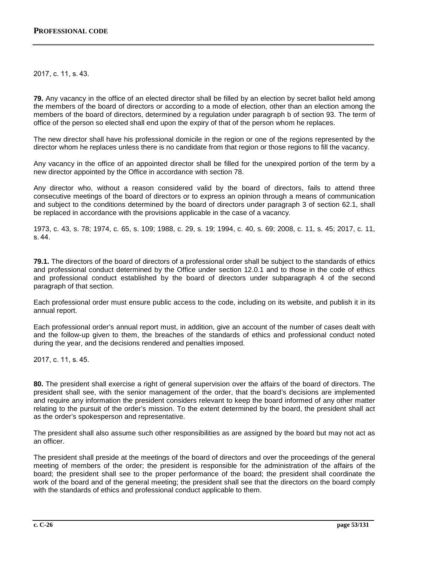2017, c. 11, s. 43.

**79.** Any vacancy in the office of an elected director shall be filled by an election by secret ballot held among the members of the board of directors or according to a mode of election, other than an election among the members of the board of directors, determined by a regulation under paragraph b of section 93. The term of office of the person so elected shall end upon the expiry of that of the person whom he replaces.

The new director shall have his professional domicile in the region or one of the regions represented by the director whom he replaces unless there is no candidate from that region or those regions to fill the vacancy.

Any vacancy in the office of an appointed director shall be filled for the unexpired portion of the term by a new director appointed by the Office in accordance with section 78.

Any director who, without a reason considered valid by the board of directors, fails to attend three consecutive meetings of the board of directors or to express an opinion through a means of communication and subject to the conditions determined by the board of directors under paragraph 3 of section 62.1, shall be replaced in accordance with the provisions applicable in the case of a vacancy.

1973, c. 43, s. 78; 1974, c. 65, s. 109; 1988, c. 29, s. 19; 1994, c. 40, s. 69; 2008, c. 11, s. 45; 2017, c. 11, s. 44.

**79.1.** The directors of the board of directors of a professional order shall be subject to the standards of ethics and professional conduct determined by the Office under section 12.0.1 and to those in the code of ethics and professional conduct established by the board of directors under subparagraph 4 of the second paragraph of that section.

Each professional order must ensure public access to the code, including on its website, and publish it in its annual report.

Each professional order's annual report must, in addition, give an account of the number of cases dealt with and the follow-up given to them, the breaches of the standards of ethics and professional conduct noted during the year, and the decisions rendered and penalties imposed.

2017, c. 11, s. 45.

**80.** The president shall exercise a right of general supervision over the affairs of the board of directors. The president shall see, with the senior management of the order, that the board's decisions are implemented and require any information the president considers relevant to keep the board informed of any other matter relating to the pursuit of the order's mission. To the extent determined by the board, the president shall act as the order's spokesperson and representative.

The president shall also assume such other responsibilities as are assigned by the board but may not act as an officer.

The president shall preside at the meetings of the board of directors and over the proceedings of the general meeting of members of the order; the president is responsible for the administration of the affairs of the board; the president shall see to the proper performance of the board; the president shall coordinate the work of the board and of the general meeting; the president shall see that the directors on the board comply with the standards of ethics and professional conduct applicable to them.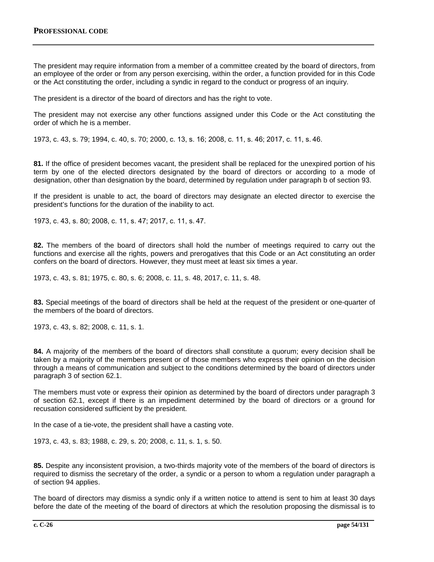The president may require information from a member of a committee created by the board of directors, from an employee of the order or from any person exercising, within the order, a function provided for in this Code or the Act constituting the order, including a syndic in regard to the conduct or progress of an inquiry.

The president is a director of the board of directors and has the right to vote.

The president may not exercise any other functions assigned under this Code or the Act constituting the order of which he is a member.

1973, c. 43, s. 79; 1994, c. 40, s. 70; 2000, c. 13, s. 16; 2008, c. 11, s. 46; 2017, c. 11, s. 46.

**81.** If the office of president becomes vacant, the president shall be replaced for the unexpired portion of his term by one of the elected directors designated by the board of directors or according to a mode of designation, other than designation by the board, determined by regulation under paragraph b of section 93.

If the president is unable to act, the board of directors may designate an elected director to exercise the president's functions for the duration of the inability to act.

1973, c. 43, s. 80; 2008, c. 11, s. 47; 2017, c. 11, s. 47.

**82.** The members of the board of directors shall hold the number of meetings required to carry out the functions and exercise all the rights, powers and prerogatives that this Code or an Act constituting an order confers on the board of directors. However, they must meet at least six times a year.

1973, c. 43, s. 81; 1975, c. 80, s. 6; 2008, c. 11, s. 48, 2017, c. 11, s. 48.

**83.** Special meetings of the board of directors shall be held at the request of the president or one-quarter of the members of the board of directors.

1973, c. 43, s. 82; 2008, c. 11, s. 1.

**84.** A majority of the members of the board of directors shall constitute a quorum; every decision shall be taken by a majority of the members present or of those members who express their opinion on the decision through a means of communication and subject to the conditions determined by the board of directors under paragraph 3 of section 62.1.

The members must vote or express their opinion as determined by the board of directors under paragraph 3 of section 62.1, except if there is an impediment determined by the board of directors or a ground for recusation considered sufficient by the president.

In the case of a tie-vote, the president shall have a casting vote.

1973, c. 43, s. 83; 1988, c. 29, s. 20; 2008, c. 11, s. 1, s. 50.

**85.** Despite any inconsistent provision, a two-thirds majority vote of the members of the board of directors is required to dismiss the secretary of the order, a syndic or a person to whom a regulation under paragraph a of section 94 applies.

The board of directors may dismiss a syndic only if a written notice to attend is sent to him at least 30 days before the date of the meeting of the board of directors at which the resolution proposing the dismissal is to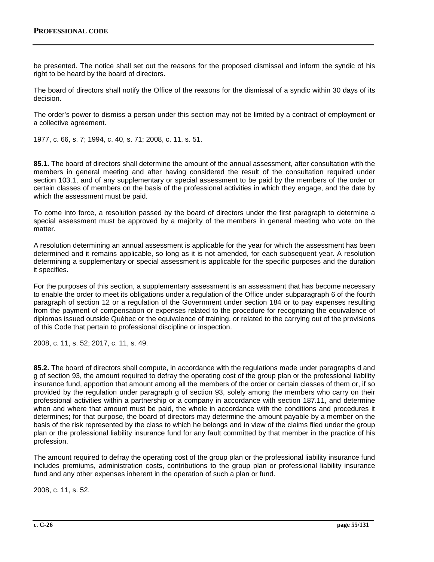be presented. The notice shall set out the reasons for the proposed dismissal and inform the syndic of his right to be heard by the board of directors.

The board of directors shall notify the Office of the reasons for the dismissal of a syndic within 30 days of its decision.

The order's power to dismiss a person under this section may not be limited by a contract of employment or a collective agreement.

1977, c. 66, s. 7; 1994, c. 40, s. 71; 2008, c. 11, s. 51.

**85.1.** The board of directors shall determine the amount of the annual assessment, after consultation with the members in general meeting and after having considered the result of the consultation required under section 103.1, and of any supplementary or special assessment to be paid by the members of the order or certain classes of members on the basis of the professional activities in which they engage, and the date by which the assessment must be paid.

To come into force, a resolution passed by the board of directors under the first paragraph to determine a special assessment must be approved by a majority of the members in general meeting who vote on the matter.

A resolution determining an annual assessment is applicable for the year for which the assessment has been determined and it remains applicable, so long as it is not amended, for each subsequent year. A resolution determining a supplementary or special assessment is applicable for the specific purposes and the duration it specifies.

For the purposes of this section, a supplementary assessment is an assessment that has become necessary to enable the order to meet its obligations under a regulation of the Office under subparagraph 6 of the fourth paragraph of section 12 or a regulation of the Government under section 184 or to pay expenses resulting from the payment of compensation or expenses related to the procedure for recognizing the equivalence of diplomas issued outside Québec or the equivalence of training, or related to the carrying out of the provisions of this Code that pertain to professional discipline or inspection.

2008, c. 11, s. 52; 2017, c. 11, s. 49.

**85.2.** The board of directors shall compute, in accordance with the regulations made under paragraphs d and g of section 93, the amount required to defray the operating cost of the group plan or the professional liability insurance fund, apportion that amount among all the members of the order or certain classes of them or, if so provided by the regulation under paragraph g of section 93, solely among the members who carry on their professional activities within a partnership or a company in accordance with section 187.11, and determine when and where that amount must be paid, the whole in accordance with the conditions and procedures it determines; for that purpose, the board of directors may determine the amount payable by a member on the basis of the risk represented by the class to which he belongs and in view of the claims filed under the group plan or the professional liability insurance fund for any fault committed by that member in the practice of his profession.

The amount required to defray the operating cost of the group plan or the professional liability insurance fund includes premiums, administration costs, contributions to the group plan or professional liability insurance fund and any other expenses inherent in the operation of such a plan or fund.

2008, c. 11, s. 52.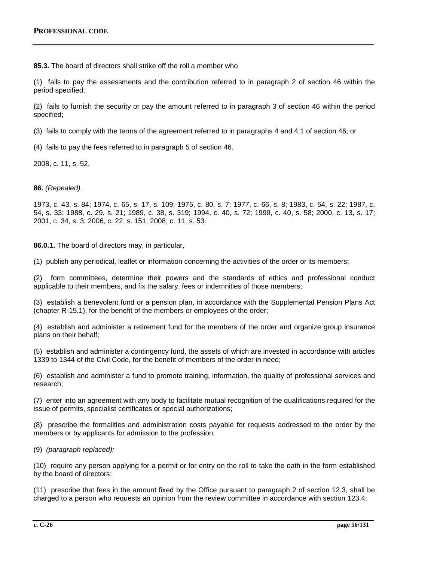**85.3.** The board of directors shall strike off the roll a member who

(1) fails to pay the assessments and the contribution referred to in paragraph 2 of section 46 within the period specified;

(2) fails to furnish the security or pay the amount referred to in paragraph 3 of section 46 within the period specified;

(3) fails to comply with the terms of the agreement referred to in paragraphs 4 and 4.1 of section 46; or

(4) fails to pay the fees referred to in paragraph 5 of section 46.

2008, c. 11, s. 52.

**86.** *(Repealed).*

1973, c. 43, s. 84; 1974, c. 65, s. 17, s. 109; 1975, c. 80, s. 7; 1977, c. 66, s. 8; 1983, c. 54, s. 22; 1987, c. 54, s. 33; 1988, c. 29, s. 21; 1989, c. 38, s. 319; 1994, c. 40, s. 72; 1999, c. 40, s. 58; 2000, c. 13, s. 17; 2001, c. 34, s. 3; 2006, c. 22, s. 151; 2008, c. 11, s. 53.

**86.0.1.** The board of directors may, in particular,

(1) publish any periodical, leaflet or information concerning the activities of the order or its members;

(2) form committees, determine their powers and the standards of ethics and professional conduct applicable to their members, and fix the salary, fees or indemnities of those members;

(3) establish a benevolent fund or a pension plan, in accordance with the Supplemental Pension Plans Act (chapter R-15.1), for the benefit of the members or employees of the order;

(4) establish and administer a retirement fund for the members of the order and organize group insurance plans on their behalf;

(5) establish and administer a contingency fund, the assets of which are invested in accordance with articles 1339 to 1344 of the Civil Code, for the benefit of members of the order in need;

(6) establish and administer a fund to promote training, information, the quality of professional services and research;

(7) enter into an agreement with any body to facilitate mutual recognition of the qualifications required for the issue of permits, specialist certificates or special authorizations;

(8) prescribe the formalities and administration costs payable for requests addressed to the order by the members or by applicants for admission to the profession;

(9) *(paragraph replaced);*

(10) require any person applying for a permit or for entry on the roll to take the oath in the form established by the board of directors;

(11) prescribe that fees in the amount fixed by the Office pursuant to paragraph 2 of section 12.3, shall be charged to a person who requests an opinion from the review committee in accordance with section 123.4;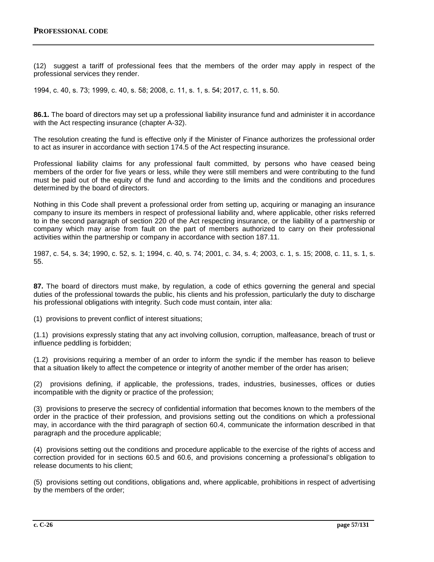(12) suggest a tariff of professional fees that the members of the order may apply in respect of the professional services they render.

1994, c. 40, s. 73; 1999, c. 40, s. 58; 2008, c. 11, s. 1, s. 54; 2017, c. 11, s. 50.

**86.1.** The board of directors may set up a professional liability insurance fund and administer it in accordance with the Act respecting insurance (chapter A-32).

The resolution creating the fund is effective only if the Minister of Finance authorizes the professional order to act as insurer in accordance with section 174.5 of the Act respecting insurance.

Professional liability claims for any professional fault committed, by persons who have ceased being members of the order for five years or less, while they were still members and were contributing to the fund must be paid out of the equity of the fund and according to the limits and the conditions and procedures determined by the board of directors.

Nothing in this Code shall prevent a professional order from setting up, acquiring or managing an insurance company to insure its members in respect of professional liability and, where applicable, other risks referred to in the second paragraph of section 220 of the Act respecting insurance, or the liability of a partnership or company which may arise from fault on the part of members authorized to carry on their professional activities within the partnership or company in accordance with section 187.11.

1987, c. 54, s. 34; 1990, c. 52, s. 1; 1994, c. 40, s. 74; 2001, c. 34, s. 4; 2003, c. 1, s. 15; 2008, c. 11, s. 1, s. 55.

**87.** The board of directors must make, by regulation, a code of ethics governing the general and special duties of the professional towards the public, his clients and his profession, particularly the duty to discharge his professional obligations with integrity. Such code must contain, inter alia:

(1) provisions to prevent conflict of interest situations;

(1.1) provisions expressly stating that any act involving collusion, corruption, malfeasance, breach of trust or influence peddling is forbidden;

(1.2) provisions requiring a member of an order to inform the syndic if the member has reason to believe that a situation likely to affect the competence or integrity of another member of the order has arisen;

(2) provisions defining, if applicable, the professions, trades, industries, businesses, offices or duties incompatible with the dignity or practice of the profession;

(3) provisions to preserve the secrecy of confidential information that becomes known to the members of the order in the practice of their profession, and provisions setting out the conditions on which a professional may, in accordance with the third paragraph of section 60.4, communicate the information described in that paragraph and the procedure applicable;

(4) provisions setting out the conditions and procedure applicable to the exercise of the rights of access and correction provided for in sections 60.5 and 60.6, and provisions concerning a professional's obligation to release documents to his client;

(5) provisions setting out conditions, obligations and, where applicable, prohibitions in respect of advertising by the members of the order;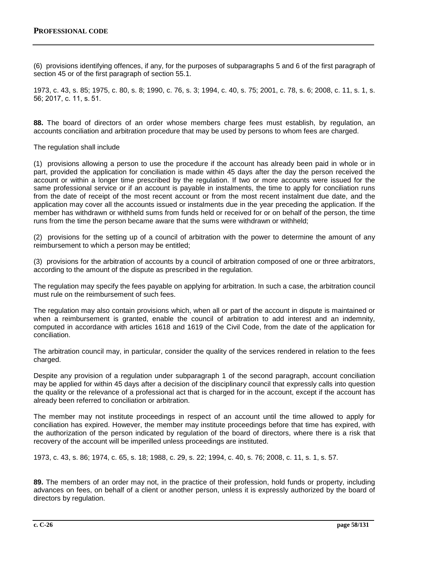(6) provisions identifying offences, if any, for the purposes of subparagraphs 5 and 6 of the first paragraph of section 45 or of the first paragraph of section 55.1.

1973, c. 43, s. 85; 1975, c. 80, s. 8; 1990, c. 76, s. 3; 1994, c. 40, s. 75; 2001, c. 78, s. 6; 2008, c. 11, s. 1, s. 56; 2017, c. 11, s. 51.

**88.** The board of directors of an order whose members charge fees must establish, by regulation, an accounts conciliation and arbitration procedure that may be used by persons to whom fees are charged.

The regulation shall include

(1) provisions allowing a person to use the procedure if the account has already been paid in whole or in part, provided the application for conciliation is made within 45 days after the day the person received the account or within a longer time prescribed by the regulation. If two or more accounts were issued for the same professional service or if an account is payable in instalments, the time to apply for conciliation runs from the date of receipt of the most recent account or from the most recent instalment due date, and the application may cover all the accounts issued or instalments due in the year preceding the application. If the member has withdrawn or withheld sums from funds held or received for or on behalf of the person, the time runs from the time the person became aware that the sums were withdrawn or withheld;

(2) provisions for the setting up of a council of arbitration with the power to determine the amount of any reimbursement to which a person may be entitled;

(3) provisions for the arbitration of accounts by a council of arbitration composed of one or three arbitrators, according to the amount of the dispute as prescribed in the regulation.

The regulation may specify the fees payable on applying for arbitration. In such a case, the arbitration council must rule on the reimbursement of such fees.

The regulation may also contain provisions which, when all or part of the account in dispute is maintained or when a reimbursement is granted, enable the council of arbitration to add interest and an indemnity, computed in accordance with articles 1618 and 1619 of the Civil Code, from the date of the application for conciliation.

The arbitration council may, in particular, consider the quality of the services rendered in relation to the fees charged.

Despite any provision of a regulation under subparagraph 1 of the second paragraph, account conciliation may be applied for within 45 days after a decision of the disciplinary council that expressly calls into question the quality or the relevance of a professional act that is charged for in the account, except if the account has already been referred to conciliation or arbitration.

The member may not institute proceedings in respect of an account until the time allowed to apply for conciliation has expired. However, the member may institute proceedings before that time has expired, with the authorization of the person indicated by regulation of the board of directors, where there is a risk that recovery of the account will be imperilled unless proceedings are instituted.

1973, c. 43, s. 86; 1974, c. 65, s. 18; 1988, c. 29, s. 22; 1994, c. 40, s. 76; 2008, c. 11, s. 1, s. 57.

**89.** The members of an order may not, in the practice of their profession, hold funds or property, including advances on fees, on behalf of a client or another person, unless it is expressly authorized by the board of directors by regulation.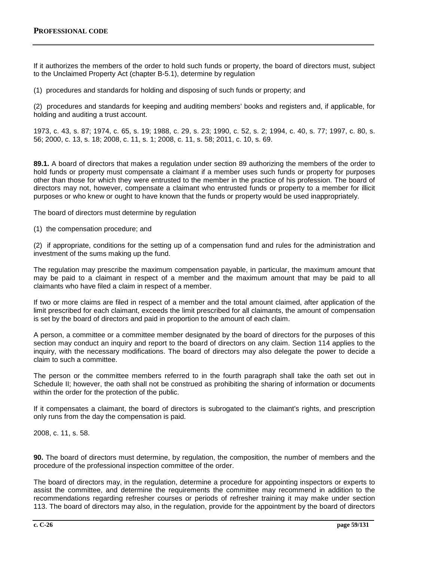If it authorizes the members of the order to hold such funds or property, the board of directors must, subject to the Unclaimed Property Act (chapter B-5.1), determine by regulation

(1) procedures and standards for holding and disposing of such funds or property; and

(2) procedures and standards for keeping and auditing members' books and registers and, if applicable, for holding and auditing a trust account.

1973, c. 43, s. 87; 1974, c. 65, s. 19; 1988, c. 29, s. 23; 1990, c. 52, s. 2; 1994, c. 40, s. 77; 1997, c. 80, s. 56; 2000, c. 13, s. 18; 2008, c. 11, s. 1; 2008, c. 11, s. 58; 2011, c. 10, s. 69.

**89.1.** A board of directors that makes a regulation under section 89 authorizing the members of the order to hold funds or property must compensate a claimant if a member uses such funds or property for purposes other than those for which they were entrusted to the member in the practice of his profession. The board of directors may not, however, compensate a claimant who entrusted funds or property to a member for illicit purposes or who knew or ought to have known that the funds or property would be used inappropriately.

The board of directors must determine by regulation

(1) the compensation procedure; and

(2) if appropriate, conditions for the setting up of a compensation fund and rules for the administration and investment of the sums making up the fund.

The regulation may prescribe the maximum compensation payable, in particular, the maximum amount that may be paid to a claimant in respect of a member and the maximum amount that may be paid to all claimants who have filed a claim in respect of a member.

If two or more claims are filed in respect of a member and the total amount claimed, after application of the limit prescribed for each claimant, exceeds the limit prescribed for all claimants, the amount of compensation is set by the board of directors and paid in proportion to the amount of each claim.

A person, a committee or a committee member designated by the board of directors for the purposes of this section may conduct an inquiry and report to the board of directors on any claim. Section 114 applies to the inquiry, with the necessary modifications. The board of directors may also delegate the power to decide a claim to such a committee.

The person or the committee members referred to in the fourth paragraph shall take the oath set out in Schedule II; however, the oath shall not be construed as prohibiting the sharing of information or documents within the order for the protection of the public.

If it compensates a claimant, the board of directors is subrogated to the claimant's rights, and prescription only runs from the day the compensation is paid.

2008, c. 11, s. 58.

**90.** The board of directors must determine, by regulation, the composition, the number of members and the procedure of the professional inspection committee of the order.

The board of directors may, in the regulation, determine a procedure for appointing inspectors or experts to assist the committee, and determine the requirements the committee may recommend in addition to the recommendations regarding refresher courses or periods of refresher training it may make under section 113. The board of directors may also, in the regulation, provide for the appointment by the board of directors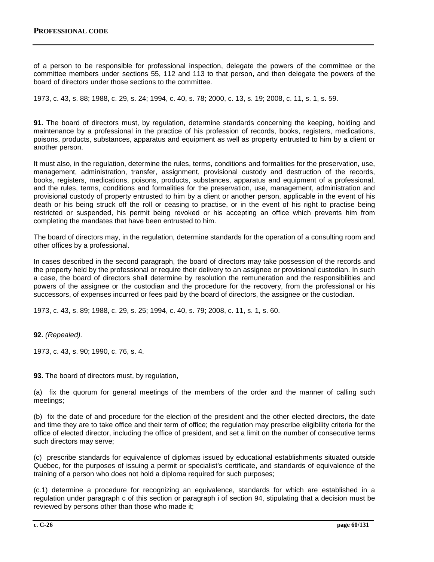of a person to be responsible for professional inspection, delegate the powers of the committee or the committee members under sections 55, 112 and 113 to that person, and then delegate the powers of the board of directors under those sections to the committee.

1973, c. 43, s. 88; 1988, c. 29, s. 24; 1994, c. 40, s. 78; 2000, c. 13, s. 19; 2008, c. 11, s. 1, s. 59.

**91.** The board of directors must, by regulation, determine standards concerning the keeping, holding and maintenance by a professional in the practice of his profession of records, books, registers, medications, poisons, products, substances, apparatus and equipment as well as property entrusted to him by a client or another person.

It must also, in the regulation, determine the rules, terms, conditions and formalities for the preservation, use, management, administration, transfer, assignment, provisional custody and destruction of the records, books, registers, medications, poisons, products, substances, apparatus and equipment of a professional, and the rules, terms, conditions and formalities for the preservation, use, management, administration and provisional custody of property entrusted to him by a client or another person, applicable in the event of his death or his being struck off the roll or ceasing to practise, or in the event of his right to practise being restricted or suspended, his permit being revoked or his accepting an office which prevents him from completing the mandates that have been entrusted to him.

The board of directors may, in the regulation, determine standards for the operation of a consulting room and other offices by a professional.

In cases described in the second paragraph, the board of directors may take possession of the records and the property held by the professional or require their delivery to an assignee or provisional custodian. In such a case, the board of directors shall determine by resolution the remuneration and the responsibilities and powers of the assignee or the custodian and the procedure for the recovery, from the professional or his successors, of expenses incurred or fees paid by the board of directors, the assignee or the custodian.

1973, c. 43, s. 89; 1988, c. 29, s. 25; 1994, c. 40, s. 79; 2008, c. 11, s. 1, s. 60.

**92.** *(Repealed).*

1973, c. 43, s. 90; 1990, c. 76, s. 4.

**93.** The board of directors must, by regulation,

(a) fix the quorum for general meetings of the members of the order and the manner of calling such meetings;

(b) fix the date of and procedure for the election of the president and the other elected directors, the date and time they are to take office and their term of office; the regulation may prescribe eligibility criteria for the office of elected director, including the office of president, and set a limit on the number of consecutive terms such directors may serve;

(c) prescribe standards for equivalence of diplomas issued by educational establishments situated outside Québec, for the purposes of issuing a permit or specialist's certificate, and standards of equivalence of the training of a person who does not hold a diploma required for such purposes;

(c.1) determine a procedure for recognizing an equivalence, standards for which are established in a regulation under paragraph c of this section or paragraph i of section 94, stipulating that a decision must be reviewed by persons other than those who made it;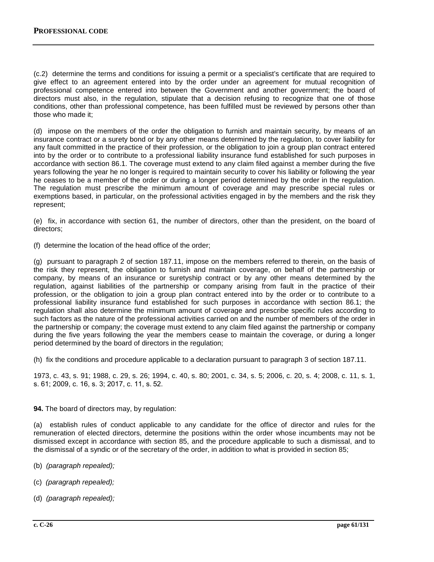(c.2) determine the terms and conditions for issuing a permit or a specialist's certificate that are required to give effect to an agreement entered into by the order under an agreement for mutual recognition of professional competence entered into between the Government and another government; the board of directors must also, in the regulation, stipulate that a decision refusing to recognize that one of those conditions, other than professional competence, has been fulfilled must be reviewed by persons other than those who made it;

(d) impose on the members of the order the obligation to furnish and maintain security, by means of an insurance contract or a surety bond or by any other means determined by the regulation, to cover liability for any fault committed in the practice of their profession, or the obligation to join a group plan contract entered into by the order or to contribute to a professional liability insurance fund established for such purposes in accordance with section 86.1. The coverage must extend to any claim filed against a member during the five years following the year he no longer is required to maintain security to cover his liability or following the year he ceases to be a member of the order or during a longer period determined by the order in the regulation. The regulation must prescribe the minimum amount of coverage and may prescribe special rules or exemptions based, in particular, on the professional activities engaged in by the members and the risk they represent;

(e) fix, in accordance with section 61, the number of directors, other than the president, on the board of directors;

(f) determine the location of the head office of the order;

(g) pursuant to paragraph 2 of section 187.11, impose on the members referred to therein, on the basis of the risk they represent, the obligation to furnish and maintain coverage, on behalf of the partnership or company, by means of an insurance or suretyship contract or by any other means determined by the regulation, against liabilities of the partnership or company arising from fault in the practice of their profession, or the obligation to join a group plan contract entered into by the order or to contribute to a professional liability insurance fund established for such purposes in accordance with section 86.1; the regulation shall also determine the minimum amount of coverage and prescribe specific rules according to such factors as the nature of the professional activities carried on and the number of members of the order in the partnership or company; the coverage must extend to any claim filed against the partnership or company during the five years following the year the members cease to maintain the coverage, or during a longer period determined by the board of directors in the regulation;

(h) fix the conditions and procedure applicable to a declaration pursuant to paragraph 3 of section 187.11.

1973, c. 43, s. 91; 1988, c. 29, s. 26; 1994, c. 40, s. 80; 2001, c. 34, s. 5; 2006, c. 20, s. 4; 2008, c. 11, s. 1, s. 61; 2009, c. 16, s. 3; 2017, c. 11, s. 52.

**94.** The board of directors may, by regulation:

(a) establish rules of conduct applicable to any candidate for the office of director and rules for the remuneration of elected directors, determine the positions within the order whose incumbents may not be dismissed except in accordance with section 85, and the procedure applicable to such a dismissal, and to the dismissal of a syndic or of the secretary of the order, in addition to what is provided in section 85;

- (b) *(paragraph repealed);*
- (c) *(paragraph repealed);*
- (d) *(paragraph repealed);*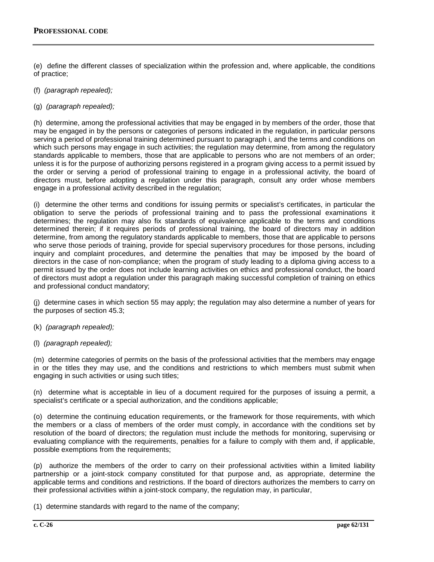(e) define the different classes of specialization within the profession and, where applicable, the conditions of practice;

- (f) *(paragraph repealed);*
- (g) *(paragraph repealed);*

(h) determine, among the professional activities that may be engaged in by members of the order, those that may be engaged in by the persons or categories of persons indicated in the regulation, in particular persons serving a period of professional training determined pursuant to paragraph i, and the terms and conditions on which such persons may engage in such activities; the regulation may determine, from among the regulatory standards applicable to members, those that are applicable to persons who are not members of an order; unless it is for the purpose of authorizing persons registered in a program giving access to a permit issued by the order or serving a period of professional training to engage in a professional activity, the board of directors must, before adopting a regulation under this paragraph, consult any order whose members engage in a professional activity described in the regulation;

(i) determine the other terms and conditions for issuing permits or specialist's certificates, in particular the obligation to serve the periods of professional training and to pass the professional examinations it determines; the regulation may also fix standards of equivalence applicable to the terms and conditions determined therein; if it requires periods of professional training, the board of directors may in addition determine, from among the regulatory standards applicable to members, those that are applicable to persons who serve those periods of training, provide for special supervisory procedures for those persons, including inquiry and complaint procedures, and determine the penalties that may be imposed by the board of directors in the case of non-compliance; when the program of study leading to a diploma giving access to a permit issued by the order does not include learning activities on ethics and professional conduct, the board of directors must adopt a regulation under this paragraph making successful completion of training on ethics and professional conduct mandatory;

(j) determine cases in which section 55 may apply; the regulation may also determine a number of years for the purposes of section 45.3;

- (k) *(paragraph repealed);*
- (l) *(paragraph repealed);*

(m) determine categories of permits on the basis of the professional activities that the members may engage in or the titles they may use, and the conditions and restrictions to which members must submit when engaging in such activities or using such titles;

(n) determine what is acceptable in lieu of a document required for the purposes of issuing a permit, a specialist's certificate or a special authorization, and the conditions applicable;

(o) determine the continuing education requirements, or the framework for those requirements, with which the members or a class of members of the order must comply, in accordance with the conditions set by resolution of the board of directors; the regulation must include the methods for monitoring, supervising or evaluating compliance with the requirements, penalties for a failure to comply with them and, if applicable, possible exemptions from the requirements;

(p) authorize the members of the order to carry on their professional activities within a limited liability partnership or a joint-stock company constituted for that purpose and, as appropriate, determine the applicable terms and conditions and restrictions. If the board of directors authorizes the members to carry on their professional activities within a joint-stock company, the regulation may, in particular,

(1) determine standards with regard to the name of the company;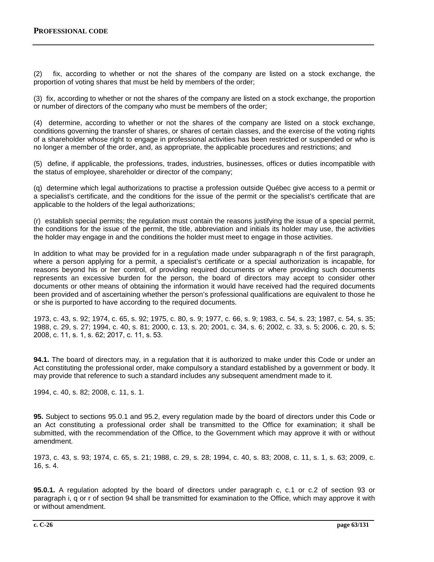(2) fix, according to whether or not the shares of the company are listed on a stock exchange, the proportion of voting shares that must be held by members of the order;

(3) fix, according to whether or not the shares of the company are listed on a stock exchange, the proportion or number of directors of the company who must be members of the order;

(4) determine, according to whether or not the shares of the company are listed on a stock exchange, conditions governing the transfer of shares, or shares of certain classes, and the exercise of the voting rights of a shareholder whose right to engage in professional activities has been restricted or suspended or who is no longer a member of the order, and, as appropriate, the applicable procedures and restrictions; and

(5) define, if applicable, the professions, trades, industries, businesses, offices or duties incompatible with the status of employee, shareholder or director of the company;

(q) determine which legal authorizations to practise a profession outside Québec give access to a permit or a specialist's certificate, and the conditions for the issue of the permit or the specialist's certificate that are applicable to the holders of the legal authorizations;

(r) establish special permits; the regulation must contain the reasons justifying the issue of a special permit, the conditions for the issue of the permit, the title, abbreviation and initials its holder may use, the activities the holder may engage in and the conditions the holder must meet to engage in those activities.

In addition to what may be provided for in a regulation made under subparagraph n of the first paragraph, where a person applying for a permit, a specialist's certificate or a special authorization is incapable, for reasons beyond his or her control, of providing required documents or where providing such documents represents an excessive burden for the person, the board of directors may accept to consider other documents or other means of obtaining the information it would have received had the required documents been provided and of ascertaining whether the person's professional qualifications are equivalent to those he or she is purported to have according to the required documents.

1973, c. 43, s. 92; 1974, c. 65, s. 92; 1975, c. 80, s. 9; 1977, c. 66, s. 9; 1983, c. 54, s. 23; 1987, c. 54, s. 35; 1988, c. 29, s. 27; 1994, c. 40, s. 81; 2000, c. 13, s. 20; 2001, c. 34, s. 6; 2002, c. 33, s. 5; 2006, c. 20, s. 5; 2008, c. 11, s. 1, s. 62; 2017, c. 11, s. 53.

**94.1.** The board of directors may, in a regulation that it is authorized to make under this Code or under an Act constituting the professional order, make compulsory a standard established by a government or body. It may provide that reference to such a standard includes any subsequent amendment made to it.

1994, c. 40, s. 82; 2008, c. 11, s. 1.

**95.** Subject to sections 95.0.1 and 95.2, every regulation made by the board of directors under this Code or an Act constituting a professional order shall be transmitted to the Office for examination; it shall be submitted, with the recommendation of the Office, to the Government which may approve it with or without amendment.

1973, c. 43, s. 93; 1974, c. 65, s. 21; 1988, c. 29, s. 28; 1994, c. 40, s. 83; 2008, c. 11, s. 1, s. 63; 2009, c. 16, s. 4.

**95.0.1.** A regulation adopted by the board of directors under paragraph c, c.1 or c.2 of section 93 or paragraph i, q or r of section 94 shall be transmitted for examination to the Office, which may approve it with or without amendment.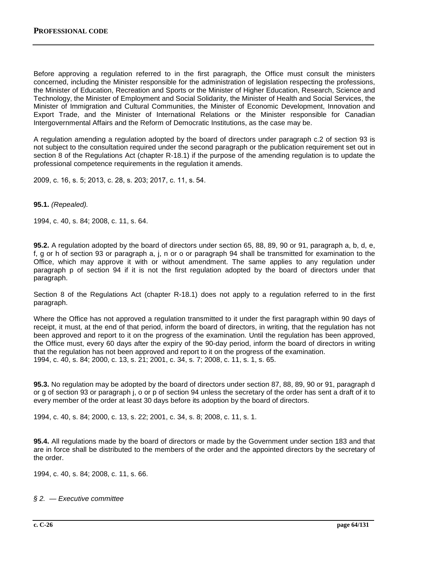Before approving a regulation referred to in the first paragraph, the Office must consult the ministers concerned, including the Minister responsible for the administration of legislation respecting the professions, the Minister of Education, Recreation and Sports or the Minister of Higher Education, Research, Science and Technology, the Minister of Employment and Social Solidarity, the Minister of Health and Social Services, the Minister of Immigration and Cultural Communities, the Minister of Economic Development, Innovation and Export Trade, and the Minister of International Relations or the Minister responsible for Canadian Intergovernmental Affairs and the Reform of Democratic Institutions, as the case may be.

A regulation amending a regulation adopted by the board of directors under paragraph c.2 of section 93 is not subject to the consultation required under the second paragraph or the publication requirement set out in section 8 of the Regulations Act (chapter R-18.1) if the purpose of the amending regulation is to update the professional competence requirements in the regulation it amends.

2009, c. 16, s. 5; 2013, c. 28, s. 203; 2017, c. 11, s. 54.

**95.1.** *(Repealed).*

1994, c. 40, s. 84; 2008, c. 11, s. 64.

**95.2.** A regulation adopted by the board of directors under section 65, 88, 89, 90 or 91, paragraph a, b, d, e, f, g or h of section 93 or paragraph a, j, n or o or paragraph 94 shall be transmitted for examination to the Office, which may approve it with or without amendment. The same applies to any regulation under paragraph p of section 94 if it is not the first regulation adopted by the board of directors under that paragraph.

Section 8 of the Regulations Act (chapter R-18.1) does not apply to a regulation referred to in the first paragraph.

Where the Office has not approved a regulation transmitted to it under the first paragraph within 90 days of receipt, it must, at the end of that period, inform the board of directors, in writing, that the regulation has not been approved and report to it on the progress of the examination. Until the regulation has been approved, the Office must, every 60 days after the expiry of the 90-day period, inform the board of directors in writing that the regulation has not been approved and report to it on the progress of the examination. 1994, c. 40, s. 84; 2000, c. 13, s. 21; 2001, c. 34, s. 7; 2008, c. 11, s. 1, s. 65.

**95.3.** No regulation may be adopted by the board of directors under section 87, 88, 89, 90 or 91, paragraph d or g of section 93 or paragraph j, o or p of section 94 unless the secretary of the order has sent a draft of it to every member of the order at least 30 days before its adoption by the board of directors.

1994, c. 40, s. 84; 2000, c. 13, s. 22; 2001, c. 34, s. 8; 2008, c. 11, s. 1.

**95.4.** All regulations made by the board of directors or made by the Government under section 183 and that are in force shall be distributed to the members of the order and the appointed directors by the secretary of the order.

1994, c. 40, s. 84; 2008, c. 11, s. 66.

*§ 2. — Executive committee*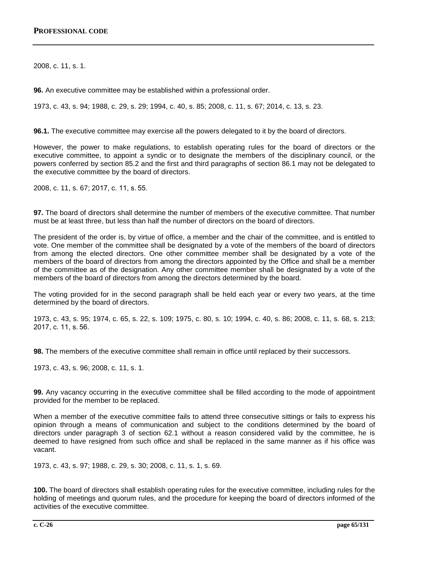2008, c. 11, s. 1.

**96.** An executive committee may be established within a professional order.

1973, c. 43, s. 94; 1988, c. 29, s. 29; 1994, c. 40, s. 85; 2008, c. 11, s. 67; 2014, c. 13, s. 23.

**96.1.** The executive committee may exercise all the powers delegated to it by the board of directors.

However, the power to make regulations, to establish operating rules for the board of directors or the executive committee, to appoint a syndic or to designate the members of the disciplinary council, or the powers conferred by section 85.2 and the first and third paragraphs of section 86.1 may not be delegated to the executive committee by the board of directors.

2008, c. 11, s. 67; 2017, c. 11, s. 55.

**97.** The board of directors shall determine the number of members of the executive committee. That number must be at least three, but less than half the number of directors on the board of directors.

The president of the order is, by virtue of office, a member and the chair of the committee, and is entitled to vote. One member of the committee shall be designated by a vote of the members of the board of directors from among the elected directors. One other committee member shall be designated by a vote of the members of the board of directors from among the directors appointed by the Office and shall be a member of the committee as of the designation. Any other committee member shall be designated by a vote of the members of the board of directors from among the directors determined by the board.

The voting provided for in the second paragraph shall be held each year or every two years, at the time determined by the board of directors.

1973, c. 43, s. 95; 1974, c. 65, s. 22, s. 109; 1975, c. 80, s. 10; 1994, c. 40, s. 86; 2008, c. 11, s. 68, s. 213; 2017, c. 11, s. 56.

**98.** The members of the executive committee shall remain in office until replaced by their successors.

1973, c. 43, s. 96; 2008, c. 11, s. 1.

**99.** Any vacancy occurring in the executive committee shall be filled according to the mode of appointment provided for the member to be replaced.

When a member of the executive committee fails to attend three consecutive sittings or fails to express his opinion through a means of communication and subject to the conditions determined by the board of directors under paragraph 3 of section 62.1 without a reason considered valid by the committee, he is deemed to have resigned from such office and shall be replaced in the same manner as if his office was vacant.

1973, c. 43, s. 97; 1988, c. 29, s. 30; 2008, c. 11, s. 1, s. 69.

**100.** The board of directors shall establish operating rules for the executive committee, including rules for the holding of meetings and quorum rules, and the procedure for keeping the board of directors informed of the activities of the executive committee.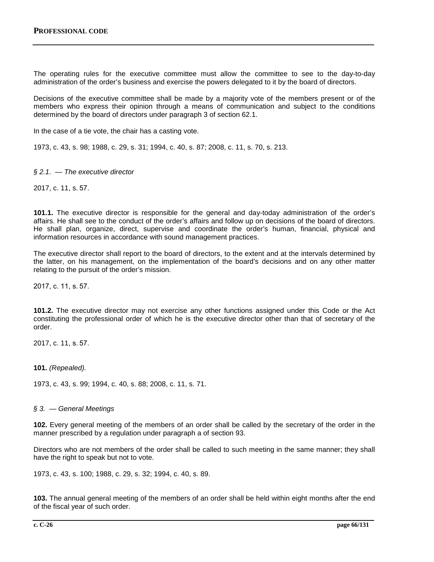The operating rules for the executive committee must allow the committee to see to the day-to-day administration of the order's business and exercise the powers delegated to it by the board of directors.

Decisions of the executive committee shall be made by a majority vote of the members present or of the members who express their opinion through a means of communication and subject to the conditions determined by the board of directors under paragraph 3 of section 62.1.

In the case of a tie vote, the chair has a casting vote.

1973, c. 43, s. 98; 1988, c. 29, s. 31; 1994, c. 40, s. 87; 2008, c. 11, s. 70, s. 213.

## *§ 2.1. — The executive director*

2017, c. 11, s. 57.

**101.1.** The executive director is responsible for the general and day-today administration of the order's affairs. He shall see to the conduct of the order's affairs and follow up on decisions of the board of directors. He shall plan, organize, direct, supervise and coordinate the order's human, financial, physical and information resources in accordance with sound management practices.

The executive director shall report to the board of directors, to the extent and at the intervals determined by the latter, on his management, on the implementation of the board's decisions and on any other matter relating to the pursuit of the order's mission.

2017, c. 11, s. 57.

**101.2.** The executive director may not exercise any other functions assigned under this Code or the Act constituting the professional order of which he is the executive director other than that of secretary of the order.

2017, c. 11, s. 57.

**101.** *(Repealed).*

1973, c. 43, s. 99; 1994, c. 40, s. 88; 2008, c. 11, s. 71.

#### *§ 3. — General Meetings*

**102.** Every general meeting of the members of an order shall be called by the secretary of the order in the manner prescribed by a regulation under paragraph a of section 93.

Directors who are not members of the order shall be called to such meeting in the same manner; they shall have the right to speak but not to vote.

1973, c. 43, s. 100; 1988, c. 29, s. 32; 1994, c. 40, s. 89.

**103.** The annual general meeting of the members of an order shall be held within eight months after the end of the fiscal year of such order.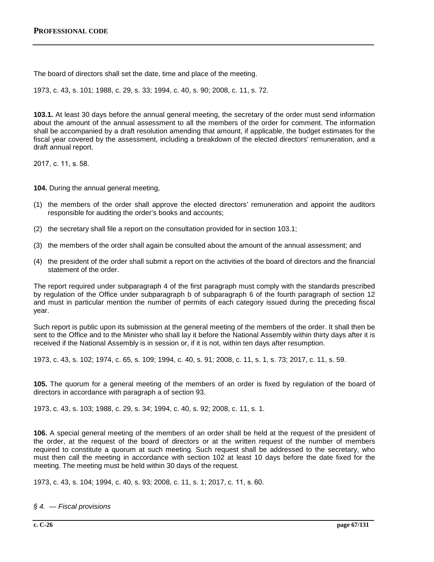The board of directors shall set the date, time and place of the meeting.

1973, c. 43, s. 101; 1988, c. 29, s. 33; 1994, c. 40, s. 90; 2008, c. 11, s. 72.

**103.1.** At least 30 days before the annual general meeting, the secretary of the order must send information about the amount of the annual assessment to all the members of the order for comment. The information shall be accompanied by a draft resolution amending that amount, if applicable, the budget estimates for the fiscal year covered by the assessment, including a breakdown of the elected directors' remuneration, and a draft annual report.

2017, c. 11, s. 58.

**104.** During the annual general meeting,

- (1) the members of the order shall approve the elected directors' remuneration and appoint the auditors responsible for auditing the order's books and accounts;
- (2) the secretary shall file a report on the consultation provided for in section 103.1;
- (3) the members of the order shall again be consulted about the amount of the annual assessment; and
- (4) the president of the order shall submit a report on the activities of the board of directors and the financial statement of the order.

The report required under subparagraph 4 of the first paragraph must comply with the standards prescribed by regulation of the Office under subparagraph b of subparagraph 6 of the fourth paragraph of section 12 and must in particular mention the number of permits of each category issued during the preceding fiscal year.

Such report is public upon its submission at the general meeting of the members of the order. It shall then be sent to the Office and to the Minister who shall lay it before the National Assembly within thirty days after it is received if the National Assembly is in session or, if it is not, within ten days after resumption.

1973, c. 43, s. 102; 1974, c. 65, s. 109; 1994, c. 40, s. 91; 2008, c. 11, s. 1, s. 73; 2017, c. 11, s. 59.

**105.** The quorum for a general meeting of the members of an order is fixed by regulation of the board of directors in accordance with paragraph a of section 93.

1973, c. 43, s. 103; 1988, c. 29, s. 34; 1994, c. 40, s. 92; 2008, c. 11, s. 1.

**106.** A special general meeting of the members of an order shall be held at the request of the president of the order, at the request of the board of directors or at the written request of the number of members required to constitute a quorum at such meeting. Such request shall be addressed to the secretary, who must then call the meeting in accordance with section 102 at least 10 days before the date fixed for the meeting. The meeting must be held within 30 days of the request.

1973, c. 43, s. 104; 1994, c. 40, s. 93; 2008, c. 11, s. 1; 2017, c. 11, s. 60.

*§ 4. — Fiscal provisions*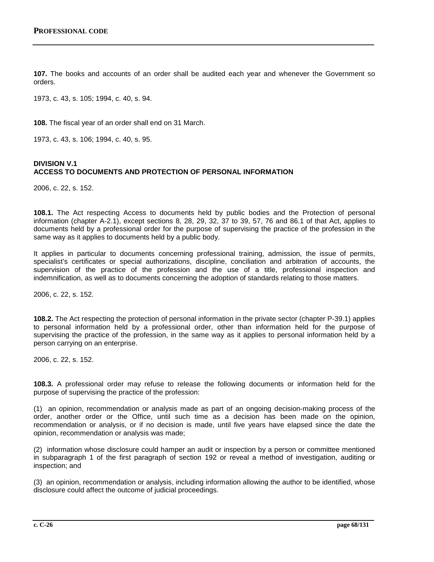**107.** The books and accounts of an order shall be audited each year and whenever the Government so orders.

1973, c. 43, s. 105; 1994, c. 40, s. 94.

**108.** The fiscal year of an order shall end on 31 March.

1973, c. 43, s. 106; 1994, c. 40, s. 95.

# **DIVISION V.1 ACCESS TO DOCUMENTS AND PROTECTION OF PERSONAL INFORMATION**

2006, c. 22, s. 152.

**108.1.** The Act respecting Access to documents held by public bodies and the Protection of personal information (chapter A-2.1), except sections 8, 28, 29, 32, 37 to 39, 57, 76 and 86.1 of that Act, applies to documents held by a professional order for the purpose of supervising the practice of the profession in the same way as it applies to documents held by a public body.

It applies in particular to documents concerning professional training, admission, the issue of permits, specialist's certificates or special authorizations, discipline, conciliation and arbitration of accounts, the supervision of the practice of the profession and the use of a title, professional inspection and indemnification, as well as to documents concerning the adoption of standards relating to those matters.

2006, c. 22, s. 152.

**108.2.** The Act respecting the protection of personal information in the private sector (chapter P-39.1) applies to personal information held by a professional order, other than information held for the purpose of supervising the practice of the profession, in the same way as it applies to personal information held by a person carrying on an enterprise.

2006, c. 22, s. 152.

**108.3.** A professional order may refuse to release the following documents or information held for the purpose of supervising the practice of the profession:

(1) an opinion, recommendation or analysis made as part of an ongoing decision-making process of the order, another order or the Office, until such time as a decision has been made on the opinion, recommendation or analysis, or if no decision is made, until five years have elapsed since the date the opinion, recommendation or analysis was made;

(2) information whose disclosure could hamper an audit or inspection by a person or committee mentioned in subparagraph 1 of the first paragraph of section 192 or reveal a method of investigation, auditing or inspection; and

(3) an opinion, recommendation or analysis, including information allowing the author to be identified, whose disclosure could affect the outcome of judicial proceedings.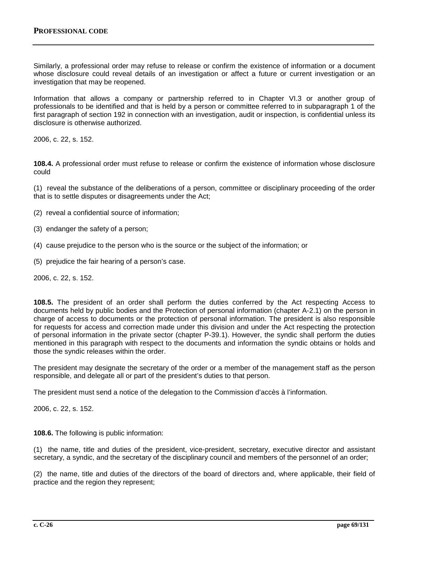Similarly, a professional order may refuse to release or confirm the existence of information or a document whose disclosure could reveal details of an investigation or affect a future or current investigation or an investigation that may be reopened.

Information that allows a company or partnership referred to in Chapter VI.3 or another group of professionals to be identified and that is held by a person or committee referred to in subparagraph 1 of the first paragraph of section 192 in connection with an investigation, audit or inspection, is confidential unless its disclosure is otherwise authorized.

2006, c. 22, s. 152.

**108.4.** A professional order must refuse to release or confirm the existence of information whose disclosure could

(1) reveal the substance of the deliberations of a person, committee or disciplinary proceeding of the order that is to settle disputes or disagreements under the Act;

- (2) reveal a confidential source of information;
- (3) endanger the safety of a person;
- (4) cause prejudice to the person who is the source or the subject of the information; or
- (5) prejudice the fair hearing of a person's case.

2006, c. 22, s. 152.

**108.5.** The president of an order shall perform the duties conferred by the Act respecting Access to documents held by public bodies and the Protection of personal information (chapter A-2.1) on the person in charge of access to documents or the protection of personal information. The president is also responsible for requests for access and correction made under this division and under the Act respecting the protection of personal information in the private sector (chapter P-39.1). However, the syndic shall perform the duties mentioned in this paragraph with respect to the documents and information the syndic obtains or holds and those the syndic releases within the order.

The president may designate the secretary of the order or a member of the management staff as the person responsible, and delegate all or part of the president's duties to that person.

The president must send a notice of the delegation to the Commission d'accès à l'information.

2006, c. 22, s. 152.

**108.6.** The following is public information:

(1) the name, title and duties of the president, vice-president, secretary, executive director and assistant secretary, a syndic, and the secretary of the disciplinary council and members of the personnel of an order;

(2) the name, title and duties of the directors of the board of directors and, where applicable, their field of practice and the region they represent;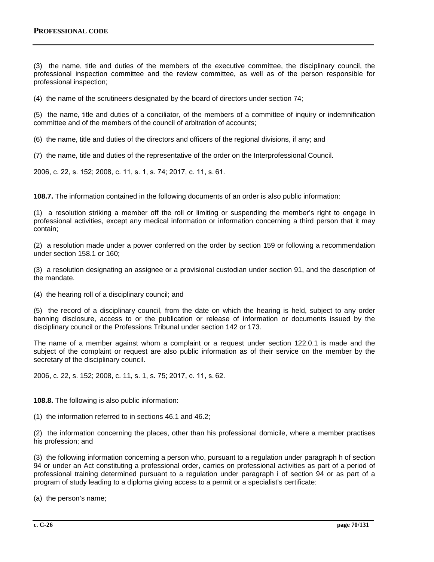(3) the name, title and duties of the members of the executive committee, the disciplinary council, the professional inspection committee and the review committee, as well as of the person responsible for professional inspection;

(4) the name of the scrutineers designated by the board of directors under section 74;

(5) the name, title and duties of a conciliator, of the members of a committee of inquiry or indemnification committee and of the members of the council of arbitration of accounts;

(6) the name, title and duties of the directors and officers of the regional divisions, if any; and

(7) the name, title and duties of the representative of the order on the Interprofessional Council.

2006, c. 22, s. 152; 2008, c. 11, s. 1, s. 74; 2017, c. 11, s. 61.

**108.7.** The information contained in the following documents of an order is also public information:

(1) a resolution striking a member off the roll or limiting or suspending the member's right to engage in professional activities, except any medical information or information concerning a third person that it may contain;

(2) a resolution made under a power conferred on the order by section 159 or following a recommendation under section 158.1 or 160;

(3) a resolution designating an assignee or a provisional custodian under section 91, and the description of the mandate.

(4) the hearing roll of a disciplinary council; and

(5) the record of a disciplinary council, from the date on which the hearing is held, subject to any order banning disclosure, access to or the publication or release of information or documents issued by the disciplinary council or the Professions Tribunal under section 142 or 173.

The name of a member against whom a complaint or a request under section 122.0.1 is made and the subject of the complaint or request are also public information as of their service on the member by the secretary of the disciplinary council.

2006, c. 22, s. 152; 2008, c. 11, s. 1, s. 75; 2017, c. 11, s. 62.

**108.8.** The following is also public information:

(1) the information referred to in sections 46.1 and 46.2;

(2) the information concerning the places, other than his professional domicile, where a member practises his profession; and

(3) the following information concerning a person who, pursuant to a regulation under paragraph h of section 94 or under an Act constituting a professional order, carries on professional activities as part of a period of professional training determined pursuant to a regulation under paragraph i of section 94 or as part of a program of study leading to a diploma giving access to a permit or a specialist's certificate:

(a) the person's name;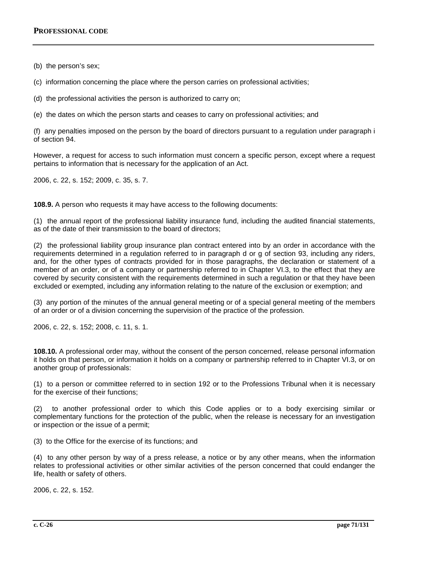(b) the person's sex;

(c) information concerning the place where the person carries on professional activities;

(d) the professional activities the person is authorized to carry on;

(e) the dates on which the person starts and ceases to carry on professional activities; and

(f) any penalties imposed on the person by the board of directors pursuant to a regulation under paragraph i of section 94.

However, a request for access to such information must concern a specific person, except where a request pertains to information that is necessary for the application of an Act.

2006, c. 22, s. 152; 2009, c. 35, s. 7.

**108.9.** A person who requests it may have access to the following documents:

(1) the annual report of the professional liability insurance fund, including the audited financial statements, as of the date of their transmission to the board of directors;

(2) the professional liability group insurance plan contract entered into by an order in accordance with the requirements determined in a regulation referred to in paragraph d or g of section 93, including any riders, and, for the other types of contracts provided for in those paragraphs, the declaration or statement of a member of an order, or of a company or partnership referred to in Chapter VI.3, to the effect that they are covered by security consistent with the requirements determined in such a regulation or that they have been excluded or exempted, including any information relating to the nature of the exclusion or exemption; and

(3) any portion of the minutes of the annual general meeting or of a special general meeting of the members of an order or of a division concerning the supervision of the practice of the profession.

2006, c. 22, s. 152; 2008, c. 11, s. 1.

**108.10.** A professional order may, without the consent of the person concerned, release personal information it holds on that person, or information it holds on a company or partnership referred to in Chapter VI.3, or on another group of professionals:

(1) to a person or committee referred to in section 192 or to the Professions Tribunal when it is necessary for the exercise of their functions;

(2) to another professional order to which this Code applies or to a body exercising similar or complementary functions for the protection of the public, when the release is necessary for an investigation or inspection or the issue of a permit;

(3) to the Office for the exercise of its functions; and

(4) to any other person by way of a press release, a notice or by any other means, when the information relates to professional activities or other similar activities of the person concerned that could endanger the life, health or safety of others.

2006, c. 22, s. 152.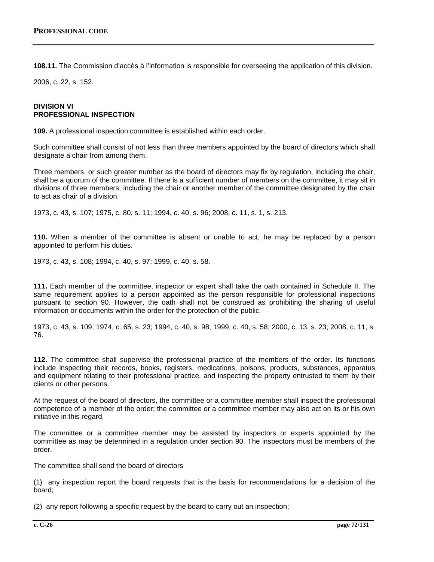**108.11.** The Commission d'accès à l'information is responsible for overseeing the application of this division.

2006, c. 22, s. 152.

# **DIVISION VI PROFESSIONAL INSPECTION**

**109.** A professional inspection committee is established within each order.

Such committee shall consist of not less than three members appointed by the board of directors which shall designate a chair from among them.

Three members, or such greater number as the board of directors may fix by regulation, including the chair, shall be a quorum of the committee. If there is a sufficient number of members on the committee, it may sit in divisions of three members, including the chair or another member of the committee designated by the chair to act as chair of a division.

1973, c. 43, s. 107; 1975, c. 80, s. 11; 1994, c. 40, s. 96; 2008, c. 11, s. 1, s. 213.

**110.** When a member of the committee is absent or unable to act, he may be replaced by a person appointed to perform his duties.

1973, c. 43, s. 108; 1994, c. 40, s. 97; 1999, c. 40, s. 58.

**111.** Each member of the committee, inspector or expert shall take the oath contained in Schedule II. The same requirement applies to a person appointed as the person responsible for professional inspections pursuant to section 90. However, the oath shall not be construed as prohibiting the sharing of useful information or documents within the order for the protection of the public.

1973, c. 43, s. 109; 1974, c. 65, s. 23; 1994, c. 40, s. 98; 1999, c. 40, s. 58; 2000, c. 13, s. 23; 2008, c. 11, s. 76.

**112.** The committee shall supervise the professional practice of the members of the order. Its functions include inspecting their records, books, registers, medications, poisons, products, substances, apparatus and equipment relating to their professional practice, and inspecting the property entrusted to them by their clients or other persons.

At the request of the board of directors, the committee or a committee member shall inspect the professional competence of a member of the order; the committee or a committee member may also act on its or his own initiative in this regard.

The committee or a committee member may be assisted by inspectors or experts appointed by the committee as may be determined in a regulation under section 90. The inspectors must be members of the order.

The committee shall send the board of directors

(1) any inspection report the board requests that is the basis for recommendations for a decision of the board;

(2) any report following a specific request by the board to carry out an inspection;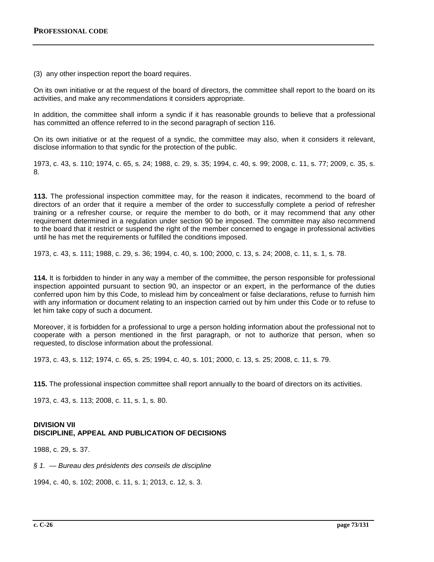(3) any other inspection report the board requires.

On its own initiative or at the request of the board of directors, the committee shall report to the board on its activities, and make any recommendations it considers appropriate.

In addition, the committee shall inform a syndic if it has reasonable grounds to believe that a professional has committed an offence referred to in the second paragraph of section 116.

On its own initiative or at the request of a syndic, the committee may also, when it considers it relevant, disclose information to that syndic for the protection of the public.

1973, c. 43, s. 110; 1974, c. 65, s. 24; 1988, c. 29, s. 35; 1994, c. 40, s. 99; 2008, c. 11, s. 77; 2009, c. 35, s. 8.

**113.** The professional inspection committee may, for the reason it indicates, recommend to the board of directors of an order that it require a member of the order to successfully complete a period of refresher training or a refresher course, or require the member to do both, or it may recommend that any other requirement determined in a regulation under section 90 be imposed. The committee may also recommend to the board that it restrict or suspend the right of the member concerned to engage in professional activities until he has met the requirements or fulfilled the conditions imposed.

1973, c. 43, s. 111; 1988, c. 29, s. 36; 1994, c. 40, s. 100; 2000, c. 13, s. 24; 2008, c. 11, s. 1, s. 78.

**114.** It is forbidden to hinder in any way a member of the committee, the person responsible for professional inspection appointed pursuant to section 90, an inspector or an expert, in the performance of the duties conferred upon him by this Code, to mislead him by concealment or false declarations, refuse to furnish him with any information or document relating to an inspection carried out by him under this Code or to refuse to let him take copy of such a document.

Moreover, it is forbidden for a professional to urge a person holding information about the professional not to cooperate with a person mentioned in the first paragraph, or not to authorize that person, when so requested, to disclose information about the professional.

1973, c. 43, s. 112; 1974, c. 65, s. 25; 1994, c. 40, s. 101; 2000, c. 13, s. 25; 2008, c. 11, s. 79.

**115.** The professional inspection committee shall report annually to the board of directors on its activities.

1973, c. 43, s. 113; 2008, c. 11, s. 1, s. 80.

### **DIVISION VII DISCIPLINE, APPEAL AND PUBLICATION OF DECISIONS**

1988, c. 29, s. 37.

*§ 1. — Bureau des présidents des conseils de discipline*

1994, c. 40, s. 102; 2008, c. 11, s. 1; 2013, c. 12, s. 3.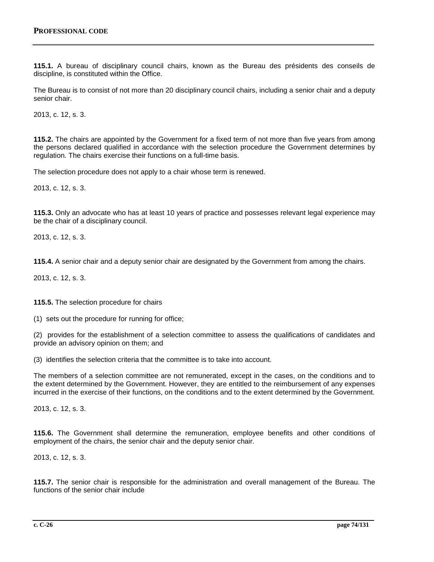**115.1.** A bureau of disciplinary council chairs, known as the Bureau des présidents des conseils de discipline, is constituted within the Office.

The Bureau is to consist of not more than 20 disciplinary council chairs, including a senior chair and a deputy senior chair.

2013, c. 12, s. 3.

**115.2.** The chairs are appointed by the Government for a fixed term of not more than five years from among the persons declared qualified in accordance with the selection procedure the Government determines by regulation. The chairs exercise their functions on a full-time basis.

The selection procedure does not apply to a chair whose term is renewed.

2013, c. 12, s. 3.

**115.3.** Only an advocate who has at least 10 years of practice and possesses relevant legal experience may be the chair of a disciplinary council.

2013, c. 12, s. 3.

**115.4.** A senior chair and a deputy senior chair are designated by the Government from among the chairs.

2013, c. 12, s. 3.

**115.5.** The selection procedure for chairs

(1) sets out the procedure for running for office;

(2) provides for the establishment of a selection committee to assess the qualifications of candidates and provide an advisory opinion on them; and

(3) identifies the selection criteria that the committee is to take into account.

The members of a selection committee are not remunerated, except in the cases, on the conditions and to the extent determined by the Government. However, they are entitled to the reimbursement of any expenses incurred in the exercise of their functions, on the conditions and to the extent determined by the Government.

2013, c. 12, s. 3.

**115.6.** The Government shall determine the remuneration, employee benefits and other conditions of employment of the chairs, the senior chair and the deputy senior chair.

2013, c. 12, s. 3.

**115.7.** The senior chair is responsible for the administration and overall management of the Bureau. The functions of the senior chair include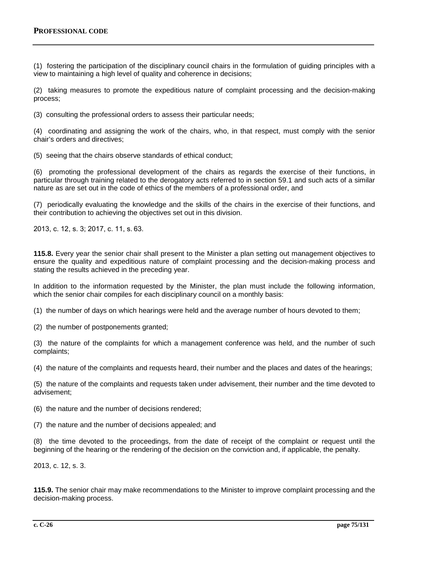(1) fostering the participation of the disciplinary council chairs in the formulation of guiding principles with a view to maintaining a high level of quality and coherence in decisions;

(2) taking measures to promote the expeditious nature of complaint processing and the decision-making process;

(3) consulting the professional orders to assess their particular needs;

(4) coordinating and assigning the work of the chairs, who, in that respect, must comply with the senior chair's orders and directives;

(5) seeing that the chairs observe standards of ethical conduct;

(6) promoting the professional development of the chairs as regards the exercise of their functions, in particular through training related to the derogatory acts referred to in section 59.1 and such acts of a similar nature as are set out in the code of ethics of the members of a professional order, and

(7) periodically evaluating the knowledge and the skills of the chairs in the exercise of their functions, and their contribution to achieving the objectives set out in this division.

2013, c. 12, s. 3; 2017, c. 11, s. 63.

**115.8.** Every year the senior chair shall present to the Minister a plan setting out management objectives to ensure the quality and expeditious nature of complaint processing and the decision-making process and stating the results achieved in the preceding year.

In addition to the information requested by the Minister, the plan must include the following information, which the senior chair compiles for each disciplinary council on a monthly basis:

(1) the number of days on which hearings were held and the average number of hours devoted to them;

(2) the number of postponements granted;

(3) the nature of the complaints for which a management conference was held, and the number of such complaints;

(4) the nature of the complaints and requests heard, their number and the places and dates of the hearings;

(5) the nature of the complaints and requests taken under advisement, their number and the time devoted to advisement;

(6) the nature and the number of decisions rendered;

(7) the nature and the number of decisions appealed; and

(8) the time devoted to the proceedings, from the date of receipt of the complaint or request until the beginning of the hearing or the rendering of the decision on the conviction and, if applicable, the penalty.

2013, c. 12, s. 3.

**115.9.** The senior chair may make recommendations to the Minister to improve complaint processing and the decision-making process.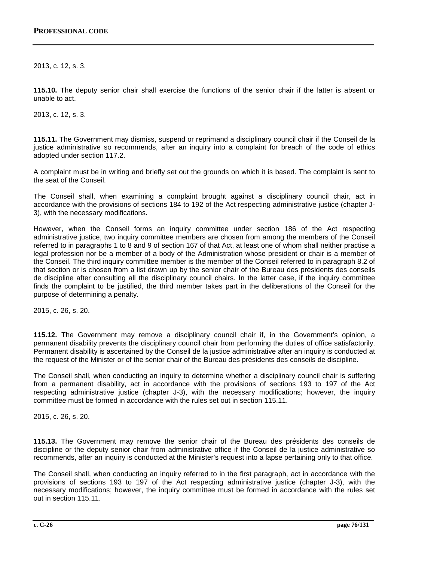2013, c. 12, s. 3.

**115.10.** The deputy senior chair shall exercise the functions of the senior chair if the latter is absent or unable to act.

2013, c. 12, s. 3.

**115.11.** The Government may dismiss, suspend or reprimand a disciplinary council chair if the Conseil de la justice administrative so recommends, after an inquiry into a complaint for breach of the code of ethics adopted under section 117.2.

A complaint must be in writing and briefly set out the grounds on which it is based. The complaint is sent to the seat of the Conseil.

The Conseil shall, when examining a complaint brought against a disciplinary council chair, act in accordance with the provisions of sections 184 to 192 of the Act respecting administrative justice (chapter J-3), with the necessary modifications.

However, when the Conseil forms an inquiry committee under section 186 of the Act respecting administrative justice, two inquiry committee members are chosen from among the members of the Conseil referred to in paragraphs 1 to 8 and 9 of section 167 of that Act, at least one of whom shall neither practise a legal profession nor be a member of a body of the Administration whose president or chair is a member of the Conseil. The third inquiry committee member is the member of the Conseil referred to in paragraph 8.2 of that section or is chosen from a list drawn up by the senior chair of the Bureau des présidents des conseils de discipline after consulting all the disciplinary council chairs. In the latter case, if the inquiry committee finds the complaint to be justified, the third member takes part in the deliberations of the Conseil for the purpose of determining a penalty.

2015, c. 26, s. 20.

**115.12.** The Government may remove a disciplinary council chair if, in the Government's opinion, a permanent disability prevents the disciplinary council chair from performing the duties of office satisfactorily. Permanent disability is ascertained by the Conseil de la justice administrative after an inquiry is conducted at the request of the Minister or of the senior chair of the Bureau des présidents des conseils de discipline.

The Conseil shall, when conducting an inquiry to determine whether a disciplinary council chair is suffering from a permanent disability, act in accordance with the provisions of sections 193 to 197 of the Act respecting administrative justice (chapter J-3), with the necessary modifications; however, the inquiry committee must be formed in accordance with the rules set out in section 115.11.

2015, c. 26, s. 20.

**115.13.** The Government may remove the senior chair of the Bureau des présidents des conseils de discipline or the deputy senior chair from administrative office if the Conseil de la justice administrative so recommends, after an inquiry is conducted at the Minister's request into a lapse pertaining only to that office.

The Conseil shall, when conducting an inquiry referred to in the first paragraph, act in accordance with the provisions of sections 193 to 197 of the Act respecting administrative justice (chapter J-3), with the necessary modifications; however, the inquiry committee must be formed in accordance with the rules set out in section 115.11.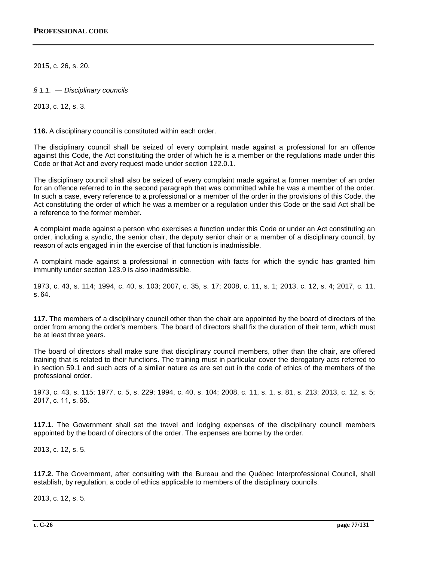2015, c. 26, s. 20.

*§ 1.1. — Disciplinary councils*

2013, c. 12, s. 3.

**116.** A disciplinary council is constituted within each order.

The disciplinary council shall be seized of every complaint made against a professional for an offence against this Code, the Act constituting the order of which he is a member or the regulations made under this Code or that Act and every request made under section 122.0.1.

The disciplinary council shall also be seized of every complaint made against a former member of an order for an offence referred to in the second paragraph that was committed while he was a member of the order. In such a case, every reference to a professional or a member of the order in the provisions of this Code, the Act constituting the order of which he was a member or a regulation under this Code or the said Act shall be a reference to the former member.

A complaint made against a person who exercises a function under this Code or under an Act constituting an order, including a syndic, the senior chair, the deputy senior chair or a member of a disciplinary council, by reason of acts engaged in in the exercise of that function is inadmissible.

A complaint made against a professional in connection with facts for which the syndic has granted him immunity under section 123.9 is also inadmissible.

1973, c. 43, s. 114; 1994, c. 40, s. 103; 2007, c. 35, s. 17; 2008, c. 11, s. 1; 2013, c. 12, s. 4; 2017, c. 11, s. 64.

**117.** The members of a disciplinary council other than the chair are appointed by the board of directors of the order from among the order's members. The board of directors shall fix the duration of their term, which must be at least three years.

The board of directors shall make sure that disciplinary council members, other than the chair, are offered training that is related to their functions. The training must in particular cover the derogatory acts referred to in section 59.1 and such acts of a similar nature as are set out in the code of ethics of the members of the professional order.

1973, c. 43, s. 115; 1977, c. 5, s. 229; 1994, c. 40, s. 104; 2008, c. 11, s. 1, s. 81, s. 213; 2013, c. 12, s. 5; 2017, c. 11, s. 65.

**117.1.** The Government shall set the travel and lodging expenses of the disciplinary council members appointed by the board of directors of the order. The expenses are borne by the order.

2013, c. 12, s. 5.

**117.2.** The Government, after consulting with the Bureau and the Québec Interprofessional Council, shall establish, by regulation, a code of ethics applicable to members of the disciplinary councils.

2013, c. 12, s. 5.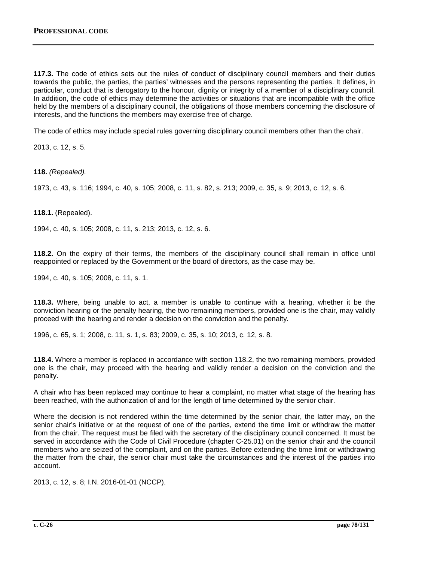**117.3.** The code of ethics sets out the rules of conduct of disciplinary council members and their duties towards the public, the parties, the parties' witnesses and the persons representing the parties. It defines, in particular, conduct that is derogatory to the honour, dignity or integrity of a member of a disciplinary council. In addition, the code of ethics may determine the activities or situations that are incompatible with the office held by the members of a disciplinary council, the obligations of those members concerning the disclosure of interests, and the functions the members may exercise free of charge.

The code of ethics may include special rules governing disciplinary council members other than the chair.

2013, c. 12, s. 5.

**118.** *(Repealed).*

1973, c. 43, s. 116; 1994, c. 40, s. 105; 2008, c. 11, s. 82, s. 213; 2009, c. 35, s. 9; 2013, c. 12, s. 6.

**118.1.** (Repealed).

1994, c. 40, s. 105; 2008, c. 11, s. 213; 2013, c. 12, s. 6.

**118.2.** On the expiry of their terms, the members of the disciplinary council shall remain in office until reappointed or replaced by the Government or the board of directors, as the case may be.

1994, c. 40, s. 105; 2008, c. 11, s. 1.

**118.3.** Where, being unable to act, a member is unable to continue with a hearing, whether it be the conviction hearing or the penalty hearing, the two remaining members, provided one is the chair, may validly proceed with the hearing and render a decision on the conviction and the penalty.

1996, c. 65, s. 1; 2008, c. 11, s. 1, s. 83; 2009, c. 35, s. 10; 2013, c. 12, s. 8.

**118.4.** Where a member is replaced in accordance with section 118.2, the two remaining members, provided one is the chair, may proceed with the hearing and validly render a decision on the conviction and the penalty.

A chair who has been replaced may continue to hear a complaint, no matter what stage of the hearing has been reached, with the authorization of and for the length of time determined by the senior chair.

Where the decision is not rendered within the time determined by the senior chair, the latter may, on the senior chair's initiative or at the request of one of the parties, extend the time limit or withdraw the matter from the chair. The request must be filed with the secretary of the disciplinary council concerned. It must be served in accordance with the Code of Civil Procedure (chapter C-25.01) on the senior chair and the council members who are seized of the complaint, and on the parties. Before extending the time limit or withdrawing the matter from the chair, the senior chair must take the circumstances and the interest of the parties into account.

2013, c. 12, s. 8; I.N. 2016-01-01 (NCCP).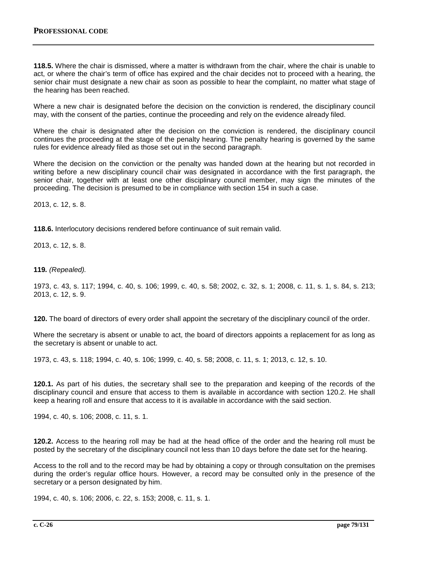**118.5.** Where the chair is dismissed, where a matter is withdrawn from the chair, where the chair is unable to act, or where the chair's term of office has expired and the chair decides not to proceed with a hearing, the senior chair must designate a new chair as soon as possible to hear the complaint, no matter what stage of the hearing has been reached.

Where a new chair is designated before the decision on the conviction is rendered, the disciplinary council may, with the consent of the parties, continue the proceeding and rely on the evidence already filed.

Where the chair is designated after the decision on the conviction is rendered, the disciplinary council continues the proceeding at the stage of the penalty hearing. The penalty hearing is governed by the same rules for evidence already filed as those set out in the second paragraph.

Where the decision on the conviction or the penalty was handed down at the hearing but not recorded in writing before a new disciplinary council chair was designated in accordance with the first paragraph, the senior chair, together with at least one other disciplinary council member, may sign the minutes of the proceeding. The decision is presumed to be in compliance with section 154 in such a case.

2013, c. 12, s. 8.

**118.6.** Interlocutory decisions rendered before continuance of suit remain valid.

2013, c. 12, s. 8.

**119***. (Repealed).*

1973, c. 43, s. 117; 1994, c. 40, s. 106; 1999, c. 40, s. 58; 2002, c. 32, s. 1; 2008, c. 11, s. 1, s. 84, s. 213; 2013, c. 12, s. 9.

**120.** The board of directors of every order shall appoint the secretary of the disciplinary council of the order.

Where the secretary is absent or unable to act, the board of directors appoints a replacement for as long as the secretary is absent or unable to act.

1973, c. 43, s. 118; 1994, c. 40, s. 106; 1999, c. 40, s. 58; 2008, c. 11, s. 1; 2013, c. 12, s. 10.

**120.1.** As part of his duties, the secretary shall see to the preparation and keeping of the records of the disciplinary council and ensure that access to them is available in accordance with section 120.2. He shall keep a hearing roll and ensure that access to it is available in accordance with the said section.

1994, c. 40, s. 106; 2008, c. 11, s. 1.

**120.2.** Access to the hearing roll may be had at the head office of the order and the hearing roll must be posted by the secretary of the disciplinary council not less than 10 days before the date set for the hearing.

Access to the roll and to the record may be had by obtaining a copy or through consultation on the premises during the order's regular office hours. However, a record may be consulted only in the presence of the secretary or a person designated by him.

1994, c. 40, s. 106; 2006, c. 22, s. 153; 2008, c. 11, s. 1.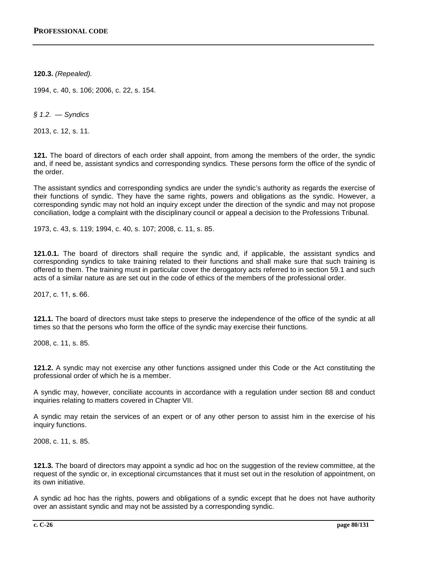**120.3.** *(Repealed).*

1994, c. 40, s. 106; 2006, c. 22, s. 154.

*§ 1.2. — Syndics*

2013, c. 12, s. 11.

**121.** The board of directors of each order shall appoint, from among the members of the order, the syndic and, if need be, assistant syndics and corresponding syndics. These persons form the office of the syndic of the order.

The assistant syndics and corresponding syndics are under the syndic's authority as regards the exercise of their functions of syndic. They have the same rights, powers and obligations as the syndic. However, a corresponding syndic may not hold an inquiry except under the direction of the syndic and may not propose conciliation, lodge a complaint with the disciplinary council or appeal a decision to the Professions Tribunal.

1973, c. 43, s. 119; 1994, c. 40, s. 107; 2008, c. 11, s. 85.

**121.0.1.** The board of directors shall require the syndic and, if applicable, the assistant syndics and corresponding syndics to take training related to their functions and shall make sure that such training is offered to them. The training must in particular cover the derogatory acts referred to in section 59.1 and such acts of a similar nature as are set out in the code of ethics of the members of the professional order.

2017, c. 11, s. 66.

**121.1.** The board of directors must take steps to preserve the independence of the office of the syndic at all times so that the persons who form the office of the syndic may exercise their functions.

2008, c. 11, s. 85.

**121.2.** A syndic may not exercise any other functions assigned under this Code or the Act constituting the professional order of which he is a member.

A syndic may, however, conciliate accounts in accordance with a regulation under section 88 and conduct inquiries relating to matters covered in Chapter VII.

A syndic may retain the services of an expert or of any other person to assist him in the exercise of his inquiry functions.

2008, c. 11, s. 85.

**121.3.** The board of directors may appoint a syndic ad hoc on the suggestion of the review committee, at the request of the syndic or, in exceptional circumstances that it must set out in the resolution of appointment, on its own initiative.

A syndic ad hoc has the rights, powers and obligations of a syndic except that he does not have authority over an assistant syndic and may not be assisted by a corresponding syndic.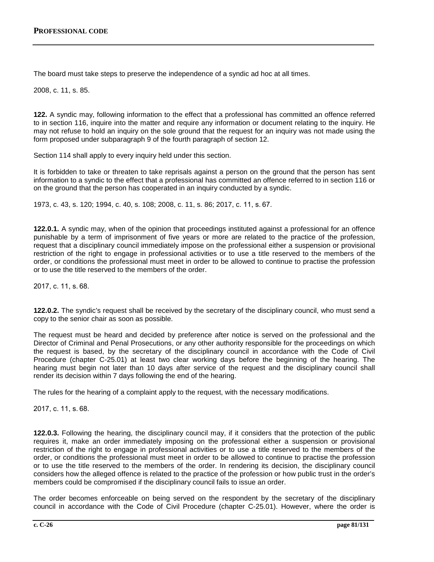The board must take steps to preserve the independence of a syndic ad hoc at all times.

2008, c. 11, s. 85.

**122.** A syndic may, following information to the effect that a professional has committed an offence referred to in section 116, inquire into the matter and require any information or document relating to the inquiry. He may not refuse to hold an inquiry on the sole ground that the request for an inquiry was not made using the form proposed under subparagraph 9 of the fourth paragraph of section 12.

Section 114 shall apply to every inquiry held under this section.

It is forbidden to take or threaten to take reprisals against a person on the ground that the person has sent information to a syndic to the effect that a professional has committed an offence referred to in section 116 or on the ground that the person has cooperated in an inquiry conducted by a syndic.

1973, c. 43, s. 120; 1994, c. 40, s. 108; 2008, c. 11, s. 86; 2017, c. 11, s. 67.

**122.0.1.** A syndic may, when of the opinion that proceedings instituted against a professional for an offence punishable by a term of imprisonment of five years or more are related to the practice of the profession, request that a disciplinary council immediately impose on the professional either a suspension or provisional restriction of the right to engage in professional activities or to use a title reserved to the members of the order, or conditions the professional must meet in order to be allowed to continue to practise the profession or to use the title reserved to the members of the order.

2017, c. 11, s. 68.

**122.0.2.** The syndic's request shall be received by the secretary of the disciplinary council, who must send a copy to the senior chair as soon as possible.

The request must be heard and decided by preference after notice is served on the professional and the Director of Criminal and Penal Prosecutions, or any other authority responsible for the proceedings on which the request is based, by the secretary of the disciplinary council in accordance with the Code of Civil Procedure (chapter C-25.01) at least two clear working days before the beginning of the hearing. The hearing must begin not later than 10 days after service of the request and the disciplinary council shall render its decision within 7 days following the end of the hearing.

The rules for the hearing of a complaint apply to the request, with the necessary modifications.

2017, c. 11, s. 68.

**122.0.3.** Following the hearing, the disciplinary council may, if it considers that the protection of the public requires it, make an order immediately imposing on the professional either a suspension or provisional restriction of the right to engage in professional activities or to use a title reserved to the members of the order, or conditions the professional must meet in order to be allowed to continue to practise the profession or to use the title reserved to the members of the order. In rendering its decision, the disciplinary council considers how the alleged offence is related to the practice of the profession or how public trust in the order's members could be compromised if the disciplinary council fails to issue an order.

The order becomes enforceable on being served on the respondent by the secretary of the disciplinary council in accordance with the Code of Civil Procedure (chapter C-25.01). However, where the order is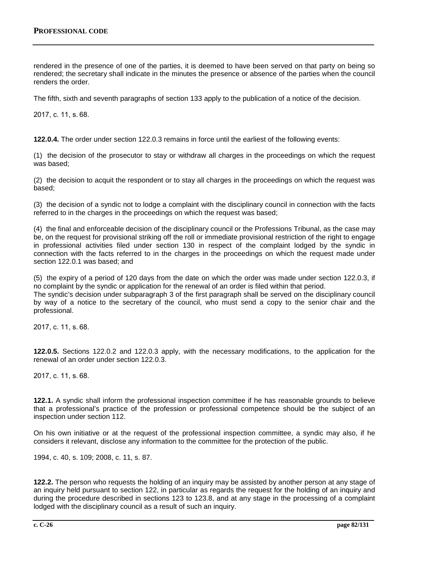rendered in the presence of one of the parties, it is deemed to have been served on that party on being so rendered; the secretary shall indicate in the minutes the presence or absence of the parties when the council renders the order.

The fifth, sixth and seventh paragraphs of section 133 apply to the publication of a notice of the decision.

2017, c. 11, s. 68.

**122.0.4.** The order under section 122.0.3 remains in force until the earliest of the following events:

(1) the decision of the prosecutor to stay or withdraw all charges in the proceedings on which the request was based;

(2) the decision to acquit the respondent or to stay all charges in the proceedings on which the request was based;

(3) the decision of a syndic not to lodge a complaint with the disciplinary council in connection with the facts referred to in the charges in the proceedings on which the request was based;

(4) the final and enforceable decision of the disciplinary council or the Professions Tribunal, as the case may be, on the request for provisional striking off the roll or immediate provisional restriction of the right to engage in professional activities filed under section 130 in respect of the complaint lodged by the syndic in connection with the facts referred to in the charges in the proceedings on which the request made under section 122.0.1 was based; and

(5) the expiry of a period of 120 days from the date on which the order was made under section 122.0.3, if no complaint by the syndic or application for the renewal of an order is filed within that period.

The syndic's decision under subparagraph 3 of the first paragraph shall be served on the disciplinary council by way of a notice to the secretary of the council, who must send a copy to the senior chair and the professional.

2017, c. 11, s. 68.

**122.0.5.** Sections 122.0.2 and 122.0.3 apply, with the necessary modifications, to the application for the renewal of an order under section 122.0.3.

2017, c. 11, s. 68.

**122.1.** A syndic shall inform the professional inspection committee if he has reasonable grounds to believe that a professional's practice of the profession or professional competence should be the subject of an inspection under section 112.

On his own initiative or at the request of the professional inspection committee, a syndic may also, if he considers it relevant, disclose any information to the committee for the protection of the public.

1994, c. 40, s. 109; 2008, c. 11, s. 87.

**122.2.** The person who requests the holding of an inquiry may be assisted by another person at any stage of an inquiry held pursuant to section 122, in particular as regards the request for the holding of an inquiry and during the procedure described in sections 123 to 123.8, and at any stage in the processing of a complaint lodged with the disciplinary council as a result of such an inquiry.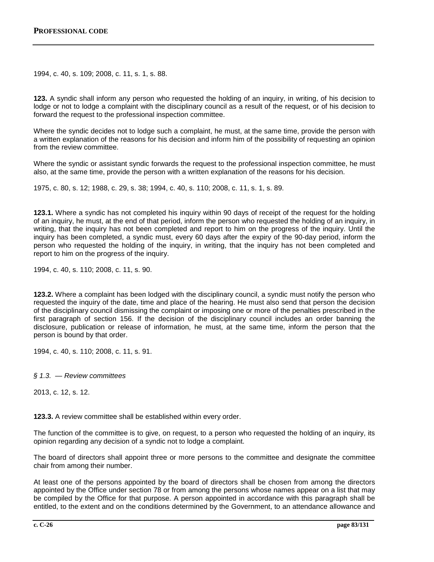1994, c. 40, s. 109; 2008, c. 11, s. 1, s. 88.

**123.** A syndic shall inform any person who requested the holding of an inquiry, in writing, of his decision to lodge or not to lodge a complaint with the disciplinary council as a result of the request, or of his decision to forward the request to the professional inspection committee.

Where the syndic decides not to lodge such a complaint, he must, at the same time, provide the person with a written explanation of the reasons for his decision and inform him of the possibility of requesting an opinion from the review committee.

Where the syndic or assistant syndic forwards the request to the professional inspection committee, he must also, at the same time, provide the person with a written explanation of the reasons for his decision.

1975, c. 80, s. 12; 1988, c. 29, s. 38; 1994, c. 40, s. 110; 2008, c. 11, s. 1, s. 89.

**123.1.** Where a syndic has not completed his inquiry within 90 days of receipt of the request for the holding of an inquiry, he must, at the end of that period, inform the person who requested the holding of an inquiry, in writing, that the inquiry has not been completed and report to him on the progress of the inquiry. Until the inquiry has been completed, a syndic must, every 60 days after the expiry of the 90-day period, inform the person who requested the holding of the inquiry, in writing, that the inquiry has not been completed and report to him on the progress of the inquiry.

1994, c. 40, s. 110; 2008, c. 11, s. 90.

**123.2.** Where a complaint has been lodged with the disciplinary council, a syndic must notify the person who requested the inquiry of the date, time and place of the hearing. He must also send that person the decision of the disciplinary council dismissing the complaint or imposing one or more of the penalties prescribed in the first paragraph of section 156. If the decision of the disciplinary council includes an order banning the disclosure, publication or release of information, he must, at the same time, inform the person that the person is bound by that order.

1994, c. 40, s. 110; 2008, c. 11, s. 91.

*§ 1.3. — Review committees*

2013, c. 12, s. 12.

**123.3.** A review committee shall be established within every order.

The function of the committee is to give, on request, to a person who requested the holding of an inquiry, its opinion regarding any decision of a syndic not to lodge a complaint.

The board of directors shall appoint three or more persons to the committee and designate the committee chair from among their number.

At least one of the persons appointed by the board of directors shall be chosen from among the directors appointed by the Office under section 78 or from among the persons whose names appear on a list that may be compiled by the Office for that purpose. A person appointed in accordance with this paragraph shall be entitled, to the extent and on the conditions determined by the Government, to an attendance allowance and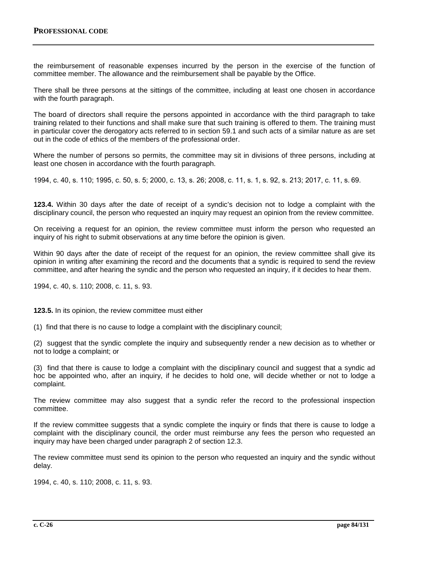the reimbursement of reasonable expenses incurred by the person in the exercise of the function of committee member. The allowance and the reimbursement shall be payable by the Office.

There shall be three persons at the sittings of the committee, including at least one chosen in accordance with the fourth paragraph.

The board of directors shall require the persons appointed in accordance with the third paragraph to take training related to their functions and shall make sure that such training is offered to them. The training must in particular cover the derogatory acts referred to in section 59.1 and such acts of a similar nature as are set out in the code of ethics of the members of the professional order.

Where the number of persons so permits, the committee may sit in divisions of three persons, including at least one chosen in accordance with the fourth paragraph.

1994, c. 40, s. 110; 1995, c. 50, s. 5; 2000, c. 13, s. 26; 2008, c. 11, s. 1, s. 92, s. 213; 2017, c. 11, s. 69.

**123.4.** Within 30 days after the date of receipt of a syndic's decision not to lodge a complaint with the disciplinary council, the person who requested an inquiry may request an opinion from the review committee.

On receiving a request for an opinion, the review committee must inform the person who requested an inquiry of his right to submit observations at any time before the opinion is given.

Within 90 days after the date of receipt of the request for an opinion, the review committee shall give its opinion in writing after examining the record and the documents that a syndic is required to send the review committee, and after hearing the syndic and the person who requested an inquiry, if it decides to hear them.

1994, c. 40, s. 110; 2008, c. 11, s. 93.

**123.5.** In its opinion, the review committee must either

(1) find that there is no cause to lodge a complaint with the disciplinary council;

(2) suggest that the syndic complete the inquiry and subsequently render a new decision as to whether or not to lodge a complaint; or

(3) find that there is cause to lodge a complaint with the disciplinary council and suggest that a syndic ad hoc be appointed who, after an inquiry, if he decides to hold one, will decide whether or not to lodge a complaint.

The review committee may also suggest that a syndic refer the record to the professional inspection committee.

If the review committee suggests that a syndic complete the inquiry or finds that there is cause to lodge a complaint with the disciplinary council, the order must reimburse any fees the person who requested an inquiry may have been charged under paragraph 2 of section 12.3.

The review committee must send its opinion to the person who requested an inquiry and the syndic without delay.

1994, c. 40, s. 110; 2008, c. 11, s. 93.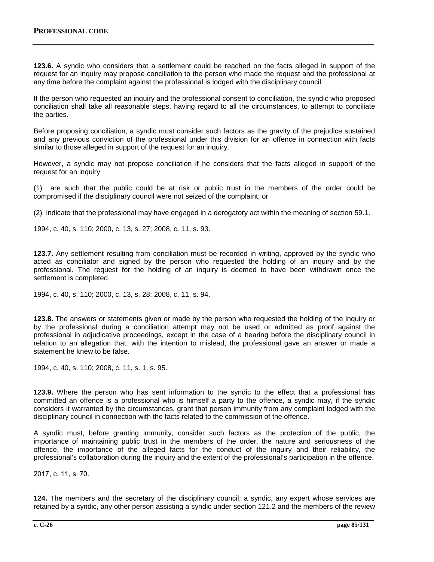**123.6.** A syndic who considers that a settlement could be reached on the facts alleged in support of the request for an inquiry may propose conciliation to the person who made the request and the professional at any time before the complaint against the professional is lodged with the disciplinary council.

If the person who requested an inquiry and the professional consent to conciliation, the syndic who proposed conciliation shall take all reasonable steps, having regard to all the circumstances, to attempt to conciliate the parties.

Before proposing conciliation, a syndic must consider such factors as the gravity of the prejudice sustained and any previous conviction of the professional under this division for an offence in connection with facts similar to those alleged in support of the request for an inquiry.

However, a syndic may not propose conciliation if he considers that the facts alleged in support of the request for an inquiry

(1) are such that the public could be at risk or public trust in the members of the order could be compromised if the disciplinary council were not seized of the complaint; or

(2) indicate that the professional may have engaged in a derogatory act within the meaning of section 59.1.

1994, c. 40, s. 110; 2000, c. 13, s. 27; 2008, c. 11, s. 93.

**123.7.** Any settlement resulting from conciliation must be recorded in writing, approved by the syndic who acted as conciliator and signed by the person who requested the holding of an inquiry and by the professional. The request for the holding of an inquiry is deemed to have been withdrawn once the settlement is completed.

1994, c. 40, s. 110; 2000, c. 13, s. 28; 2008, c. 11, s. 94.

**123.8.** The answers or statements given or made by the person who requested the holding of the inquiry or by the professional during a conciliation attempt may not be used or admitted as proof against the professional in adjudicative proceedings, except in the case of a hearing before the disciplinary council in relation to an allegation that, with the intention to mislead, the professional gave an answer or made a statement he knew to be false.

1994, c. 40, s. 110; 2008, c. 11, s. 1, s. 95.

**123.9.** Where the person who has sent information to the syndic to the effect that a professional has committed an offence is a professional who is himself a party to the offence, a syndic may, if the syndic considers it warranted by the circumstances, grant that person immunity from any complaint lodged with the disciplinary council in connection with the facts related to the commission of the offence.

A syndic must, before granting immunity, consider such factors as the protection of the public, the importance of maintaining public trust in the members of the order, the nature and seriousness of the offence, the importance of the alleged facts for the conduct of the inquiry and their reliability, the professional's collaboration during the inquiry and the extent of the professional's participation in the offence.

2017, c. 11, s. 70.

**124.** The members and the secretary of the disciplinary council, a syndic, any expert whose services are retained by a syndic, any other person assisting a syndic under section 121.2 and the members of the review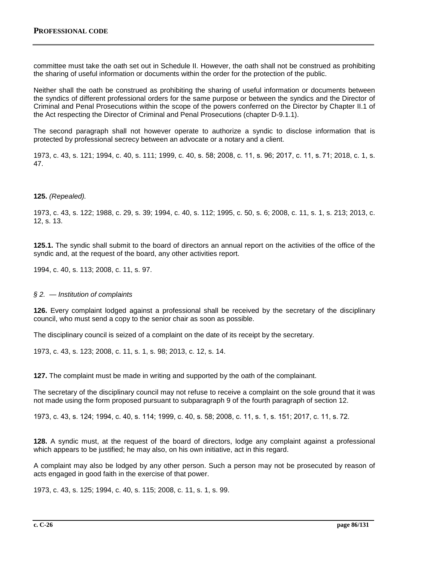committee must take the oath set out in Schedule II. However, the oath shall not be construed as prohibiting the sharing of useful information or documents within the order for the protection of the public.

Neither shall the oath be construed as prohibiting the sharing of useful information or documents between the syndics of different professional orders for the same purpose or between the syndics and the Director of Criminal and Penal Prosecutions within the scope of the powers conferred on the Director by Chapter II.1 of the Act respecting the Director of Criminal and Penal Prosecutions (chapter D-9.1.1).

The second paragraph shall not however operate to authorize a syndic to disclose information that is protected by professional secrecy between an advocate or a notary and a client.

1973, c. 43, s. 121; 1994, c. 40, s. 111; 1999, c. 40, s. 58; 2008, c. 11, s. 96; 2017, c. 11, s. 71; 2018, c. 1, s. 47.

### **125.** *(Repealed).*

1973, c. 43, s. 122; 1988, c. 29, s. 39; 1994, c. 40, s. 112; 1995, c. 50, s. 6; 2008, c. 11, s. 1, s. 213; 2013, c. 12, s. 13.

**125.1.** The syndic shall submit to the board of directors an annual report on the activities of the office of the syndic and, at the request of the board, any other activities report.

1994, c. 40, s. 113; 2008, c. 11, s. 97.

### *§ 2. — Institution of complaints*

**126.** Every complaint lodged against a professional shall be received by the secretary of the disciplinary council, who must send a copy to the senior chair as soon as possible.

The disciplinary council is seized of a complaint on the date of its receipt by the secretary.

1973, c. 43, s. 123; 2008, c. 11, s. 1, s. 98; 2013, c. 12, s. 14.

**127.** The complaint must be made in writing and supported by the oath of the complainant.

The secretary of the disciplinary council may not refuse to receive a complaint on the sole ground that it was not made using the form proposed pursuant to subparagraph 9 of the fourth paragraph of section 12.

1973, c. 43, s. 124; 1994, c. 40, s. 114; 1999, c. 40, s. 58; 2008, c. 11, s. 1, s. 151; 2017, c. 11, s. 72.

**128.** A syndic must, at the request of the board of directors, lodge any complaint against a professional which appears to be justified; he may also, on his own initiative, act in this regard.

A complaint may also be lodged by any other person. Such a person may not be prosecuted by reason of acts engaged in good faith in the exercise of that power.

1973, c. 43, s. 125; 1994, c. 40, s. 115; 2008, c. 11, s. 1, s. 99.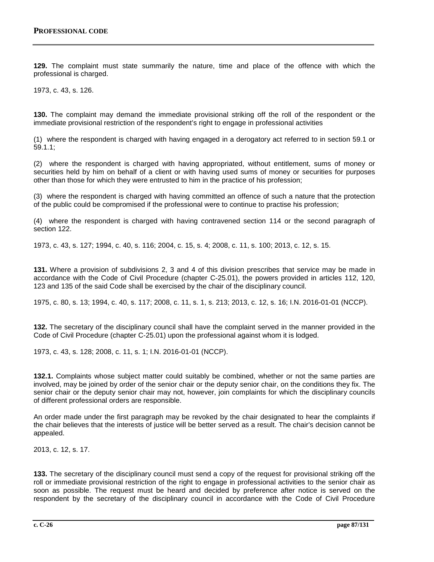**129.** The complaint must state summarily the nature, time and place of the offence with which the professional is charged.

1973, c. 43, s. 126.

**130.** The complaint may demand the immediate provisional striking off the roll of the respondent or the immediate provisional restriction of the respondent's right to engage in professional activities

(1) where the respondent is charged with having engaged in a derogatory act referred to in section 59.1 or 59.1.1;

(2) where the respondent is charged with having appropriated, without entitlement, sums of money or securities held by him on behalf of a client or with having used sums of money or securities for purposes other than those for which they were entrusted to him in the practice of his profession;

(3) where the respondent is charged with having committed an offence of such a nature that the protection of the public could be compromised if the professional were to continue to practise his profession;

(4) where the respondent is charged with having contravened section 114 or the second paragraph of section 122.

1973, c. 43, s. 127; 1994, c. 40, s. 116; 2004, c. 15, s. 4; 2008, c. 11, s. 100; 2013, c. 12, s. 15.

**131.** Where a provision of subdivisions 2, 3 and 4 of this division prescribes that service may be made in accordance with the Code of Civil Procedure (chapter C-25.01), the powers provided in articles 112, 120, 123 and 135 of the said Code shall be exercised by the chair of the disciplinary council.

1975, c. 80, s. 13; 1994, c. 40, s. 117; 2008, c. 11, s. 1, s. 213; 2013, c. 12, s. 16; I.N. 2016-01-01 (NCCP).

**132.** The secretary of the disciplinary council shall have the complaint served in the manner provided in the Code of Civil Procedure (chapter C‐25.01) upon the professional against whom it is lodged.

1973, c. 43, s. 128; 2008, c. 11, s. 1; I.N. 2016-01-01 (NCCP).

**132.1.** Complaints whose subject matter could suitably be combined, whether or not the same parties are involved, may be joined by order of the senior chair or the deputy senior chair, on the conditions they fix. The senior chair or the deputy senior chair may not, however, join complaints for which the disciplinary councils of different professional orders are responsible.

An order made under the first paragraph may be revoked by the chair designated to hear the complaints if the chair believes that the interests of justice will be better served as a result. The chair's decision cannot be appealed.

2013, c. 12, s. 17.

**133.** The secretary of the disciplinary council must send a copy of the request for provisional striking off the roll or immediate provisional restriction of the right to engage in professional activities to the senior chair as soon as possible. The request must be heard and decided by preference after notice is served on the respondent by the secretary of the disciplinary council in accordance with the Code of Civil Procedure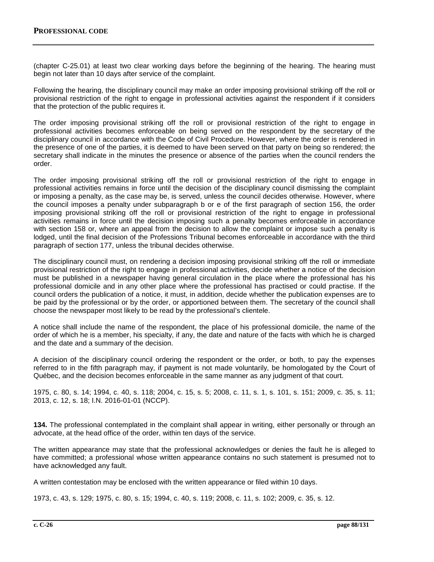(chapter C-25.01) at least two clear working days before the beginning of the hearing. The hearing must begin not later than 10 days after service of the complaint.

Following the hearing, the disciplinary council may make an order imposing provisional striking off the roll or provisional restriction of the right to engage in professional activities against the respondent if it considers that the protection of the public requires it.

The order imposing provisional striking off the roll or provisional restriction of the right to engage in professional activities becomes enforceable on being served on the respondent by the secretary of the disciplinary council in accordance with the Code of Civil Procedure. However, where the order is rendered in the presence of one of the parties, it is deemed to have been served on that party on being so rendered; the secretary shall indicate in the minutes the presence or absence of the parties when the council renders the order.

The order imposing provisional striking off the roll or provisional restriction of the right to engage in professional activities remains in force until the decision of the disciplinary council dismissing the complaint or imposing a penalty, as the case may be, is served, unless the council decides otherwise. However, where the council imposes a penalty under subparagraph b or e of the first paragraph of section 156, the order imposing provisional striking off the roll or provisional restriction of the right to engage in professional activities remains in force until the decision imposing such a penalty becomes enforceable in accordance with section 158 or, where an appeal from the decision to allow the complaint or impose such a penalty is lodged, until the final decision of the Professions Tribunal becomes enforceable in accordance with the third paragraph of section 177, unless the tribunal decides otherwise.

The disciplinary council must, on rendering a decision imposing provisional striking off the roll or immediate provisional restriction of the right to engage in professional activities, decide whether a notice of the decision must be published in a newspaper having general circulation in the place where the professional has his professional domicile and in any other place where the professional has practised or could practise. If the council orders the publication of a notice, it must, in addition, decide whether the publication expenses are to be paid by the professional or by the order, or apportioned between them. The secretary of the council shall choose the newspaper most likely to be read by the professional's clientele.

A notice shall include the name of the respondent, the place of his professional domicile, the name of the order of which he is a member, his specialty, if any, the date and nature of the facts with which he is charged and the date and a summary of the decision.

A decision of the disciplinary council ordering the respondent or the order, or both, to pay the expenses referred to in the fifth paragraph may, if payment is not made voluntarily, be homologated by the Court of Québec, and the decision becomes enforceable in the same manner as any judgment of that court.

1975, c. 80, s. 14; 1994, c. 40, s. 118; 2004, c. 15, s. 5; 2008, c. 11, s. 1, s. 101, s. 151; 2009, c. 35, s. 11; 2013, c. 12, s. 18; I.N. 2016-01-01 (NCCP).

**134.** The professional contemplated in the complaint shall appear in writing, either personally or through an advocate, at the head office of the order, within ten days of the service.

The written appearance may state that the professional acknowledges or denies the fault he is alleged to have committed; a professional whose written appearance contains no such statement is presumed not to have acknowledged any fault.

A written contestation may be enclosed with the written appearance or filed within 10 days.

1973, c. 43, s. 129; 1975, c. 80, s. 15; 1994, c. 40, s. 119; 2008, c. 11, s. 102; 2009, c. 35, s. 12.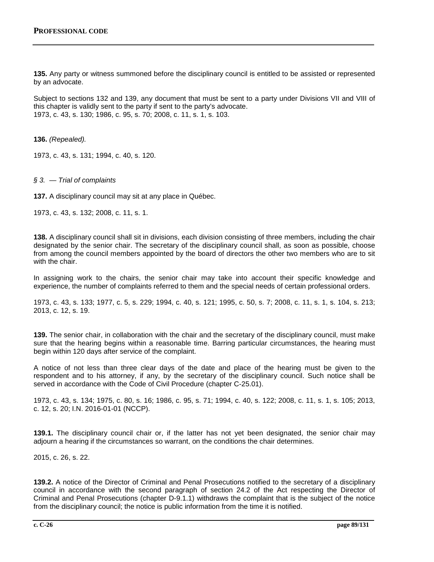**135.** Any party or witness summoned before the disciplinary council is entitled to be assisted or represented by an advocate.

Subject to sections 132 and 139, any document that must be sent to a party under Divisions VII and VIII of this chapter is validly sent to the party if sent to the party's advocate. 1973, c. 43, s. 130; 1986, c. 95, s. 70; 2008, c. 11, s. 1, s. 103.

**136.** *(Repealed).*

1973, c. 43, s. 131; 1994, c. 40, s. 120.

*§ 3. — Trial of complaints*

**137.** A disciplinary council may sit at any place in Québec.

1973, c. 43, s. 132; 2008, c. 11, s. 1.

**138.** A disciplinary council shall sit in divisions, each division consisting of three members, including the chair designated by the senior chair. The secretary of the disciplinary council shall, as soon as possible, choose from among the council members appointed by the board of directors the other two members who are to sit with the chair.

In assigning work to the chairs, the senior chair may take into account their specific knowledge and experience, the number of complaints referred to them and the special needs of certain professional orders.

1973, c. 43, s. 133; 1977, c. 5, s. 229; 1994, c. 40, s. 121; 1995, c. 50, s. 7; 2008, c. 11, s. 1, s. 104, s. 213; 2013, c. 12, s. 19.

**139.** The senior chair, in collaboration with the chair and the secretary of the disciplinary council, must make sure that the hearing begins within a reasonable time. Barring particular circumstances, the hearing must begin within 120 days after service of the complaint.

A notice of not less than three clear days of the date and place of the hearing must be given to the respondent and to his attorney, if any, by the secretary of the disciplinary council. Such notice shall be served in accordance with the Code of Civil Procedure (chapter C-25.01).

1973, c. 43, s. 134; 1975, c. 80, s. 16; 1986, c. 95, s. 71; 1994, c. 40, s. 122; 2008, c. 11, s. 1, s. 105; 2013, c. 12, s. 20; I.N. 2016-01-01 (NCCP).

**139.1.** The disciplinary council chair or, if the latter has not yet been designated, the senior chair may adjourn a hearing if the circumstances so warrant, on the conditions the chair determines.

2015, c. 26, s. 22.

**139.2.** A notice of the Director of Criminal and Penal Prosecutions notified to the secretary of a disciplinary council in accordance with the second paragraph of section 24.2 of the Act respecting the Director of Criminal and Penal Prosecutions (chapter D-9.1.1) withdraws the complaint that is the subject of the notice from the disciplinary council; the notice is public information from the time it is notified.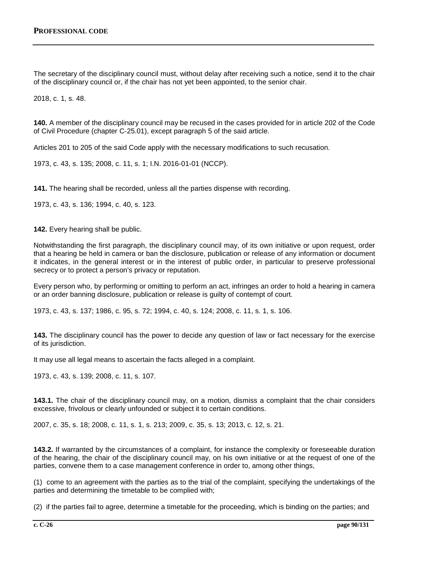The secretary of the disciplinary council must, without delay after receiving such a notice, send it to the chair of the disciplinary council or, if the chair has not yet been appointed, to the senior chair.

2018, c. 1, s. 48.

**140.** A member of the disciplinary council may be recused in the cases provided for in article 202 of the Code of Civil Procedure (chapter C‐25.01), except paragraph 5 of the said article.

Articles 201 to 205 of the said Code apply with the necessary modifications to such recusation.

1973, c. 43, s. 135; 2008, c. 11, s. 1; I.N. 2016-01-01 (NCCP).

**141.** The hearing shall be recorded, unless all the parties dispense with recording.

1973, c. 43, s. 136; 1994, c. 40, s. 123.

**142.** Every hearing shall be public.

Notwithstanding the first paragraph, the disciplinary council may, of its own initiative or upon request, order that a hearing be held in camera or ban the disclosure, publication or release of any information or document it indicates, in the general interest or in the interest of public order, in particular to preserve professional secrecy or to protect a person's privacy or reputation.

Every person who, by performing or omitting to perform an act, infringes an order to hold a hearing in camera or an order banning disclosure, publication or release is guilty of contempt of court.

1973, c. 43, s. 137; 1986, c. 95, s. 72; 1994, c. 40, s. 124; 2008, c. 11, s. 1, s. 106.

**143.** The disciplinary council has the power to decide any question of law or fact necessary for the exercise of its jurisdiction.

It may use all legal means to ascertain the facts alleged in a complaint.

1973, c. 43, s. 139; 2008, c. 11, s. 107.

**143.1.** The chair of the disciplinary council may, on a motion, dismiss a complaint that the chair considers excessive, frivolous or clearly unfounded or subject it to certain conditions.

2007, c. 35, s. 18; 2008, c. 11, s. 1, s. 213; 2009, c. 35, s. 13; 2013, c. 12, s. 21.

**143.2.** If warranted by the circumstances of a complaint, for instance the complexity or foreseeable duration of the hearing, the chair of the disciplinary council may, on his own initiative or at the request of one of the parties, convene them to a case management conference in order to, among other things,

(1) come to an agreement with the parties as to the trial of the complaint, specifying the undertakings of the parties and determining the timetable to be complied with;

(2) if the parties fail to agree, determine a timetable for the proceeding, which is binding on the parties; and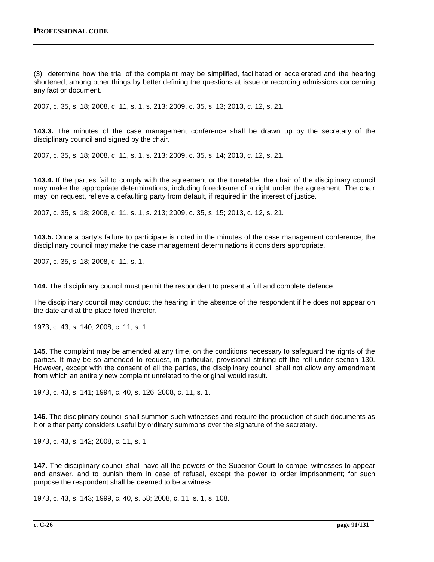(3) determine how the trial of the complaint may be simplified, facilitated or accelerated and the hearing shortened, among other things by better defining the questions at issue or recording admissions concerning any fact or document.

2007, c. 35, s. 18; 2008, c. 11, s. 1, s. 213; 2009, c. 35, s. 13; 2013, c. 12, s. 21.

**143.3.** The minutes of the case management conference shall be drawn up by the secretary of the disciplinary council and signed by the chair.

2007, c. 35, s. 18; 2008, c. 11, s. 1, s. 213; 2009, c. 35, s. 14; 2013, c. 12, s. 21.

**143.4.** If the parties fail to comply with the agreement or the timetable, the chair of the disciplinary council may make the appropriate determinations, including foreclosure of a right under the agreement. The chair may, on request, relieve a defaulting party from default, if required in the interest of justice.

2007, c. 35, s. 18; 2008, c. 11, s. 1, s. 213; 2009, c. 35, s. 15; 2013, c. 12, s. 21.

**143.5.** Once a party's failure to participate is noted in the minutes of the case management conference, the disciplinary council may make the case management determinations it considers appropriate.

2007, c. 35, s. 18; 2008, c. 11, s. 1.

**144.** The disciplinary council must permit the respondent to present a full and complete defence.

The disciplinary council may conduct the hearing in the absence of the respondent if he does not appear on the date and at the place fixed therefor.

1973, c. 43, s. 140; 2008, c. 11, s. 1.

**145.** The complaint may be amended at any time, on the conditions necessary to safeguard the rights of the parties. It may be so amended to request, in particular, provisional striking off the roll under section 130. However, except with the consent of all the parties, the disciplinary council shall not allow any amendment from which an entirely new complaint unrelated to the original would result.

1973, c. 43, s. 141; 1994, c. 40, s. 126; 2008, c. 11, s. 1.

**146.** The disciplinary council shall summon such witnesses and require the production of such documents as it or either party considers useful by ordinary summons over the signature of the secretary.

1973, c. 43, s. 142; 2008, c. 11, s. 1.

**147.** The disciplinary council shall have all the powers of the Superior Court to compel witnesses to appear and answer, and to punish them in case of refusal, except the power to order imprisonment; for such purpose the respondent shall be deemed to be a witness.

1973, c. 43, s. 143; 1999, c. 40, s. 58; 2008, c. 11, s. 1, s. 108.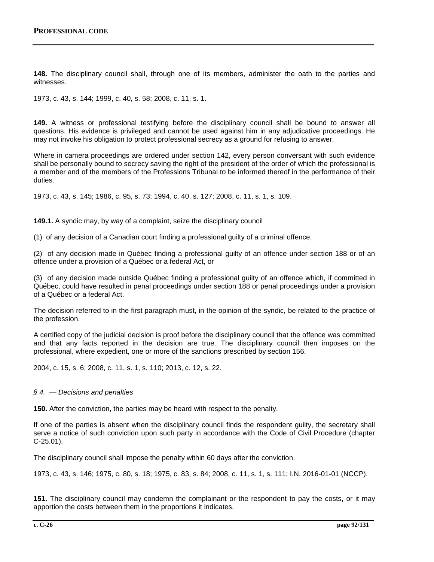**148.** The disciplinary council shall, through one of its members, administer the oath to the parties and witnesses.

1973, c. 43, s. 144; 1999, c. 40, s. 58; 2008, c. 11, s. 1.

**149.** A witness or professional testifying before the disciplinary council shall be bound to answer all questions. His evidence is privileged and cannot be used against him in any adjudicative proceedings. He may not invoke his obligation to protect professional secrecy as a ground for refusing to answer.

Where in camera proceedings are ordered under section 142, every person conversant with such evidence shall be personally bound to secrecy saving the right of the president of the order of which the professional is a member and of the members of the Professions Tribunal to be informed thereof in the performance of their duties.

1973, c. 43, s. 145; 1986, c. 95, s. 73; 1994, c. 40, s. 127; 2008, c. 11, s. 1, s. 109.

**149.1.** A syndic may, by way of a complaint, seize the disciplinary council

(1) of any decision of a Canadian court finding a professional guilty of a criminal offence,

(2) of any decision made in Québec finding a professional guilty of an offence under section 188 or of an offence under a provision of a Québec or a federal Act, or

(3) of any decision made outside Québec finding a professional guilty of an offence which, if committed in Québec, could have resulted in penal proceedings under section 188 or penal proceedings under a provision of a Québec or a federal Act.

The decision referred to in the first paragraph must, in the opinion of the syndic, be related to the practice of the profession.

A certified copy of the judicial decision is proof before the disciplinary council that the offence was committed and that any facts reported in the decision are true. The disciplinary council then imposes on the professional, where expedient, one or more of the sanctions prescribed by section 156.

2004, c. 15, s. 6; 2008, c. 11, s. 1, s. 110; 2013, c. 12, s. 22.

### *§ 4. — Decisions and penalties*

**150.** After the conviction, the parties may be heard with respect to the penalty.

If one of the parties is absent when the disciplinary council finds the respondent guilty, the secretary shall serve a notice of such conviction upon such party in accordance with the Code of Civil Procedure (chapter C‐25.01).

The disciplinary council shall impose the penalty within 60 days after the conviction.

1973, c. 43, s. 146; 1975, c. 80, s. 18; 1975, c. 83, s. 84; 2008, c. 11, s. 1, s. 111; I.N. 2016-01-01 (NCCP).

**151.** The disciplinary council may condemn the complainant or the respondent to pay the costs, or it may apportion the costs between them in the proportions it indicates.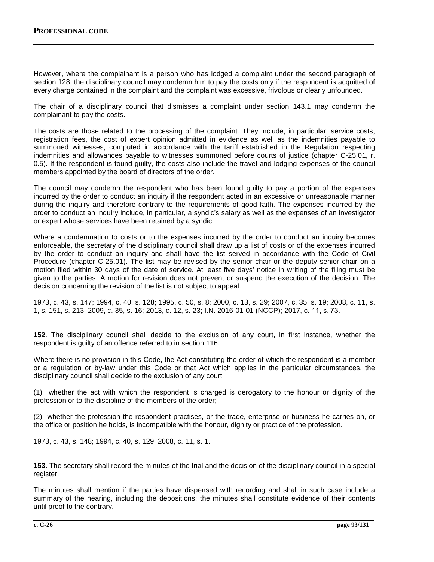However, where the complainant is a person who has lodged a complaint under the second paragraph of section 128, the disciplinary council may condemn him to pay the costs only if the respondent is acquitted of every charge contained in the complaint and the complaint was excessive, frivolous or clearly unfounded.

The chair of a disciplinary council that dismisses a complaint under section 143.1 may condemn the complainant to pay the costs.

The costs are those related to the processing of the complaint. They include, in particular, service costs, registration fees, the cost of expert opinion admitted in evidence as well as the indemnities payable to summoned witnesses, computed in accordance with the tariff established in the Regulation respecting indemnities and allowances payable to witnesses summoned before courts of justice (chapter C-25.01, r. 0.5). If the respondent is found guilty, the costs also include the travel and lodging expenses of the council members appointed by the board of directors of the order.

The council may condemn the respondent who has been found guilty to pay a portion of the expenses incurred by the order to conduct an inquiry if the respondent acted in an excessive or unreasonable manner during the inquiry and therefore contrary to the requirements of good faith. The expenses incurred by the order to conduct an inquiry include, in particular, a syndic's salary as well as the expenses of an investigator or expert whose services have been retained by a syndic.

Where a condemnation to costs or to the expenses incurred by the order to conduct an inquiry becomes enforceable, the secretary of the disciplinary council shall draw up a list of costs or of the expenses incurred by the order to conduct an inquiry and shall have the list served in accordance with the Code of Civil Procedure (chapter C-25.01). The list may be revised by the senior chair or the deputy senior chair on a motion filed within 30 days of the date of service. At least five days' notice in writing of the filing must be given to the parties. A motion for revision does not prevent or suspend the execution of the decision. The decision concerning the revision of the list is not subject to appeal.

1973, c. 43, s. 147; 1994, c. 40, s. 128; 1995, c. 50, s. 8; 2000, c. 13, s. 29; 2007, c. 35, s. 19; 2008, c. 11, s. 1, s. 151, s. 213; 2009, c. 35, s. 16; 2013, c. 12, s. 23; I.N. 2016-01-01 (NCCP); 2017, c. 11, s. 73.

**152**. The disciplinary council shall decide to the exclusion of any court, in first instance, whether the respondent is guilty of an offence referred to in section 116.

Where there is no provision in this Code, the Act constituting the order of which the respondent is a member or a regulation or by-law under this Code or that Act which applies in the particular circumstances, the disciplinary council shall decide to the exclusion of any court

(1) whether the act with which the respondent is charged is derogatory to the honour or dignity of the profession or to the discipline of the members of the order;

(2) whether the profession the respondent practises, or the trade, enterprise or business he carries on, or the office or position he holds, is incompatible with the honour, dignity or practice of the profession.

1973, c. 43, s. 148; 1994, c. 40, s. 129; 2008, c. 11, s. 1.

**153.** The secretary shall record the minutes of the trial and the decision of the disciplinary council in a special register.

The minutes shall mention if the parties have dispensed with recording and shall in such case include a summary of the hearing, including the depositions; the minutes shall constitute evidence of their contents until proof to the contrary.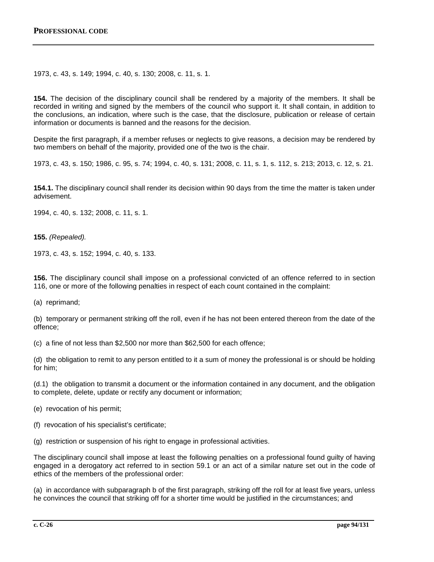1973, c. 43, s. 149; 1994, c. 40, s. 130; 2008, c. 11, s. 1.

**154.** The decision of the disciplinary council shall be rendered by a majority of the members. It shall be recorded in writing and signed by the members of the council who support it. It shall contain, in addition to the conclusions, an indication, where such is the case, that the disclosure, publication or release of certain information or documents is banned and the reasons for the decision.

Despite the first paragraph, if a member refuses or neglects to give reasons, a decision may be rendered by two members on behalf of the majority, provided one of the two is the chair.

1973, c. 43, s. 150; 1986, c. 95, s. 74; 1994, c. 40, s. 131; 2008, c. 11, s. 1, s. 112, s. 213; 2013, c. 12, s. 21.

**154.1.** The disciplinary council shall render its decision within 90 days from the time the matter is taken under advisement.

1994, c. 40, s. 132; 2008, c. 11, s. 1.

**155.** *(Repealed).*

1973, c. 43, s. 152; 1994, c. 40, s. 133.

**156.** The disciplinary council shall impose on a professional convicted of an offence referred to in section 116, one or more of the following penalties in respect of each count contained in the complaint:

(a) reprimand;

(b) temporary or permanent striking off the roll, even if he has not been entered thereon from the date of the offence;

(c) a fine of not less than \$2,500 nor more than \$62,500 for each offence;

(d) the obligation to remit to any person entitled to it a sum of money the professional is or should be holding for him;

(d.1) the obligation to transmit a document or the information contained in any document, and the obligation to complete, delete, update or rectify any document or information;

(e) revocation of his permit;

- (f) revocation of his specialist's certificate;
- (g) restriction or suspension of his right to engage in professional activities.

The disciplinary council shall impose at least the following penalties on a professional found guilty of having engaged in a derogatory act referred to in section 59.1 or an act of a similar nature set out in the code of ethics of the members of the professional order:

(a) in accordance with subparagraph b of the first paragraph, striking off the roll for at least five years, unless he convinces the council that striking off for a shorter time would be justified in the circumstances; and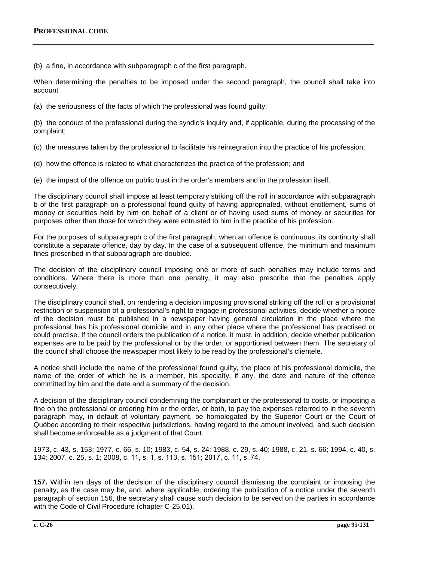(b) a fine, in accordance with subparagraph c of the first paragraph.

When determining the penalties to be imposed under the second paragraph, the council shall take into account

(a) the seriousness of the facts of which the professional was found guilty;

(b) the conduct of the professional during the syndic's inquiry and, if applicable, during the processing of the complaint;

(c) the measures taken by the professional to facilitate his reintegration into the practice of his profession;

(d) how the offence is related to what characterizes the practice of the profession; and

(e) the impact of the offence on public trust in the order's members and in the profession itself.

The disciplinary council shall impose at least temporary striking off the roll in accordance with subparagraph b of the first paragraph on a professional found guilty of having appropriated, without entitlement, sums of money or securities held by him on behalf of a client or of having used sums of money or securities for purposes other than those for which they were entrusted to him in the practice of his profession.

For the purposes of subparagraph c of the first paragraph, when an offence is continuous, its continuity shall constitute a separate offence, day by day. In the case of a subsequent offence, the minimum and maximum fines prescribed in that subparagraph are doubled.

The decision of the disciplinary council imposing one or more of such penalties may include terms and conditions. Where there is more than one penalty, it may also prescribe that the penalties apply consecutively.

The disciplinary council shall, on rendering a decision imposing provisional striking off the roll or a provisional restriction or suspension of a professional's right to engage in professional activities, decide whether a notice of the decision must be published in a newspaper having general circulation in the place where the professional has his professional domicile and in any other place where the professional has practised or could practise. If the council orders the publication of a notice, it must, in addition, decide whether publication expenses are to be paid by the professional or by the order, or apportioned between them. The secretary of the council shall choose the newspaper most likely to be read by the professional's clientele.

A notice shall include the name of the professional found guilty, the place of his professional domicile, the name of the order of which he is a member, his specialty, if any, the date and nature of the offence committed by him and the date and a summary of the decision.

A decision of the disciplinary council condemning the complainant or the professional to costs, or imposing a fine on the professional or ordering him or the order, or both, to pay the expenses referred to in the seventh paragraph may, in default of voluntary payment, be homologated by the Superior Court or the Court of Québec according to their respective jurisdictions, having regard to the amount involved, and such decision shall become enforceable as a judgment of that Court.

1973, c. 43, s. 153; 1977, c. 66, s. 10; 1983, c. 54, s. 24; 1988, c. 29, s. 40; 1988, c. 21, s. 66; 1994, c. 40, s. 134; 2007, c. 25, s. 1; 2008, c. 11, s. 1, s. 113, s. 151; 2017, c. 11, s. 74.

**157.** Within ten days of the decision of the disciplinary council dismissing the complaint or imposing the penalty, as the case may be, and, where applicable, ordering the publication of a notice under the seventh paragraph of section 156, the secretary shall cause such decision to be served on the parties in accordance with the Code of Civil Procedure (chapter C‐25.01).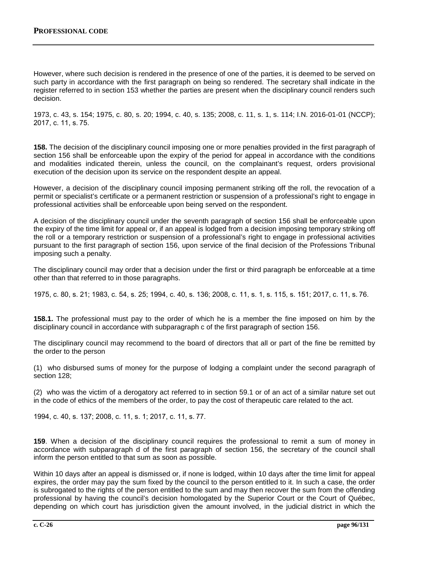However, where such decision is rendered in the presence of one of the parties, it is deemed to be served on such party in accordance with the first paragraph on being so rendered. The secretary shall indicate in the register referred to in section 153 whether the parties are present when the disciplinary council renders such decision.

1973, c. 43, s. 154; 1975, c. 80, s. 20; 1994, c. 40, s. 135; 2008, c. 11, s. 1, s. 114; I.N. 2016-01-01 (NCCP); 2017, c. 11, s. 75.

**158.** The decision of the disciplinary council imposing one or more penalties provided in the first paragraph of section 156 shall be enforceable upon the expiry of the period for appeal in accordance with the conditions and modalities indicated therein, unless the council, on the complainant's request, orders provisional execution of the decision upon its service on the respondent despite an appeal.

However, a decision of the disciplinary council imposing permanent striking off the roll, the revocation of a permit or specialist's certificate or a permanent restriction or suspension of a professional's right to engage in professional activities shall be enforceable upon being served on the respondent.

A decision of the disciplinary council under the seventh paragraph of section 156 shall be enforceable upon the expiry of the time limit for appeal or, if an appeal is lodged from a decision imposing temporary striking off the roll or a temporary restriction or suspension of a professional's right to engage in professional activities pursuant to the first paragraph of section 156, upon service of the final decision of the Professions Tribunal imposing such a penalty.

The disciplinary council may order that a decision under the first or third paragraph be enforceable at a time other than that referred to in those paragraphs.

1975, c. 80, s. 21; 1983, c. 54, s. 25; 1994, c. 40, s. 136; 2008, c. 11, s. 1, s. 115, s. 151; 2017, c. 11, s. 76.

**158.1.** The professional must pay to the order of which he is a member the fine imposed on him by the disciplinary council in accordance with subparagraph c of the first paragraph of section 156.

The disciplinary council may recommend to the board of directors that all or part of the fine be remitted by the order to the person

(1) who disbursed sums of money for the purpose of lodging a complaint under the second paragraph of section 128;

(2) who was the victim of a derogatory act referred to in section 59.1 or of an act of a similar nature set out in the code of ethics of the members of the order, to pay the cost of therapeutic care related to the act.

1994, c. 40, s. 137; 2008, c. 11, s. 1; 2017, c. 11, s. 77.

**159**. When a decision of the disciplinary council requires the professional to remit a sum of money in accordance with subparagraph d of the first paragraph of section 156, the secretary of the council shall inform the person entitled to that sum as soon as possible.

Within 10 days after an appeal is dismissed or, if none is lodged, within 10 days after the time limit for appeal expires, the order may pay the sum fixed by the council to the person entitled to it. In such a case, the order is subrogated to the rights of the person entitled to the sum and may then recover the sum from the offending professional by having the council's decision homologated by the Superior Court or the Court of Québec, depending on which court has jurisdiction given the amount involved, in the judicial district in which the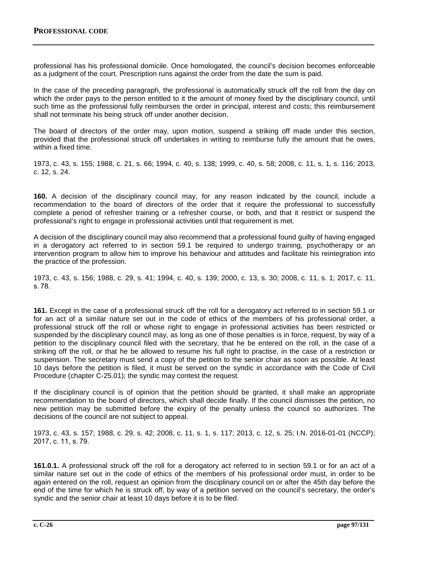professional has his professional domicile. Once homologated, the council's decision becomes enforceable as a judgment of the court. Prescription runs against the order from the date the sum is paid.

In the case of the preceding paragraph, the professional is automatically struck off the roll from the day on which the order pays to the person entitled to it the amount of money fixed by the disciplinary council, until such time as the professional fully reimburses the order in principal, interest and costs; this reimbursement shall not terminate his being struck off under another decision.

The board of directors of the order may, upon motion, suspend a striking off made under this section, provided that the professional struck off undertakes in writing to reimburse fully the amount that he owes, within a fixed time.

1973, c. 43, s. 155; 1988, c. 21, s. 66; 1994, c. 40, s. 138; 1999, c. 40, s. 58; 2008, c. 11, s. 1, s. 116; 2013, c. 12, s. 24.

**160.** A decision of the disciplinary council may, for any reason indicated by the council, include a recommendation to the board of directors of the order that it require the professional to successfully complete a period of refresher training or a refresher course, or both, and that it restrict or suspend the professional's right to engage in professional activities until that requirement is met.

A decision of the disciplinary council may also recommend that a professional found guilty of having engaged in a derogatory act referred to in section 59.1 be required to undergo training, psychotherapy or an intervention program to allow him to improve his behaviour and attitudes and facilitate his reintegration into the practice of the profession.

1973, c. 43, s. 156; 1988, c. 29, s. 41; 1994, c. 40, s. 139; 2000, c. 13, s. 30; 2008, c. 11, s. 1; 2017, c. 11, s. 78.

**161.** Except in the case of a professional struck off the roll for a derogatory act referred to in section 59.1 or for an act of a similar nature set out in the code of ethics of the members of his professional order, a professional struck off the roll or whose right to engage in professional activities has been restricted or suspended by the disciplinary council may, as long as one of those penalties is in force, request, by way of a petition to the disciplinary council filed with the secretary, that he be entered on the roll, in the case of a striking off the roll, or that he be allowed to resume his full right to practise, in the case of a restriction or suspension. The secretary must send a copy of the petition to the senior chair as soon as possible. At least 10 days before the petition is filed, it must be served on the syndic in accordance with the Code of Civil Procedure (chapter C-25.01); the syndic may contest the request.

If the disciplinary council is of opinion that the petition should be granted, it shall make an appropriate recommendation to the board of directors, which shall decide finally. If the council dismisses the petition, no new petition may be submitted before the expiry of the penalty unless the council so authorizes. The decisions of the council are not subject to appeal.

1973, c. 43, s. 157; 1988, c. 29, s. 42; 2008, c. 11, s. 1, s. 117; 2013, c. 12, s. 25; I.N. 2016-01-01 (NCCP); 2017, c. 11, s. 79.

**161.0.1.** A professional struck off the roll for a derogatory act referred to in section 59.1 or for an act of a similar nature set out in the code of ethics of the members of his professional order must, in order to be again entered on the roll, request an opinion from the disciplinary council on or after the 45th day before the end of the time for which he is struck off, by way of a petition served on the council's secretary, the order's syndic and the senior chair at least 10 days before it is to be filed.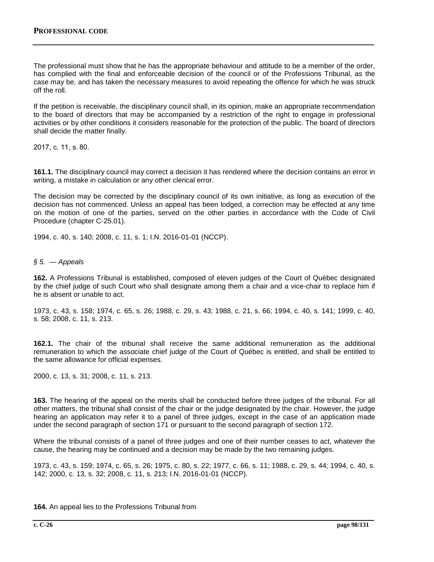The professional must show that he has the appropriate behaviour and attitude to be a member of the order, has complied with the final and enforceable decision of the council or of the Professions Tribunal, as the case may be, and has taken the necessary measures to avoid repeating the offence for which he was struck off the roll.

If the petition is receivable, the disciplinary council shall, in its opinion, make an appropriate recommendation to the board of directors that may be accompanied by a restriction of the right to engage in professional activities or by other conditions it considers reasonable for the protection of the public. The board of directors shall decide the matter finally.

2017, c. 11, s. 80.

**161.1.** The disciplinary council may correct a decision it has rendered where the decision contains an error in writing, a mistake in calculation or any other clerical error.

The decision may be corrected by the disciplinary council of its own initiative, as long as execution of the decision has not commenced. Unless an appeal has been lodged, a correction may be effected at any time on the motion of one of the parties, served on the other parties in accordance with the Code of Civil Procedure (chapter C‐25.01).

1994, c. 40, s. 140; 2008, c. 11, s. 1; I.N. 2016-01-01 (NCCP).

*§ 5. — Appeals*

**162.** A Professions Tribunal is established, composed of eleven judges of the Court of Québec designated by the chief judge of such Court who shall designate among them a chair and a vice-chair to replace him if he is absent or unable to act.

1973, c. 43, s. 158; 1974, c. 65, s. 26; 1988, c. 29, s. 43; 1988, c. 21, s. 66; 1994, c. 40, s. 141; 1999, c. 40, s. 58; 2008, c. 11, s. 213.

**162.1.** The chair of the tribunal shall receive the same additional remuneration as the additional remuneration to which the associate chief judge of the Court of Québec is entitled, and shall be entitled to the same allowance for official expenses.

2000, c. 13, s. 31; 2008, c. 11, s. 213.

**163.** The hearing of the appeal on the merits shall be conducted before three judges of the tribunal. For all other matters, the tribunal shall consist of the chair or the judge designated by the chair. However, the judge hearing an application may refer it to a panel of three judges, except in the case of an application made under the second paragraph of section 171 or pursuant to the second paragraph of section 172.

Where the tribunal consists of a panel of three judges and one of their number ceases to act, whatever the cause, the hearing may be continued and a decision may be made by the two remaining judges.

1973, c. 43, s. 159; 1974, c. 65, s. 26; 1975, c. 80, s. 22; 1977, c. 66, s. 11; 1988, c. 29, s. 44; 1994, c. 40, s. 142; 2000, c. 13, s. 32; 2008, c. 11, s. 213; I.N. 2016-01-01 (NCCP).

**164.** An appeal lies to the Professions Tribunal from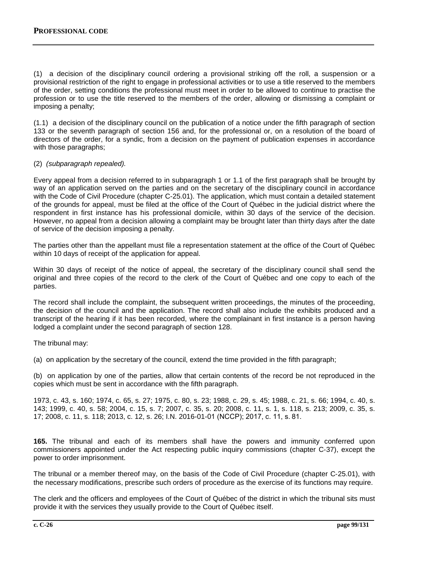(1) a decision of the disciplinary council ordering a provisional striking off the roll, a suspension or a provisional restriction of the right to engage in professional activities or to use a title reserved to the members of the order, setting conditions the professional must meet in order to be allowed to continue to practise the profession or to use the title reserved to the members of the order, allowing or dismissing a complaint or imposing a penalty;

(1.1) a decision of the disciplinary council on the publication of a notice under the fifth paragraph of section 133 or the seventh paragraph of section 156 and, for the professional or, on a resolution of the board of directors of the order, for a syndic, from a decision on the payment of publication expenses in accordance with those paragraphs;

### (2) *(subparagraph repealed).*

Every appeal from a decision referred to in subparagraph 1 or 1.1 of the first paragraph shall be brought by way of an application served on the parties and on the secretary of the disciplinary council in accordance with the Code of Civil Procedure (chapter C-25.01). The application, which must contain a detailed statement of the grounds for appeal, must be filed at the office of the Court of Québec in the judicial district where the respondent in first instance has his professional domicile, within 30 days of the service of the decision. However, no appeal from a decision allowing a complaint may be brought later than thirty days after the date of service of the decision imposing a penalty.

The parties other than the appellant must file a representation statement at the office of the Court of Québec within 10 days of receipt of the application for appeal.

Within 30 days of receipt of the notice of appeal, the secretary of the disciplinary council shall send the original and three copies of the record to the clerk of the Court of Québec and one copy to each of the parties.

The record shall include the complaint, the subsequent written proceedings, the minutes of the proceeding, the decision of the council and the application. The record shall also include the exhibits produced and a transcript of the hearing if it has been recorded, where the complainant in first instance is a person having lodged a complaint under the second paragraph of section 128.

The tribunal may:

(a) on application by the secretary of the council, extend the time provided in the fifth paragraph;

(b) on application by one of the parties, allow that certain contents of the record be not reproduced in the copies which must be sent in accordance with the fifth paragraph.

1973, c. 43, s. 160; 1974, c. 65, s. 27; 1975, c. 80, s. 23; 1988, c. 29, s. 45; 1988, c. 21, s. 66; 1994, c. 40, s. 143; 1999, c. 40, s. 58; 2004, c. 15, s. 7; 2007, c. 35, s. 20; 2008, c. 11, s. 1, s. 118, s. 213; 2009, c. 35, s. 17; 2008, c. 11, s. 118; 2013, c. 12, s. 26; I.N. 2016-01-01 (NCCP); 2017, c. 11, s. 81.

**165.** The tribunal and each of its members shall have the powers and immunity conferred upon commissioners appointed under the Act respecting public inquiry commissions (chapter C‐37), except the power to order imprisonment.

The tribunal or a member thereof may, on the basis of the Code of Civil Procedure (chapter C‐25.01), with the necessary modifications, prescribe such orders of procedure as the exercise of its functions may require.

The clerk and the officers and employees of the Court of Québec of the district in which the tribunal sits must provide it with the services they usually provide to the Court of Québec itself.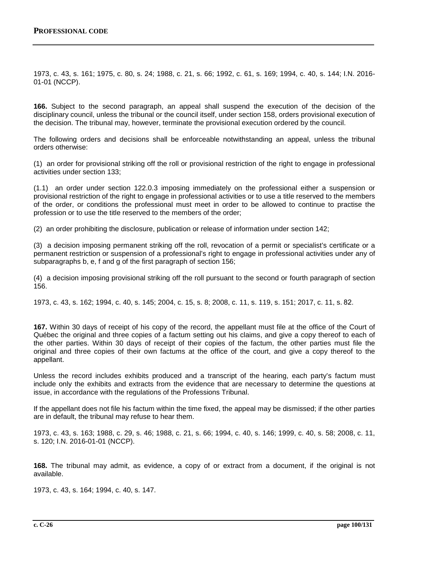1973, c. 43, s. 161; 1975, c. 80, s. 24; 1988, c. 21, s. 66; 1992, c. 61, s. 169; 1994, c. 40, s. 144; I.N. 2016- 01-01 (NCCP).

**166.** Subject to the second paragraph, an appeal shall suspend the execution of the decision of the disciplinary council, unless the tribunal or the council itself, under section 158, orders provisional execution of the decision. The tribunal may, however, terminate the provisional execution ordered by the council.

The following orders and decisions shall be enforceable notwithstanding an appeal, unless the tribunal orders otherwise:

(1) an order for provisional striking off the roll or provisional restriction of the right to engage in professional activities under section 133;

(1.1) an order under section 122.0.3 imposing immediately on the professional either a suspension or provisional restriction of the right to engage in professional activities or to use a title reserved to the members of the order, or conditions the professional must meet in order to be allowed to continue to practise the profession or to use the title reserved to the members of the order;

(2) an order prohibiting the disclosure, publication or release of information under section 142;

(3) a decision imposing permanent striking off the roll, revocation of a permit or specialist's certificate or a permanent restriction or suspension of a professional's right to engage in professional activities under any of subparagraphs b, e, f and g of the first paragraph of section 156;

(4) a decision imposing provisional striking off the roll pursuant to the second or fourth paragraph of section 156.

1973, c. 43, s. 162; 1994, c. 40, s. 145; 2004, c. 15, s. 8; 2008, c. 11, s. 119, s. 151; 2017, c. 11, s. 82.

**167.** Within 30 days of receipt of his copy of the record, the appellant must file at the office of the Court of Québec the original and three copies of a factum setting out his claims, and give a copy thereof to each of the other parties. Within 30 days of receipt of their copies of the factum, the other parties must file the original and three copies of their own factums at the office of the court, and give a copy thereof to the appellant.

Unless the record includes exhibits produced and a transcript of the hearing, each party's factum must include only the exhibits and extracts from the evidence that are necessary to determine the questions at issue, in accordance with the regulations of the Professions Tribunal.

If the appellant does not file his factum within the time fixed, the appeal may be dismissed; if the other parties are in default, the tribunal may refuse to hear them.

1973, c. 43, s. 163; 1988, c. 29, s. 46; 1988, c. 21, s. 66; 1994, c. 40, s. 146; 1999, c. 40, s. 58; 2008, c. 11, s. 120; I.N. 2016-01-01 (NCCP).

**168.** The tribunal may admit, as evidence, a copy of or extract from a document, if the original is not available.

1973, c. 43, s. 164; 1994, c. 40, s. 147.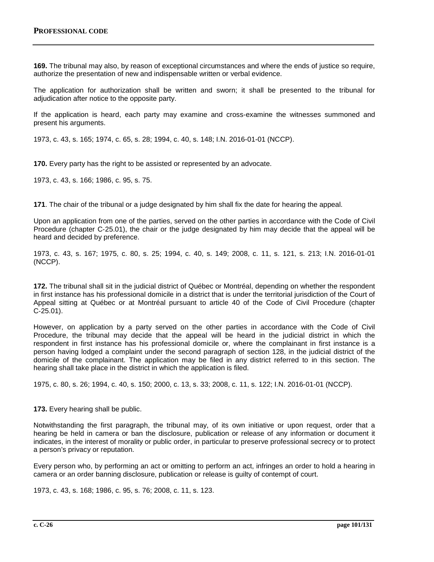**169.** The tribunal may also, by reason of exceptional circumstances and where the ends of justice so require, authorize the presentation of new and indispensable written or verbal evidence.

The application for authorization shall be written and sworn; it shall be presented to the tribunal for adjudication after notice to the opposite party.

If the application is heard, each party may examine and cross-examine the witnesses summoned and present his arguments.

1973, c. 43, s. 165; 1974, c. 65, s. 28; 1994, c. 40, s. 148; I.N. 2016-01-01 (NCCP).

**170.** Every party has the right to be assisted or represented by an advocate.

1973, c. 43, s. 166; 1986, c. 95, s. 75.

**171**. The chair of the tribunal or a judge designated by him shall fix the date for hearing the appeal.

Upon an application from one of the parties, served on the other parties in accordance with the Code of Civil Procedure (chapter C‐25.01), the chair or the judge designated by him may decide that the appeal will be heard and decided by preference.

1973, c. 43, s. 167; 1975, c. 80, s. 25; 1994, c. 40, s. 149; 2008, c. 11, s. 121, s. 213; I.N. 2016-01-01 (NCCP).

**172.** The tribunal shall sit in the judicial district of Québec or Montréal, depending on whether the respondent in first instance has his professional domicile in a district that is under the territorial jurisdiction of the Court of Appeal sitting at Québec or at Montréal pursuant to article 40 of the Code of Civil Procedure (chapter C‐25.01).

However, on application by a party served on the other parties in accordance with the Code of Civil Procedure, the tribunal may decide that the appeal will be heard in the judicial district in which the respondent in first instance has his professional domicile or, where the complainant in first instance is a person having lodged a complaint under the second paragraph of section 128, in the judicial district of the domicile of the complainant. The application may be filed in any district referred to in this section. The hearing shall take place in the district in which the application is filed.

1975, c. 80, s. 26; 1994, c. 40, s. 150; 2000, c. 13, s. 33; 2008, c. 11, s. 122; I.N. 2016-01-01 (NCCP).

**173.** Every hearing shall be public.

Notwithstanding the first paragraph, the tribunal may, of its own initiative or upon request, order that a hearing be held in camera or ban the disclosure, publication or release of any information or document it indicates, in the interest of morality or public order, in particular to preserve professional secrecy or to protect a person's privacy or reputation.

Every person who, by performing an act or omitting to perform an act, infringes an order to hold a hearing in camera or an order banning disclosure, publication or release is guilty of contempt of court.

1973, c. 43, s. 168; 1986, c. 95, s. 76; 2008, c. 11, s. 123.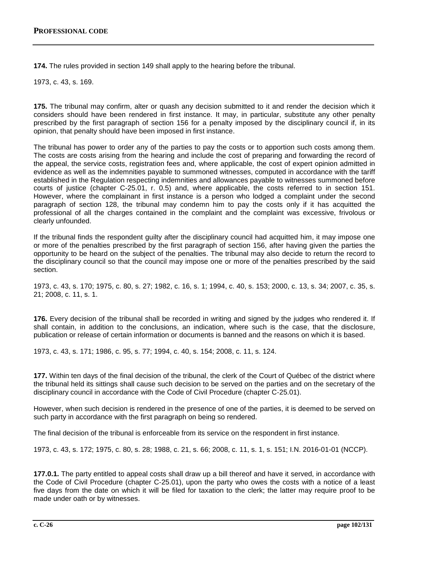**174.** The rules provided in section 149 shall apply to the hearing before the tribunal.

1973, c. 43, s. 169.

**175.** The tribunal may confirm, alter or quash any decision submitted to it and render the decision which it considers should have been rendered in first instance. It may, in particular, substitute any other penalty prescribed by the first paragraph of section 156 for a penalty imposed by the disciplinary council if, in its opinion, that penalty should have been imposed in first instance.

The tribunal has power to order any of the parties to pay the costs or to apportion such costs among them. The costs are costs arising from the hearing and include the cost of preparing and forwarding the record of the appeal, the service costs, registration fees and, where applicable, the cost of expert opinion admitted in evidence as well as the indemnities payable to summoned witnesses, computed in accordance with the tariff established in the Regulation respecting indemnities and allowances payable to witnesses summoned before courts of justice (chapter C-25.01, r. 0.5) and, where applicable, the costs referred to in section 151. However, where the complainant in first instance is a person who lodged a complaint under the second paragraph of section 128, the tribunal may condemn him to pay the costs only if it has acquitted the professional of all the charges contained in the complaint and the complaint was excessive, frivolous or clearly unfounded.

If the tribunal finds the respondent guilty after the disciplinary council had acquitted him, it may impose one or more of the penalties prescribed by the first paragraph of section 156, after having given the parties the opportunity to be heard on the subject of the penalties. The tribunal may also decide to return the record to the disciplinary council so that the council may impose one or more of the penalties prescribed by the said section.

1973, c. 43, s. 170; 1975, c. 80, s. 27; 1982, c. 16, s. 1; 1994, c. 40, s. 153; 2000, c. 13, s. 34; 2007, c. 35, s. 21; 2008, c. 11, s. 1.

**176.** Every decision of the tribunal shall be recorded in writing and signed by the judges who rendered it. If shall contain, in addition to the conclusions, an indication, where such is the case, that the disclosure, publication or release of certain information or documents is banned and the reasons on which it is based.

1973, c. 43, s. 171; 1986, c. 95, s. 77; 1994, c. 40, s. 154; 2008, c. 11, s. 124.

**177.** Within ten days of the final decision of the tribunal, the clerk of the Court of Québec of the district where the tribunal held its sittings shall cause such decision to be served on the parties and on the secretary of the disciplinary council in accordance with the Code of Civil Procedure (chapter C‐25.01).

However, when such decision is rendered in the presence of one of the parties, it is deemed to be served on such party in accordance with the first paragraph on being so rendered.

The final decision of the tribunal is enforceable from its service on the respondent in first instance.

1973, c. 43, s. 172; 1975, c. 80, s. 28; 1988, c. 21, s. 66; 2008, c. 11, s. 1, s. 151; I.N. 2016-01-01 (NCCP).

**177.0.1.** The party entitled to appeal costs shall draw up a bill thereof and have it served, in accordance with the Code of Civil Procedure (chapter C‐25.01), upon the party who owes the costs with a notice of a least five days from the date on which it will be filed for taxation to the clerk; the latter may require proof to be made under oath or by witnesses.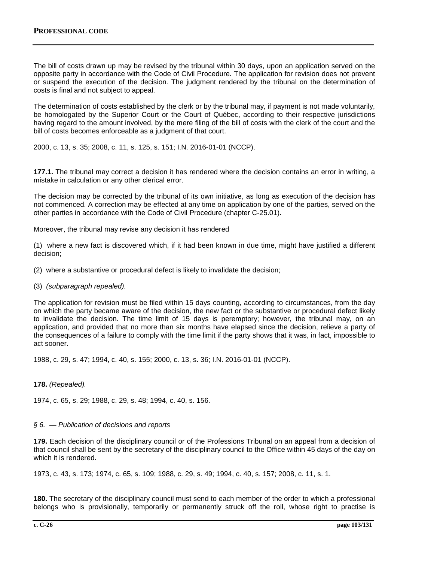The bill of costs drawn up may be revised by the tribunal within 30 days, upon an application served on the opposite party in accordance with the Code of Civil Procedure. The application for revision does not prevent or suspend the execution of the decision. The judgment rendered by the tribunal on the determination of costs is final and not subject to appeal.

The determination of costs established by the clerk or by the tribunal may, if payment is not made voluntarily, be homologated by the Superior Court or the Court of Québec, according to their respective jurisdictions having regard to the amount involved, by the mere filing of the bill of costs with the clerk of the court and the bill of costs becomes enforceable as a judgment of that court.

2000, c. 13, s. 35; 2008, c. 11, s. 125, s. 151; I.N. 2016-01-01 (NCCP).

**177.1.** The tribunal may correct a decision it has rendered where the decision contains an error in writing, a mistake in calculation or any other clerical error.

The decision may be corrected by the tribunal of its own initiative, as long as execution of the decision has not commenced. A correction may be effected at any time on application by one of the parties, served on the other parties in accordance with the Code of Civil Procedure (chapter C‐25.01).

Moreover, the tribunal may revise any decision it has rendered

(1) where a new fact is discovered which, if it had been known in due time, might have justified a different decision;

(2) where a substantive or procedural defect is likely to invalidate the decision;

(3) *(subparagraph repealed).*

The application for revision must be filed within 15 days counting, according to circumstances, from the day on which the party became aware of the decision, the new fact or the substantive or procedural defect likely to invalidate the decision. The time limit of 15 days is peremptory; however, the tribunal may, on an application, and provided that no more than six months have elapsed since the decision, relieve a party of the consequences of a failure to comply with the time limit if the party shows that it was, in fact, impossible to act sooner.

1988, c. 29, s. 47; 1994, c. 40, s. 155; 2000, c. 13, s. 36; I.N. 2016-01-01 (NCCP).

### **178.** *(Repealed).*

1974, c. 65, s. 29; 1988, c. 29, s. 48; 1994, c. 40, s. 156.

### *§ 6. — Publication of decisions and reports*

**179.** Each decision of the disciplinary council or of the Professions Tribunal on an appeal from a decision of that council shall be sent by the secretary of the disciplinary council to the Office within 45 days of the day on which it is rendered.

1973, c. 43, s. 173; 1974, c. 65, s. 109; 1988, c. 29, s. 49; 1994, c. 40, s. 157; 2008, c. 11, s. 1.

**180.** The secretary of the disciplinary council must send to each member of the order to which a professional belongs who is provisionally, temporarily or permanently struck off the roll, whose right to practise is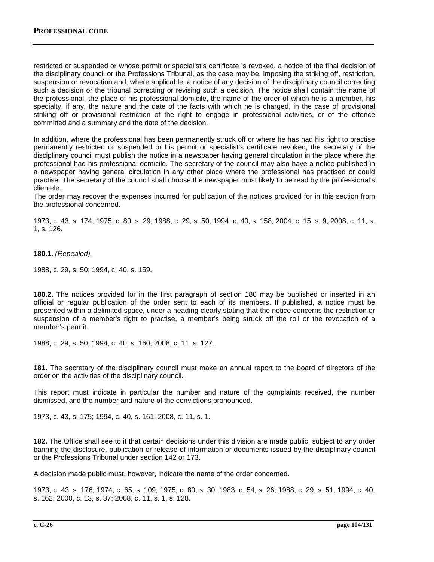restricted or suspended or whose permit or specialist's certificate is revoked, a notice of the final decision of the disciplinary council or the Professions Tribunal, as the case may be, imposing the striking off, restriction, suspension or revocation and, where applicable, a notice of any decision of the disciplinary council correcting such a decision or the tribunal correcting or revising such a decision. The notice shall contain the name of the professional, the place of his professional domicile, the name of the order of which he is a member, his specialty, if any, the nature and the date of the facts with which he is charged, in the case of provisional striking off or provisional restriction of the right to engage in professional activities, or of the offence committed and a summary and the date of the decision.

In addition, where the professional has been permanently struck off or where he has had his right to practise permanently restricted or suspended or his permit or specialist's certificate revoked, the secretary of the disciplinary council must publish the notice in a newspaper having general circulation in the place where the professional had his professional domicile. The secretary of the council may also have a notice published in a newspaper having general circulation in any other place where the professional has practised or could practise. The secretary of the council shall choose the newspaper most likely to be read by the professional's clientele.

The order may recover the expenses incurred for publication of the notices provided for in this section from the professional concerned.

1973, c. 43, s. 174; 1975, c. 80, s. 29; 1988, c. 29, s. 50; 1994, c. 40, s. 158; 2004, c. 15, s. 9; 2008, c. 11, s. 1, s. 126.

**180.1.** *(Repealed).*

1988, c. 29, s. 50; 1994, c. 40, s. 159.

**180.2.** The notices provided for in the first paragraph of section 180 may be published or inserted in an official or regular publication of the order sent to each of its members. If published, a notice must be presented within a delimited space, under a heading clearly stating that the notice concerns the restriction or suspension of a member's right to practise, a member's being struck off the roll or the revocation of a member's permit.

1988, c. 29, s. 50; 1994, c. 40, s. 160; 2008, c. 11, s. 127.

**181.** The secretary of the disciplinary council must make an annual report to the board of directors of the order on the activities of the disciplinary council.

This report must indicate in particular the number and nature of the complaints received, the number dismissed, and the number and nature of the convictions pronounced.

1973, c. 43, s. 175; 1994, c. 40, s. 161; 2008, c. 11, s. 1.

**182.** The Office shall see to it that certain decisions under this division are made public, subject to any order banning the disclosure, publication or release of information or documents issued by the disciplinary council or the Professions Tribunal under section 142 or 173.

A decision made public must, however, indicate the name of the order concerned.

1973, c. 43, s. 176; 1974, c. 65, s. 109; 1975, c. 80, s. 30; 1983, c. 54, s. 26; 1988, c. 29, s. 51; 1994, c. 40, s. 162; 2000, c. 13, s. 37; 2008, c. 11, s. 1, s. 128.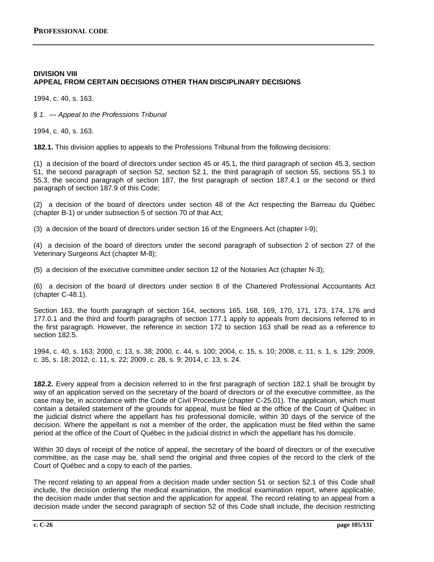# **DIVISION VIII APPEAL FROM CERTAIN DECISIONS OTHER THAN DISCIPLINARY DECISIONS**

1994, c. 40, s. 163.

*§ 1. — Appeal to the Professions Tribunal*

1994, c. 40, s. 163.

**182.1.** This division applies to appeals to the Professions Tribunal from the following decisions:

(1) a decision of the board of directors under section 45 or 45.1, the third paragraph of section 45.3, section 51, the second paragraph of section 52, section 52.1, the third paragraph of section 55, sections 55.1 to 55.3, the second paragraph of section 187, the first paragraph of section 187.4.1 or the second or third paragraph of section 187.9 of this Code;

(2) a decision of the board of directors under section 48 of the Act respecting the Barreau du Québec (chapter B-1) or under subsection 5 of section 70 of that Act;

(3) a decision of the board of directors under section 16 of the Engineers Act (chapter I-9);

(4) a decision of the board of directors under the second paragraph of subsection 2 of section 27 of the Veterinary Surgeons Act (chapter M-8);

(5) a decision of the executive committee under section 12 of the Notaries Act (chapter N-3);

(6) a decision of the board of directors under section 8 of the Chartered Professional Accountants Act (chapter C-48.1).

Section 163, the fourth paragraph of section 164, sections 165, 168, 169, 170, 171, 173, 174, 176 and 177.0.1 and the third and fourth paragraphs of section 177.1 apply to appeals from decisions referred to in the first paragraph. However, the reference in section 172 to section 163 shall be read as a reference to section 182.5.

1994, c. 40, s. 163; 2000, c. 13, s. 38; 2000, c. 44, s. 100; 2004, c. 15, s. 10; 2008, c. 11, s. 1, s. 129; 2009, c. 35, s. 18; 2012, c. 11, s. 22; 2009, c. 28, s. 9; 2014, c. 13, s. 24.

**182.2.** Every appeal from a decision referred to in the first paragraph of section 182.1 shall be brought by way of an application served on the secretary of the board of directors or of the executive committee, as the case may be, in accordance with the Code of Civil Procedure (chapter C-25.01). The application, which must contain a detailed statement of the grounds for appeal, must be filed at the office of the Court of Québec in the judicial district where the appellant has his professional domicile, within 30 days of the service of the decision. Where the appellant is not a member of the order, the application must be filed within the same period at the office of the Court of Québec in the judicial district in which the appellant has his domicile.

Within 30 days of receipt of the notice of appeal, the secretary of the board of directors or of the executive committee, as the case may be, shall send the original and three copies of the record to the clerk of the Court of Québec and a copy to each of the parties.

The record relating to an appeal from a decision made under section 51 or section 52.1 of this Code shall include, the decision ordering the medical examination, the medical examination report, where applicable, the decision made under that section and the application for appeal. The record relating to an appeal from a decision made under the second paragraph of section 52 of this Code shall include, the decision restricting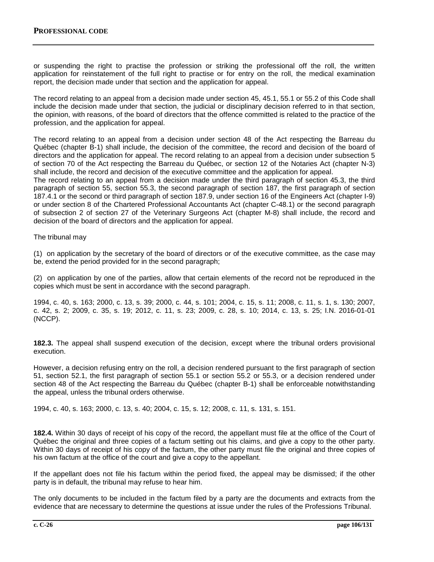or suspending the right to practise the profession or striking the professional off the roll, the written application for reinstatement of the full right to practise or for entry on the roll, the medical examination report, the decision made under that section and the application for appeal.

The record relating to an appeal from a decision made under section 45, 45.1, 55.1 or 55.2 of this Code shall include the decision made under that section, the judicial or disciplinary decision referred to in that section, the opinion, with reasons, of the board of directors that the offence committed is related to the practice of the profession, and the application for appeal.

The record relating to an appeal from a decision under section 48 of the Act respecting the Barreau du Québec (chapter B-1) shall include, the decision of the committee, the record and decision of the board of directors and the application for appeal. The record relating to an appeal from a decision under subsection 5 of section 70 of the Act respecting the Barreau du Québec, or section 12 of the Notaries Act (chapter N-3) shall include, the record and decision of the executive committee and the application for appeal.

The record relating to an appeal from a decision made under the third paragraph of section 45.3, the third paragraph of section 55, section 55.3, the second paragraph of section 187, the first paragraph of section 187.4.1 or the second or third paragraph of section 187.9, under section 16 of the Engineers Act (chapter I-9) or under section 8 of the Chartered Professional Accountants Act (chapter C-48.1) or the second paragraph of subsection 2 of section 27 of the Veterinary Surgeons Act (chapter M-8) shall include, the record and decision of the board of directors and the application for appeal.

The tribunal may

(1) on application by the secretary of the board of directors or of the executive committee, as the case may be, extend the period provided for in the second paragraph;

(2) on application by one of the parties, allow that certain elements of the record not be reproduced in the copies which must be sent in accordance with the second paragraph.

1994, c. 40, s. 163; 2000, c. 13, s. 39; 2000, c. 44, s. 101; 2004, c. 15, s. 11; 2008, c. 11, s. 1, s. 130; 2007, c. 42, s. 2; 2009, c. 35, s. 19; 2012, c. 11, s. 23; 2009, c. 28, s. 10; 2014, c. 13, s. 25; I.N. 2016-01-01 (NCCP).

**182.3.** The appeal shall suspend execution of the decision, except where the tribunal orders provisional execution.

However, a decision refusing entry on the roll, a decision rendered pursuant to the first paragraph of section 51, section 52.1, the first paragraph of section 55.1 or section 55.2 or 55.3, or a decision rendered under section 48 of the Act respecting the Barreau du Québec (chapter B-1) shall be enforceable notwithstanding the appeal, unless the tribunal orders otherwise.

1994, c. 40, s. 163; 2000, c. 13, s. 40; 2004, c. 15, s. 12; 2008, c. 11, s. 131, s. 151.

**182.4.** Within 30 days of receipt of his copy of the record, the appellant must file at the office of the Court of Québec the original and three copies of a factum setting out his claims, and give a copy to the other party. Within 30 days of receipt of his copy of the factum, the other party must file the original and three copies of his own factum at the office of the court and give a copy to the appellant.

If the appellant does not file his factum within the period fixed, the appeal may be dismissed; if the other party is in default, the tribunal may refuse to hear him.

The only documents to be included in the factum filed by a party are the documents and extracts from the evidence that are necessary to determine the questions at issue under the rules of the Professions Tribunal.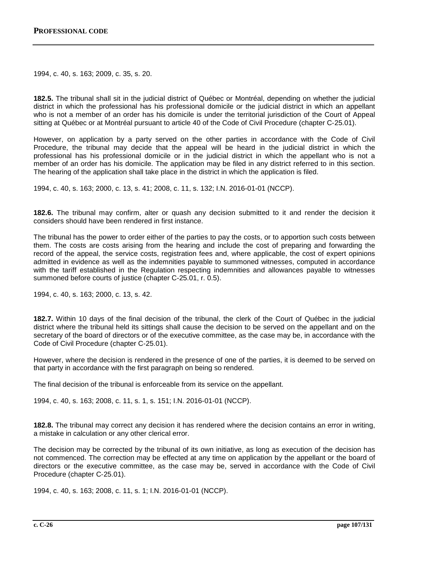1994, c. 40, s. 163; 2009, c. 35, s. 20.

**182.5.** The tribunal shall sit in the judicial district of Québec or Montréal, depending on whether the judicial district in which the professional has his professional domicile or the judicial district in which an appellant who is not a member of an order has his domicile is under the territorial jurisdiction of the Court of Appeal sitting at Québec or at Montréal pursuant to article 40 of the Code of Civil Procedure (chapter C‐25.01).

However, on application by a party served on the other parties in accordance with the Code of Civil Procedure, the tribunal may decide that the appeal will be heard in the judicial district in which the professional has his professional domicile or in the judicial district in which the appellant who is not a member of an order has his domicile. The application may be filed in any district referred to in this section. The hearing of the application shall take place in the district in which the application is filed.

1994, c. 40, s. 163; 2000, c. 13, s. 41; 2008, c. 11, s. 132; I.N. 2016-01-01 (NCCP).

**182.6.** The tribunal may confirm, alter or quash any decision submitted to it and render the decision it considers should have been rendered in first instance.

The tribunal has the power to order either of the parties to pay the costs, or to apportion such costs between them. The costs are costs arising from the hearing and include the cost of preparing and forwarding the record of the appeal, the service costs, registration fees and, where applicable, the cost of expert opinions admitted in evidence as well as the indemnities payable to summoned witnesses, computed in accordance with the tariff established in the Regulation respecting indemnities and allowances payable to witnesses summoned before courts of justice (chapter C-25.01, r. 0.5).

1994, c. 40, s. 163; 2000, c. 13, s. 42.

**182.7.** Within 10 days of the final decision of the tribunal, the clerk of the Court of Québec in the judicial district where the tribunal held its sittings shall cause the decision to be served on the appellant and on the secretary of the board of directors or of the executive committee, as the case may be, in accordance with the Code of Civil Procedure (chapter C‐25.01).

However, where the decision is rendered in the presence of one of the parties, it is deemed to be served on that party in accordance with the first paragraph on being so rendered.

The final decision of the tribunal is enforceable from its service on the appellant.

1994, c. 40, s. 163; 2008, c. 11, s. 1, s. 151; I.N. 2016-01-01 (NCCP).

**182.8.** The tribunal may correct any decision it has rendered where the decision contains an error in writing, a mistake in calculation or any other clerical error.

The decision may be corrected by the tribunal of its own initiative, as long as execution of the decision has not commenced. The correction may be effected at any time on application by the appellant or the board of directors or the executive committee, as the case may be, served in accordance with the Code of Civil Procedure (chapter C‐25.01).

1994, c. 40, s. 163; 2008, c. 11, s. 1; I.N. 2016-01-01 (NCCP).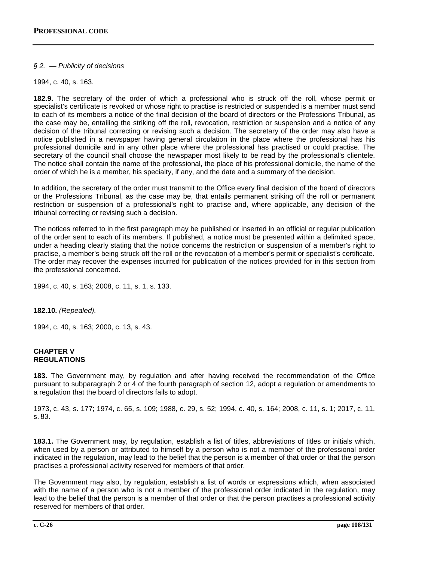## *§ 2. — Publicity of decisions*

1994, c. 40, s. 163.

**182.9.** The secretary of the order of which a professional who is struck off the roll, whose permit or specialist's certificate is revoked or whose right to practise is restricted or suspended is a member must send to each of its members a notice of the final decision of the board of directors or the Professions Tribunal, as the case may be, entailing the striking off the roll, revocation, restriction or suspension and a notice of any decision of the tribunal correcting or revising such a decision. The secretary of the order may also have a notice published in a newspaper having general circulation in the place where the professional has his professional domicile and in any other place where the professional has practised or could practise. The secretary of the council shall choose the newspaper most likely to be read by the professional's clientele. The notice shall contain the name of the professional, the place of his professional domicile, the name of the order of which he is a member, his specialty, if any, and the date and a summary of the decision.

In addition, the secretary of the order must transmit to the Office every final decision of the board of directors or the Professions Tribunal, as the case may be, that entails permanent striking off the roll or permanent restriction or suspension of a professional's right to practise and, where applicable, any decision of the tribunal correcting or revising such a decision.

The notices referred to in the first paragraph may be published or inserted in an official or regular publication of the order sent to each of its members. If published, a notice must be presented within a delimited space, under a heading clearly stating that the notice concerns the restriction or suspension of a member's right to practise, a member's being struck off the roll or the revocation of a member's permit or specialist's certificate. The order may recover the expenses incurred for publication of the notices provided for in this section from the professional concerned.

1994, c. 40, s. 163; 2008, c. 11, s. 1, s. 133.

**182.10.** *(Repealed).*

1994, c. 40, s. 163; 2000, c. 13, s. 43.

#### **CHAPTER V REGULATIONS**

**183.** The Government may, by regulation and after having received the recommendation of the Office pursuant to subparagraph 2 or 4 of the fourth paragraph of section 12, adopt a regulation or amendments to a regulation that the board of directors fails to adopt.

1973, c. 43, s. 177; 1974, c. 65, s. 109; 1988, c. 29, s. 52; 1994, c. 40, s. 164; 2008, c. 11, s. 1; 2017, c. 11, s. 83.

**183.1.** The Government may, by regulation, establish a list of titles, abbreviations of titles or initials which, when used by a person or attributed to himself by a person who is not a member of the professional order indicated in the regulation, may lead to the belief that the person is a member of that order or that the person practises a professional activity reserved for members of that order.

The Government may also, by regulation, establish a list of words or expressions which, when associated with the name of a person who is not a member of the professional order indicated in the regulation, may lead to the belief that the person is a member of that order or that the person practises a professional activity reserved for members of that order.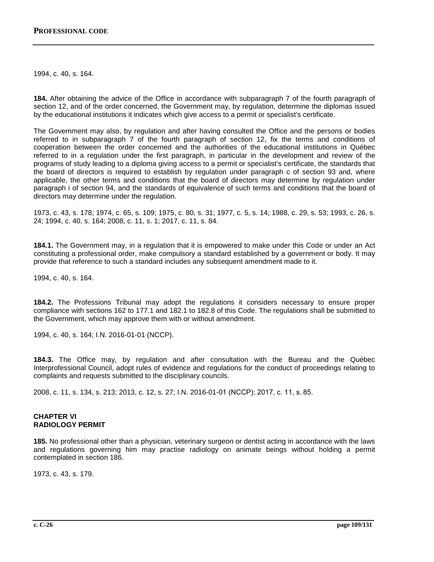1994, c. 40, s. 164.

**184.** After obtaining the advice of the Office in accordance with subparagraph 7 of the fourth paragraph of section 12, and of the order concerned, the Government may, by regulation, determine the diplomas issued by the educational institutions it indicates which give access to a permit or specialist's certificate.

The Government may also, by regulation and after having consulted the Office and the persons or bodies referred to in subparagraph 7 of the fourth paragraph of section 12, fix the terms and conditions of cooperation between the order concerned and the authorities of the educational institutions in Québec referred to in a regulation under the first paragraph, in particular in the development and review of the programs of study leading to a diploma giving access to a permit or specialist's certificate, the standards that the board of directors is required to establish by regulation under paragraph c of section 93 and, where applicable, the other terms and conditions that the board of directors may determine by regulation under paragraph i of section 94, and the standards of equivalence of such terms and conditions that the board of directors may determine under the regulation.

1973, c. 43, s. 178; 1974, c. 65, s. 109; 1975, c. 80, s. 31; 1977, c. 5, s. 14; 1988, c. 29, s. 53; 1993, c. 26, s. 24; 1994, c. 40, s. 164; 2008, c. 11, s. 1; 2017, c. 11, s. 84.

**184.1.** The Government may, in a regulation that it is empowered to make under this Code or under an Act constituting a professional order, make compulsory a standard established by a government or body. It may provide that reference to such a standard includes any subsequent amendment made to it.

1994, c. 40, s. 164.

**184.2.** The Professions Tribunal may adopt the regulations it considers necessary to ensure proper compliance with sections 162 to 177.1 and 182.1 to 182.8 of this Code. The regulations shall be submitted to the Government, which may approve them with or without amendment.

1994, c. 40, s. 164; I.N. 2016-01-01 (NCCP).

**184.3.** The Office may, by regulation and after consultation with the Bureau and the Québec Interprofessional Council, adopt rules of evidence and regulations for the conduct of proceedings relating to complaints and requests submitted to the disciplinary councils.

2008, c. 11, s. 134, s. 213; 2013, c. 12, s. 27; I.N. 2016-01-01 (NCCP); 2017, c. 11, s. 85.

## **CHAPTER VI RADIOLOGY PERMIT**

**185.** No professional other than a physician, veterinary surgeon or dentist acting in accordance with the laws and regulations governing him may practise radiology on animate beings without holding a permit contemplated in section 186.

1973, c. 43, s. 179.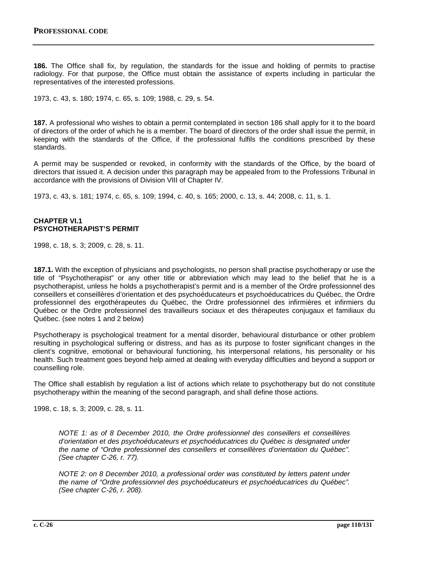**186.** The Office shall fix, by regulation, the standards for the issue and holding of permits to practise radiology. For that purpose, the Office must obtain the assistance of experts including in particular the representatives of the interested professions.

1973, c. 43, s. 180; 1974, c. 65, s. 109; 1988, c. 29, s. 54.

**187.** A professional who wishes to obtain a permit contemplated in section 186 shall apply for it to the board of directors of the order of which he is a member. The board of directors of the order shall issue the permit, in keeping with the standards of the Office, if the professional fulfils the conditions prescribed by these standards.

A permit may be suspended or revoked, in conformity with the standards of the Office, by the board of directors that issued it. A decision under this paragraph may be appealed from to the Professions Tribunal in accordance with the provisions of Division VIII of Chapter IV.

1973, c. 43, s. 181; 1974, c. 65, s. 109; 1994, c. 40, s. 165; 2000, c. 13, s. 44; 2008, c. 11, s. 1.

#### **CHAPTER VI.1 PSYCHOTHERAPIST'S PERMIT**

1998, c. 18, s. 3; 2009, c. 28, s. 11.

**187.1.** With the exception of physicians and psychologists, no person shall practise psychotherapy or use the title of "Psychotherapist" or any other title or abbreviation which may lead to the belief that he is a psychotherapist, unless he holds a psychotherapist's permit and is a member of the Ordre professionnel des conseillers et conseillères d'orientation et des psychoéducateurs et psychoéducatrices du Québec, the Ordre professionnel des ergothérapeutes du Québec, the Ordre professionnel des infirmières et infirmiers du Québec or the Ordre professionnel des travailleurs sociaux et des thérapeutes conjugaux et familiaux du Québec. (see notes 1 and 2 below)

Psychotherapy is psychological treatment for a mental disorder, behavioural disturbance or other problem resulting in psychological suffering or distress, and has as its purpose to foster significant changes in the client's cognitive, emotional or behavioural functioning, his interpersonal relations, his personality or his health. Such treatment goes beyond help aimed at dealing with everyday difficulties and beyond a support or counselling role.

The Office shall establish by regulation a list of actions which relate to psychotherapy but do not constitute psychotherapy within the meaning of the second paragraph, and shall define those actions.

1998, c. 18, s. 3; 2009, c. 28, s. 11.

*NOTE 1: as of 8 December 2010, the Ordre professionnel des conseillers et conseillères d'orientation et des psychoéducateurs et psychoéducatrices du Québec is designated under the name of "Ordre professionnel des conseillers et conseillères d'orientation du Québec". (See chapter C-26, r. 77).*

*NOTE 2: on 8 December 2010, a professional order was constituted by letters patent under the name of "Ordre professionnel des psychoéducateurs et psychoéducatrices du Québec". (See chapter C-26, r. 208).*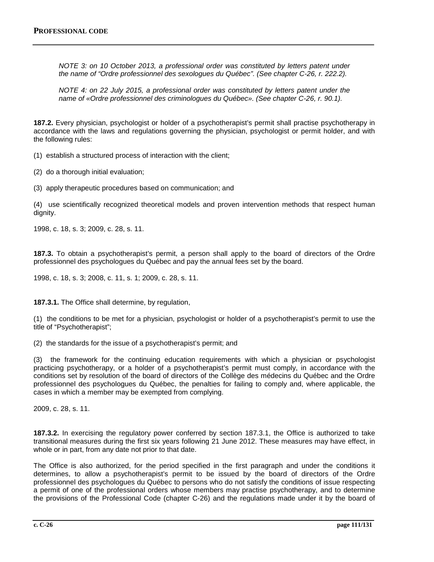*NOTE 3: on 10 October 2013, a professional order was constituted by letters patent under the name of "Ordre professionnel des sexologues du Québec". (See chapter C-26, r. 222.2).*

*NOTE 4: on 22 July 2015, a professional order was constituted by letters patent under the name of «Ordre professionnel des criminologues du Québec». (See chapter C-26, r. 90.1).*

**187.2.** Every physician, psychologist or holder of a psychotherapist's permit shall practise psychotherapy in accordance with the laws and regulations governing the physician, psychologist or permit holder, and with the following rules:

(1) establish a structured process of interaction with the client;

(2) do a thorough initial evaluation;

(3) apply therapeutic procedures based on communication; and

(4) use scientifically recognized theoretical models and proven intervention methods that respect human dignity.

1998, c. 18, s. 3; 2009, c. 28, s. 11.

**187.3.** To obtain a psychotherapist's permit, a person shall apply to the board of directors of the Ordre professionnel des psychologues du Québec and pay the annual fees set by the board.

1998, c. 18, s. 3; 2008, c. 11, s. 1; 2009, c. 28, s. 11.

**187.3.1.** The Office shall determine, by regulation,

(1) the conditions to be met for a physician, psychologist or holder of a psychotherapist's permit to use the title of "Psychotherapist";

(2) the standards for the issue of a psychotherapist's permit; and

(3) the framework for the continuing education requirements with which a physician or psychologist practicing psychotherapy, or a holder of a psychotherapist's permit must comply, in accordance with the conditions set by resolution of the board of directors of the Collège des médecins du Québec and the Ordre professionnel des psychologues du Québec, the penalties for failing to comply and, where applicable, the cases in which a member may be exempted from complying.

2009, c. 28, s. 11.

**187.3.2.** In exercising the regulatory power conferred by section 187.3.1, the Office is authorized to take transitional measures during the first six years following 21 June 2012. These measures may have effect, in whole or in part, from any date not prior to that date.

The Office is also authorized, for the period specified in the first paragraph and under the conditions it determines, to allow a psychotherapist's permit to be issued by the board of directors of the Ordre professionnel des psychologues du Québec to persons who do not satisfy the conditions of issue respecting a permit of one of the professional orders whose members may practise psychotherapy, and to determine the provisions of the Professional Code (chapter C-26) and the regulations made under it by the board of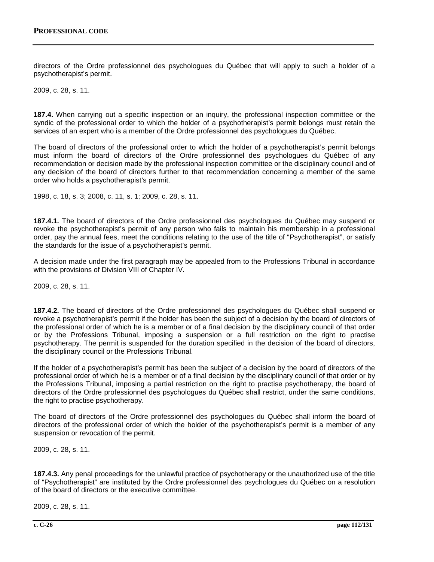directors of the Ordre professionnel des psychologues du Québec that will apply to such a holder of a psychotherapist's permit.

2009, c. 28, s. 11.

**187.4.** When carrying out a specific inspection or an inquiry, the professional inspection committee or the syndic of the professional order to which the holder of a psychotherapist's permit belongs must retain the services of an expert who is a member of the Ordre professionnel des psychologues du Québec.

The board of directors of the professional order to which the holder of a psychotherapist's permit belongs must inform the board of directors of the Ordre professionnel des psychologues du Québec of any recommendation or decision made by the professional inspection committee or the disciplinary council and of any decision of the board of directors further to that recommendation concerning a member of the same order who holds a psychotherapist's permit.

1998, c. 18, s. 3; 2008, c. 11, s. 1; 2009, c. 28, s. 11.

**187.4.1.** The board of directors of the Ordre professionnel des psychologues du Québec may suspend or revoke the psychotherapist's permit of any person who fails to maintain his membership in a professional order, pay the annual fees, meet the conditions relating to the use of the title of "Psychotherapist", or satisfy the standards for the issue of a psychotherapist's permit.

A decision made under the first paragraph may be appealed from to the Professions Tribunal in accordance with the provisions of Division VIII of Chapter IV.

2009, c. 28, s. 11.

**187.4.2.** The board of directors of the Ordre professionnel des psychologues du Québec shall suspend or revoke a psychotherapist's permit if the holder has been the subject of a decision by the board of directors of the professional order of which he is a member or of a final decision by the disciplinary council of that order or by the Professions Tribunal, imposing a suspension or a full restriction on the right to practise psychotherapy. The permit is suspended for the duration specified in the decision of the board of directors, the disciplinary council or the Professions Tribunal.

If the holder of a psychotherapist's permit has been the subject of a decision by the board of directors of the professional order of which he is a member or of a final decision by the disciplinary council of that order or by the Professions Tribunal, imposing a partial restriction on the right to practise psychotherapy, the board of directors of the Ordre professionnel des psychologues du Québec shall restrict, under the same conditions, the right to practise psychotherapy.

The board of directors of the Ordre professionnel des psychologues du Québec shall inform the board of directors of the professional order of which the holder of the psychotherapist's permit is a member of any suspension or revocation of the permit.

2009, c. 28, s. 11.

**187.4.3.** Any penal proceedings for the unlawful practice of psychotherapy or the unauthorized use of the title of "Psychotherapist" are instituted by the Ordre professionnel des psychologues du Québec on a resolution of the board of directors or the executive committee.

2009, c. 28, s. 11.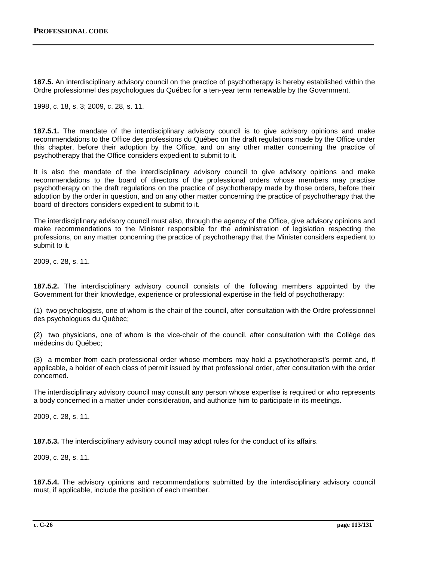**187.5.** An interdisciplinary advisory council on the practice of psychotherapy is hereby established within the Ordre professionnel des psychologues du Québec for a ten-year term renewable by the Government.

1998, c. 18, s. 3; 2009, c. 28, s. 11.

**187.5.1.** The mandate of the interdisciplinary advisory council is to give advisory opinions and make recommendations to the Office des professions du Québec on the draft regulations made by the Office under this chapter, before their adoption by the Office, and on any other matter concerning the practice of psychotherapy that the Office considers expedient to submit to it.

It is also the mandate of the interdisciplinary advisory council to give advisory opinions and make recommendations to the board of directors of the professional orders whose members may practise psychotherapy on the draft regulations on the practice of psychotherapy made by those orders, before their adoption by the order in question, and on any other matter concerning the practice of psychotherapy that the board of directors considers expedient to submit to it.

The interdisciplinary advisory council must also, through the agency of the Office, give advisory opinions and make recommendations to the Minister responsible for the administration of legislation respecting the professions, on any matter concerning the practice of psychotherapy that the Minister considers expedient to submit to it.

2009, c. 28, s. 11.

**187.5.2.** The interdisciplinary advisory council consists of the following members appointed by the Government for their knowledge, experience or professional expertise in the field of psychotherapy:

(1) two psychologists, one of whom is the chair of the council, after consultation with the Ordre professionnel des psychologues du Québec;

(2) two physicians, one of whom is the vice-chair of the council, after consultation with the Collège des médecins du Québec;

(3) a member from each professional order whose members may hold a psychotherapist's permit and, if applicable, a holder of each class of permit issued by that professional order, after consultation with the order concerned.

The interdisciplinary advisory council may consult any person whose expertise is required or who represents a body concerned in a matter under consideration, and authorize him to participate in its meetings.

2009, c. 28, s. 11.

**187.5.3.** The interdisciplinary advisory council may adopt rules for the conduct of its affairs.

2009, c. 28, s. 11.

**187.5.4.** The advisory opinions and recommendations submitted by the interdisciplinary advisory council must, if applicable, include the position of each member.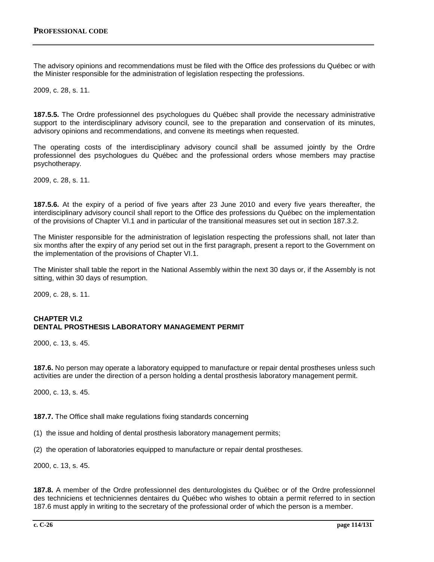The advisory opinions and recommendations must be filed with the Office des professions du Québec or with the Minister responsible for the administration of legislation respecting the professions.

2009, c. 28, s. 11.

**187.5.5.** The Ordre professionnel des psychologues du Québec shall provide the necessary administrative support to the interdisciplinary advisory council, see to the preparation and conservation of its minutes, advisory opinions and recommendations, and convene its meetings when requested.

The operating costs of the interdisciplinary advisory council shall be assumed jointly by the Ordre professionnel des psychologues du Québec and the professional orders whose members may practise psychotherapy.

2009, c. 28, s. 11.

**187.5.6.** At the expiry of a period of five years after 23 June 2010 and every five years thereafter, the interdisciplinary advisory council shall report to the Office des professions du Québec on the implementation of the provisions of Chapter VI.1 and in particular of the transitional measures set out in section 187.3.2.

The Minister responsible for the administration of legislation respecting the professions shall, not later than six months after the expiry of any period set out in the first paragraph, present a report to the Government on the implementation of the provisions of Chapter VI.1.

The Minister shall table the report in the National Assembly within the next 30 days or, if the Assembly is not sitting, within 30 days of resumption.

2009, c. 28, s. 11.

### **CHAPTER VI.2 DENTAL PROSTHESIS LABORATORY MANAGEMENT PERMIT**

2000, c. 13, s. 45.

**187.6.** No person may operate a laboratory equipped to manufacture or repair dental prostheses unless such activities are under the direction of a person holding a dental prosthesis laboratory management permit.

2000, c. 13, s. 45.

**187.7.** The Office shall make regulations fixing standards concerning

(1) the issue and holding of dental prosthesis laboratory management permits;

(2) the operation of laboratories equipped to manufacture or repair dental prostheses.

2000, c. 13, s. 45.

**187.8.** A member of the Ordre professionnel des denturologistes du Québec or of the Ordre professionnel des techniciens et techniciennes dentaires du Québec who wishes to obtain a permit referred to in section 187.6 must apply in writing to the secretary of the professional order of which the person is a member.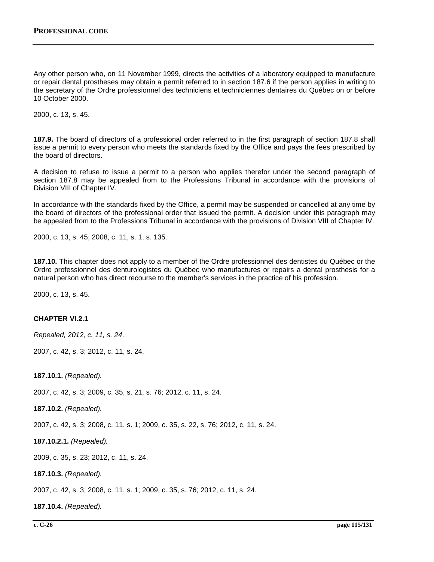Any other person who, on 11 November 1999, directs the activities of a laboratory equipped to manufacture or repair dental prostheses may obtain a permit referred to in section 187.6 if the person applies in writing to the secretary of the Ordre professionnel des techniciens et techniciennes dentaires du Québec on or before 10 October 2000.

2000, c. 13, s. 45.

**187.9.** The board of directors of a professional order referred to in the first paragraph of section 187.8 shall issue a permit to every person who meets the standards fixed by the Office and pays the fees prescribed by the board of directors.

A decision to refuse to issue a permit to a person who applies therefor under the second paragraph of section 187.8 may be appealed from to the Professions Tribunal in accordance with the provisions of Division VIII of Chapter IV.

In accordance with the standards fixed by the Office, a permit may be suspended or cancelled at any time by the board of directors of the professional order that issued the permit. A decision under this paragraph may be appealed from to the Professions Tribunal in accordance with the provisions of Division VIII of Chapter IV.

2000, c. 13, s. 45; 2008, c. 11, s. 1, s. 135.

**187.10.** This chapter does not apply to a member of the Ordre professionnel des dentistes du Québec or the Ordre professionnel des denturologistes du Québec who manufactures or repairs a dental prosthesis for a natural person who has direct recourse to the member's services in the practice of his profession.

2000, c. 13, s. 45.

### **CHAPTER VI.2.1**

*Repealed, 2012, c. 11, s. 24*.

2007, c. 42, s. 3; 2012, c. 11, s. 24.

**187.10.1.** *(Repealed).*

2007, c. 42, s. 3; 2009, c. 35, s. 21, s. 76; 2012, c. 11, s. 24.

**187.10.2.** *(Repealed).*

2007, c. 42, s. 3; 2008, c. 11, s. 1; 2009, c. 35, s. 22, s. 76; 2012, c. 11, s. 24.

**187.10.2.1.** *(Repealed).*

2009, c. 35, s. 23; 2012, c. 11, s. 24.

**187.10.3.** *(Repealed).*

2007, c. 42, s. 3; 2008, c. 11, s. 1; 2009, c. 35, s. 76; 2012, c. 11, s. 24.

**187.10.4.** *(Repealed).*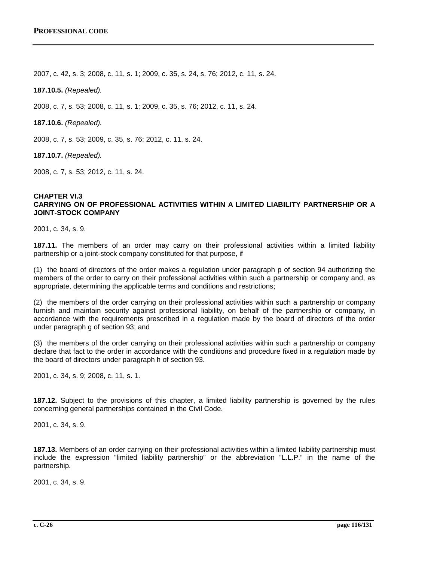2007, c. 42, s. 3; 2008, c. 11, s. 1; 2009, c. 35, s. 24, s. 76; 2012, c. 11, s. 24.

**187.10.5.** *(Repealed).*

2008, c. 7, s. 53; 2008, c. 11, s. 1; 2009, c. 35, s. 76; 2012, c. 11, s. 24.

**187.10.6.** *(Repealed).*

2008, c. 7, s. 53; 2009, c. 35, s. 76; 2012, c. 11, s. 24.

**187.10.7.** *(Repealed).*

2008, c. 7, s. 53; 2012, c. 11, s. 24.

#### **CHAPTER VI.3 CARRYING ON OF PROFESSIONAL ACTIVITIES WITHIN A LIMITED LIABILITY PARTNERSHIP OR A JOINT-STOCK COMPANY**

2001, c. 34, s. 9.

**187.11.** The members of an order may carry on their professional activities within a limited liability partnership or a joint-stock company constituted for that purpose, if

(1) the board of directors of the order makes a regulation under paragraph p of section 94 authorizing the members of the order to carry on their professional activities within such a partnership or company and, as appropriate, determining the applicable terms and conditions and restrictions;

(2) the members of the order carrying on their professional activities within such a partnership or company furnish and maintain security against professional liability, on behalf of the partnership or company, in accordance with the requirements prescribed in a regulation made by the board of directors of the order under paragraph g of section 93; and

(3) the members of the order carrying on their professional activities within such a partnership or company declare that fact to the order in accordance with the conditions and procedure fixed in a regulation made by the board of directors under paragraph h of section 93.

2001, c. 34, s. 9; 2008, c. 11, s. 1.

**187.12.** Subject to the provisions of this chapter, a limited liability partnership is governed by the rules concerning general partnerships contained in the Civil Code.

2001, c. 34, s. 9.

**187.13.** Members of an order carrying on their professional activities within a limited liability partnership must include the expression "limited liability partnership" or the abbreviation "L.L.P." in the name of the partnership.

2001, c. 34, s. 9.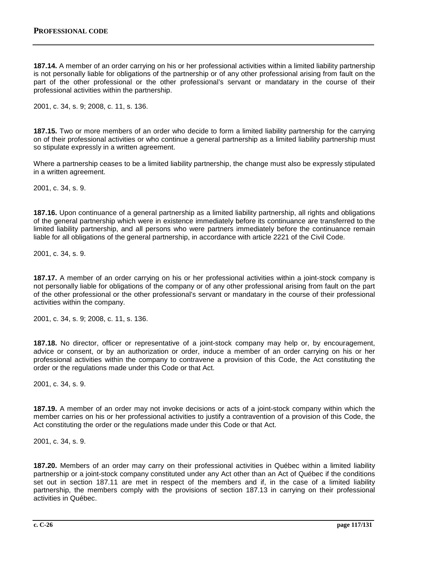**187.14.** A member of an order carrying on his or her professional activities within a limited liability partnership is not personally liable for obligations of the partnership or of any other professional arising from fault on the part of the other professional or the other professional's servant or mandatary in the course of their professional activities within the partnership.

2001, c. 34, s. 9; 2008, c. 11, s. 136.

**187.15.** Two or more members of an order who decide to form a limited liability partnership for the carrying on of their professional activities or who continue a general partnership as a limited liability partnership must so stipulate expressly in a written agreement.

Where a partnership ceases to be a limited liability partnership, the change must also be expressly stipulated in a written agreement.

2001, c. 34, s. 9.

**187.16.** Upon continuance of a general partnership as a limited liability partnership, all rights and obligations of the general partnership which were in existence immediately before its continuance are transferred to the limited liability partnership, and all persons who were partners immediately before the continuance remain liable for all obligations of the general partnership, in accordance with article 2221 of the Civil Code.

2001, c. 34, s. 9.

**187.17.** A member of an order carrying on his or her professional activities within a joint-stock company is not personally liable for obligations of the company or of any other professional arising from fault on the part of the other professional or the other professional's servant or mandatary in the course of their professional activities within the company.

2001, c. 34, s. 9; 2008, c. 11, s. 136.

**187.18.** No director, officer or representative of a joint-stock company may help or, by encouragement, advice or consent, or by an authorization or order, induce a member of an order carrying on his or her professional activities within the company to contravene a provision of this Code, the Act constituting the order or the regulations made under this Code or that Act.

2001, c. 34, s. 9.

**187.19.** A member of an order may not invoke decisions or acts of a joint-stock company within which the member carries on his or her professional activities to justify a contravention of a provision of this Code, the Act constituting the order or the regulations made under this Code or that Act.

2001, c. 34, s. 9.

**187.20.** Members of an order may carry on their professional activities in Québec within a limited liability partnership or a joint-stock company constituted under any Act other than an Act of Québec if the conditions set out in section 187.11 are met in respect of the members and if, in the case of a limited liability partnership, the members comply with the provisions of section 187.13 in carrying on their professional activities in Québec.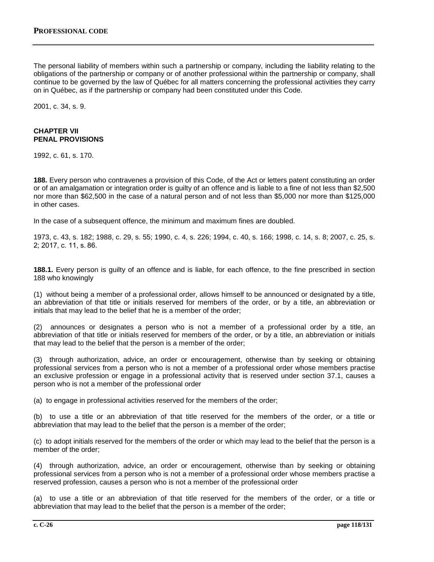The personal liability of members within such a partnership or company, including the liability relating to the obligations of the partnership or company or of another professional within the partnership or company, shall continue to be governed by the law of Québec for all matters concerning the professional activities they carry on in Québec, as if the partnership or company had been constituted under this Code.

2001, c. 34, s. 9.

## **CHAPTER VII PENAL PROVISIONS**

1992, c. 61, s. 170.

**188.** Every person who contravenes a provision of this Code, of the Act or letters patent constituting an order or of an amalgamation or integration order is guilty of an offence and is liable to a fine of not less than \$2,500 nor more than \$62,500 in the case of a natural person and of not less than \$5,000 nor more than \$125,000 in other cases.

In the case of a subsequent offence, the minimum and maximum fines are doubled.

1973, c. 43, s. 182; 1988, c. 29, s. 55; 1990, c. 4, s. 226; 1994, c. 40, s. 166; 1998, c. 14, s. 8; 2007, c. 25, s. 2; 2017, c. 11, s. 86.

**188.1.** Every person is guilty of an offence and is liable, for each offence, to the fine prescribed in section 188 who knowingly

(1) without being a member of a professional order, allows himself to be announced or designated by a title, an abbreviation of that title or initials reserved for members of the order, or by a title, an abbreviation or initials that may lead to the belief that he is a member of the order;

(2) announces or designates a person who is not a member of a professional order by a title, an abbreviation of that title or initials reserved for members of the order, or by a title, an abbreviation or initials that may lead to the belief that the person is a member of the order;

(3) through authorization, advice, an order or encouragement, otherwise than by seeking or obtaining professional services from a person who is not a member of a professional order whose members practise an exclusive profession or engage in a professional activity that is reserved under section 37.1, causes a person who is not a member of the professional order

(a) to engage in professional activities reserved for the members of the order;

(b) to use a title or an abbreviation of that title reserved for the members of the order, or a title or abbreviation that may lead to the belief that the person is a member of the order;

(c) to adopt initials reserved for the members of the order or which may lead to the belief that the person is a member of the order;

(4) through authorization, advice, an order or encouragement, otherwise than by seeking or obtaining professional services from a person who is not a member of a professional order whose members practise a reserved profession, causes a person who is not a member of the professional order

(a) to use a title or an abbreviation of that title reserved for the members of the order, or a title or abbreviation that may lead to the belief that the person is a member of the order;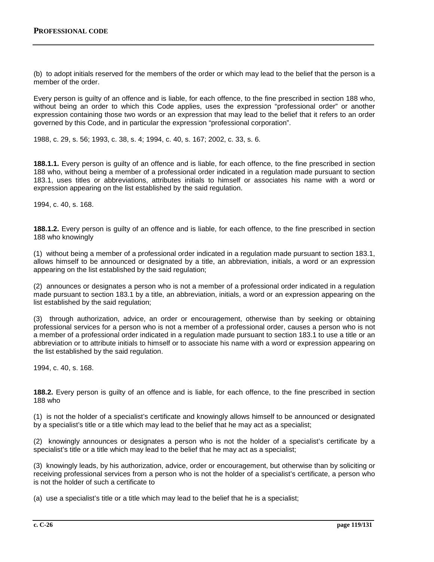(b) to adopt initials reserved for the members of the order or which may lead to the belief that the person is a member of the order.

Every person is guilty of an offence and is liable, for each offence, to the fine prescribed in section 188 who, without being an order to which this Code applies, uses the expression "professional order" or another expression containing those two words or an expression that may lead to the belief that it refers to an order governed by this Code, and in particular the expression "professional corporation".

1988, c. 29, s. 56; 1993, c. 38, s. 4; 1994, c. 40, s. 167; 2002, c. 33, s. 6.

**188.1.1.** Every person is guilty of an offence and is liable, for each offence, to the fine prescribed in section 188 who, without being a member of a professional order indicated in a regulation made pursuant to section 183.1, uses titles or abbreviations, attributes initials to himself or associates his name with a word or expression appearing on the list established by the said regulation.

1994, c. 40, s. 168.

**188.1.2.** Every person is guilty of an offence and is liable, for each offence, to the fine prescribed in section 188 who knowingly

(1) without being a member of a professional order indicated in a regulation made pursuant to section 183.1, allows himself to be announced or designated by a title, an abbreviation, initials, a word or an expression appearing on the list established by the said regulation;

(2) announces or designates a person who is not a member of a professional order indicated in a regulation made pursuant to section 183.1 by a title, an abbreviation, initials, a word or an expression appearing on the list established by the said regulation;

(3) through authorization, advice, an order or encouragement, otherwise than by seeking or obtaining professional services for a person who is not a member of a professional order, causes a person who is not a member of a professional order indicated in a regulation made pursuant to section 183.1 to use a title or an abbreviation or to attribute initials to himself or to associate his name with a word or expression appearing on the list established by the said regulation.

1994, c. 40, s. 168.

**188.2.** Every person is guilty of an offence and is liable, for each offence, to the fine prescribed in section 188 who

(1) is not the holder of a specialist's certificate and knowingly allows himself to be announced or designated by a specialist's title or a title which may lead to the belief that he may act as a specialist;

(2) knowingly announces or designates a person who is not the holder of a specialist's certificate by a specialist's title or a title which may lead to the belief that he may act as a specialist;

(3) knowingly leads, by his authorization, advice, order or encouragement, but otherwise than by soliciting or receiving professional services from a person who is not the holder of a specialist's certificate, a person who is not the holder of such a certificate to

(a) use a specialist's title or a title which may lead to the belief that he is a specialist;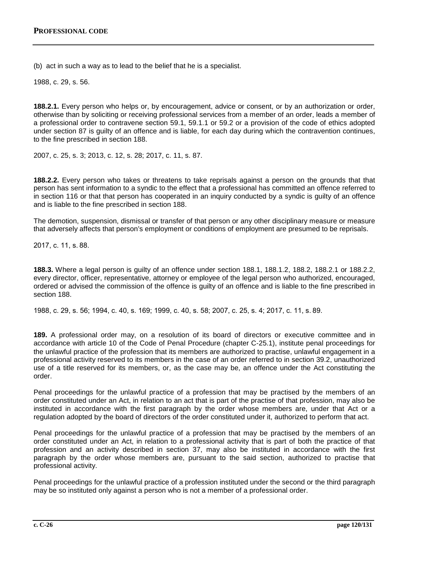(b) act in such a way as to lead to the belief that he is a specialist.

1988, c. 29, s. 56.

**188.2.1.** Every person who helps or, by encouragement, advice or consent, or by an authorization or order, otherwise than by soliciting or receiving professional services from a member of an order, leads a member of a professional order to contravene section 59.1, 59.1.1 or 59.2 or a provision of the code of ethics adopted under section 87 is guilty of an offence and is liable, for each day during which the contravention continues, to the fine prescribed in section 188.

2007, c. 25, s. 3; 2013, c. 12, s. 28; 2017, c. 11, s. 87.

**188.2.2.** Every person who takes or threatens to take reprisals against a person on the grounds that that person has sent information to a syndic to the effect that a professional has committed an offence referred to in section 116 or that that person has cooperated in an inquiry conducted by a syndic is guilty of an offence and is liable to the fine prescribed in section 188.

The demotion, suspension, dismissal or transfer of that person or any other disciplinary measure or measure that adversely affects that person's employment or conditions of employment are presumed to be reprisals.

2017, c. 11, s. 88.

**188.3.** Where a legal person is guilty of an offence under section 188.1, 188.1.2, 188.2, 188.2.1 or 188.2.2, every director, officer, representative, attorney or employee of the legal person who authorized, encouraged, ordered or advised the commission of the offence is guilty of an offence and is liable to the fine prescribed in section 188.

1988, c. 29, s. 56; 1994, c. 40, s. 169; 1999, c. 40, s. 58; 2007, c. 25, s. 4; 2017, c. 11, s. 89.

**189.** A professional order may, on a resolution of its board of directors or executive committee and in accordance with article 10 of the Code of Penal Procedure (chapter C‐25.1), institute penal proceedings for the unlawful practice of the profession that its members are authorized to practise, unlawful engagement in a professional activity reserved to its members in the case of an order referred to in section 39.2, unauthorized use of a title reserved for its members, or, as the case may be, an offence under the Act constituting the order.

Penal proceedings for the unlawful practice of a profession that may be practised by the members of an order constituted under an Act, in relation to an act that is part of the practise of that profession, may also be instituted in accordance with the first paragraph by the order whose members are, under that Act or a regulation adopted by the board of directors of the order constituted under it, authorized to perform that act.

Penal proceedings for the unlawful practice of a profession that may be practised by the members of an order constituted under an Act, in relation to a professional activity that is part of both the practice of that profession and an activity described in section 37, may also be instituted in accordance with the first paragraph by the order whose members are, pursuant to the said section, authorized to practise that professional activity.

Penal proceedings for the unlawful practice of a profession instituted under the second or the third paragraph may be so instituted only against a person who is not a member of a professional order.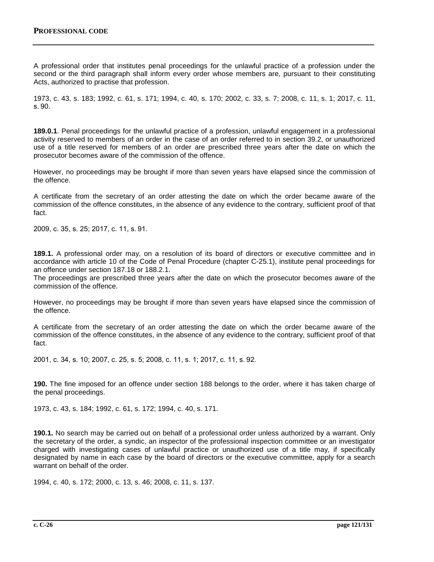A professional order that institutes penal proceedings for the unlawful practice of a profession under the second or the third paragraph shall inform every order whose members are, pursuant to their constituting Acts, authorized to practise that profession.

1973, c. 43, s. 183; 1992, c. 61, s. 171; 1994, c. 40, s. 170; 2002, c. 33, s. 7; 2008, c. 11, s. 1; 2017, c. 11, s. 90.

**189.0.1**. Penal proceedings for the unlawful practice of a profession, unlawful engagement in a professional activity reserved to members of an order in the case of an order referred to in section 39.2, or unauthorized use of a title reserved for members of an order are prescribed three years after the date on which the prosecutor becomes aware of the commission of the offence.

However, no proceedings may be brought if more than seven years have elapsed since the commission of the offence.

A certificate from the secretary of an order attesting the date on which the order became aware of the commission of the offence constitutes, in the absence of any evidence to the contrary, sufficient proof of that fact.

2009, c. 35, s. 25; 2017, c. 11, s. 91.

**189.1.** A professional order may, on a resolution of its board of directors or executive committee and in accordance with article 10 of the Code of Penal Procedure (chapter C-25.1), institute penal proceedings for an offence under section 187.18 or 188.2.1.

The proceedings are prescribed three years after the date on which the prosecutor becomes aware of the commission of the offence.

However, no proceedings may be brought if more than seven years have elapsed since the commission of the offence.

A certificate from the secretary of an order attesting the date on which the order became aware of the commission of the offence constitutes, in the absence of any evidence to the contrary, sufficient proof of that fact.

2001, c. 34, s. 10; 2007, c. 25, s. 5; 2008, c. 11, s. 1; 2017, c. 11, s. 92.

**190.** The fine imposed for an offence under section 188 belongs to the order, where it has taken charge of the penal proceedings.

1973, c. 43, s. 184; 1992, c. 61, s. 172; 1994, c. 40, s. 171.

**190.1.** No search may be carried out on behalf of a professional order unless authorized by a warrant. Only the secretary of the order, a syndic, an inspector of the professional inspection committee or an investigator charged with investigating cases of unlawful practice or unauthorized use of a title may, if specifically designated by name in each case by the board of directors or the executive committee, apply for a search warrant on behalf of the order.

1994, c. 40, s. 172; 2000, c. 13, s. 46; 2008, c. 11, s. 137.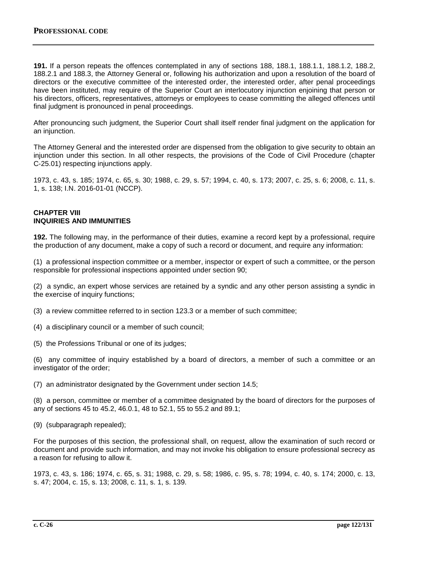**191.** If a person repeats the offences contemplated in any of sections 188, 188.1, 188.1.1, 188.1.2, 188.2, 188.2.1 and 188.3, the Attorney General or, following his authorization and upon a resolution of the board of directors or the executive committee of the interested order, the interested order, after penal proceedings have been instituted, may require of the Superior Court an interlocutory injunction enjoining that person or his directors, officers, representatives, attorneys or employees to cease committing the alleged offences until final judgment is pronounced in penal proceedings.

After pronouncing such judgment, the Superior Court shall itself render final judgment on the application for an injunction.

The Attorney General and the interested order are dispensed from the obligation to give security to obtain an injunction under this section. In all other respects, the provisions of the Code of Civil Procedure (chapter C‐25.01) respecting injunctions apply.

1973, c. 43, s. 185; 1974, c. 65, s. 30; 1988, c. 29, s. 57; 1994, c. 40, s. 173; 2007, c. 25, s. 6; 2008, c. 11, s. 1, s. 138; I.N. 2016-01-01 (NCCP).

#### **CHAPTER VIII INQUIRIES AND IMMUNITIES**

**192.** The following may, in the performance of their duties, examine a record kept by a professional, require the production of any document, make a copy of such a record or document, and require any information:

(1) a professional inspection committee or a member, inspector or expert of such a committee, or the person responsible for professional inspections appointed under section 90;

(2) a syndic, an expert whose services are retained by a syndic and any other person assisting a syndic in the exercise of inquiry functions;

(3) a review committee referred to in section 123.3 or a member of such committee;

(4) a disciplinary council or a member of such council;

(5) the Professions Tribunal or one of its judges;

(6) any committee of inquiry established by a board of directors, a member of such a committee or an investigator of the order;

(7) an administrator designated by the Government under section 14.5;

(8) a person, committee or member of a committee designated by the board of directors for the purposes of any of sections 45 to 45.2, 46.0.1, 48 to 52.1, 55 to 55.2 and 89.1;

(9) (subparagraph repealed);

For the purposes of this section, the professional shall, on request, allow the examination of such record or document and provide such information, and may not invoke his obligation to ensure professional secrecy as a reason for refusing to allow it.

1973, c. 43, s. 186; 1974, c. 65, s. 31; 1988, c. 29, s. 58; 1986, c. 95, s. 78; 1994, c. 40, s. 174; 2000, c. 13, s. 47; 2004, c. 15, s. 13; 2008, c. 11, s. 1, s. 139.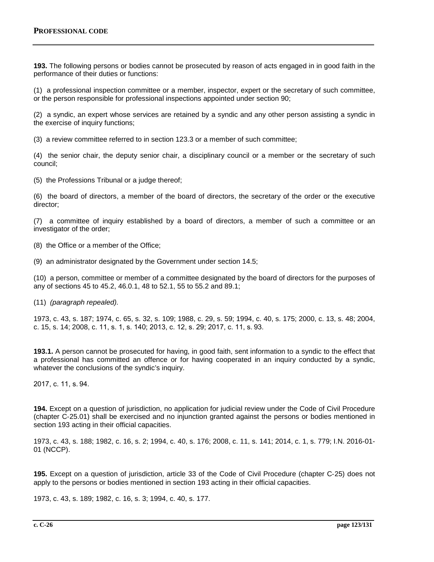**193.** The following persons or bodies cannot be prosecuted by reason of acts engaged in in good faith in the performance of their duties or functions:

(1) a professional inspection committee or a member, inspector, expert or the secretary of such committee, or the person responsible for professional inspections appointed under section 90;

(2) a syndic, an expert whose services are retained by a syndic and any other person assisting a syndic in the exercise of inquiry functions;

(3) a review committee referred to in section 123.3 or a member of such committee;

(4) the senior chair, the deputy senior chair, a disciplinary council or a member or the secretary of such council;

(5) the Professions Tribunal or a judge thereof;

(6) the board of directors, a member of the board of directors, the secretary of the order or the executive director;

(7) a committee of inquiry established by a board of directors, a member of such a committee or an investigator of the order;

(8) the Office or a member of the Office;

(9) an administrator designated by the Government under section 14.5;

(10) a person, committee or member of a committee designated by the board of directors for the purposes of any of sections 45 to 45.2, 46.0.1, 48 to 52.1, 55 to 55.2 and 89.1;

(11) *(paragraph repealed).*

1973, c. 43, s. 187; 1974, c. 65, s. 32, s. 109; 1988, c. 29, s. 59; 1994, c. 40, s. 175; 2000, c. 13, s. 48; 2004, c. 15, s. 14; 2008, c. 11, s. 1, s. 140; 2013, c. 12, s. 29; 2017, c. 11, s. 93.

**193.1.** A person cannot be prosecuted for having, in good faith, sent information to a syndic to the effect that a professional has committed an offence or for having cooperated in an inquiry conducted by a syndic, whatever the conclusions of the syndic's inquiry.

2017, c. 11, s. 94.

**194.** Except on a question of jurisdiction, no application for judicial review under the Code of Civil Procedure (chapter C‐25.01) shall be exercised and no injunction granted against the persons or bodies mentioned in section 193 acting in their official capacities.

1973, c. 43, s. 188; 1982, c. 16, s. 2; 1994, c. 40, s. 176; 2008, c. 11, s. 141; 2014, c. 1, s. 779; I.N. 2016-01- 01 (NCCP).

**195.** Except on a question of jurisdiction, article 33 of the Code of Civil Procedure (chapter C‐25) does not apply to the persons or bodies mentioned in section 193 acting in their official capacities.

1973, c. 43, s. 189; 1982, c. 16, s. 3; 1994, c. 40, s. 177.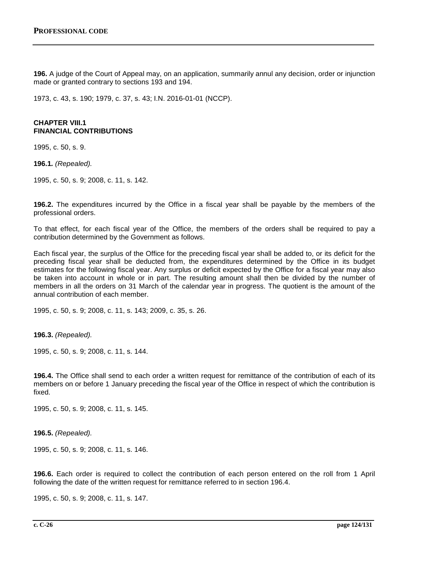**196.** A judge of the Court of Appeal may, on an application, summarily annul any decision, order or injunction made or granted contrary to sections 193 and 194.

1973, c. 43, s. 190; 1979, c. 37, s. 43; I.N. 2016-01-01 (NCCP).

### **CHAPTER VIII.1 FINANCIAL CONTRIBUTIONS**

1995, c. 50, s. 9.

**196.1***. (Repealed).*

1995, c. 50, s. 9; 2008, c. 11, s. 142.

**196.2.** The expenditures incurred by the Office in a fiscal year shall be payable by the members of the professional orders.

To that effect, for each fiscal year of the Office, the members of the orders shall be required to pay a contribution determined by the Government as follows.

Each fiscal year, the surplus of the Office for the preceding fiscal year shall be added to, or its deficit for the preceding fiscal year shall be deducted from, the expenditures determined by the Office in its budget estimates for the following fiscal year. Any surplus or deficit expected by the Office for a fiscal year may also be taken into account in whole or in part. The resulting amount shall then be divided by the number of members in all the orders on 31 March of the calendar year in progress. The quotient is the amount of the annual contribution of each member.

1995, c. 50, s. 9; 2008, c. 11, s. 143; 2009, c. 35, s. 26.

**196.3.** *(Repealed).*

1995, c. 50, s. 9; 2008, c. 11, s. 144.

**196.4.** The Office shall send to each order a written request for remittance of the contribution of each of its members on or before 1 January preceding the fiscal year of the Office in respect of which the contribution is fixed.

1995, c. 50, s. 9; 2008, c. 11, s. 145.

**196.5.** *(Repealed).*

1995, c. 50, s. 9; 2008, c. 11, s. 146.

**196.6.** Each order is required to collect the contribution of each person entered on the roll from 1 April following the date of the written request for remittance referred to in section 196.4.

1995, c. 50, s. 9; 2008, c. 11, s. 147.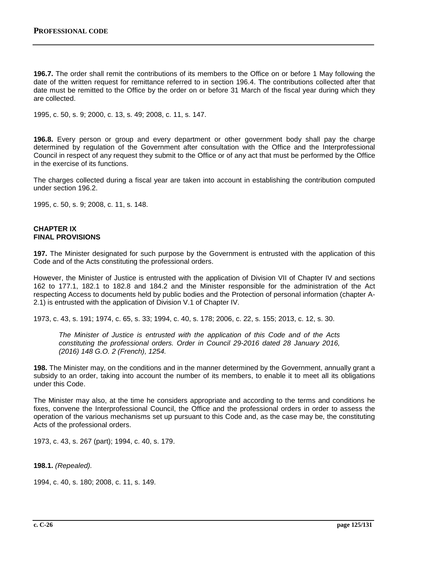**196.7.** The order shall remit the contributions of its members to the Office on or before 1 May following the date of the written request for remittance referred to in section 196.4. The contributions collected after that date must be remitted to the Office by the order on or before 31 March of the fiscal year during which they are collected.

1995, c. 50, s. 9; 2000, c. 13, s. 49; 2008, c. 11, s. 147.

**196.8.** Every person or group and every department or other government body shall pay the charge determined by regulation of the Government after consultation with the Office and the Interprofessional Council in respect of any request they submit to the Office or of any act that must be performed by the Office in the exercise of its functions.

The charges collected during a fiscal year are taken into account in establishing the contribution computed under section 196.2.

1995, c. 50, s. 9; 2008, c. 11, s. 148.

### **CHAPTER IX FINAL PROVISIONS**

**197.** The Minister designated for such purpose by the Government is entrusted with the application of this Code and of the Acts constituting the professional orders.

However, the Minister of Justice is entrusted with the application of Division VII of Chapter IV and sections 162 to 177.1, 182.1 to 182.8 and 184.2 and the Minister responsible for the administration of the Act respecting Access to documents held by public bodies and the Protection of personal information (chapter A-2.1) is entrusted with the application of Division V.1 of Chapter IV.

1973, c. 43, s. 191; 1974, c. 65, s. 33; 1994, c. 40, s. 178; 2006, c. 22, s. 155; 2013, c. 12, s. 30.

*The Minister of Justice is entrusted with the application of this Code and of the Acts constituting the professional orders. Order in Council 29-2016 dated 28 January 2016, (2016) 148 G.O. 2 (French), 1254.*

**198.** The Minister may, on the conditions and in the manner determined by the Government, annually grant a subsidy to an order, taking into account the number of its members, to enable it to meet all its obligations under this Code.

The Minister may also, at the time he considers appropriate and according to the terms and conditions he fixes, convene the Interprofessional Council, the Office and the professional orders in order to assess the operation of the various mechanisms set up pursuant to this Code and, as the case may be, the constituting Acts of the professional orders.

1973, c. 43, s. 267 (part); 1994, c. 40, s. 179.

**198.1.** *(Repealed).*

1994, c. 40, s. 180; 2008, c. 11, s. 149.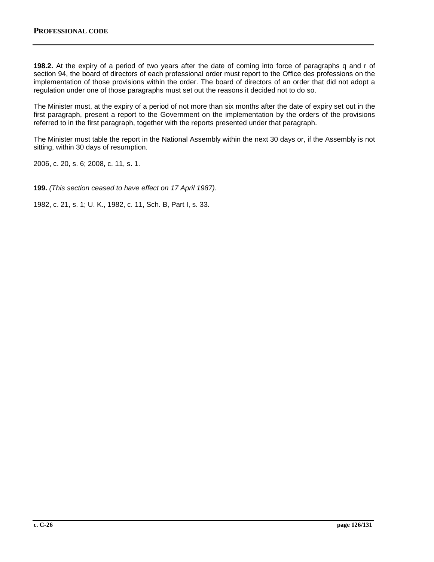**198.2.** At the expiry of a period of two years after the date of coming into force of paragraphs q and r of section 94, the board of directors of each professional order must report to the Office des professions on the implementation of those provisions within the order. The board of directors of an order that did not adopt a regulation under one of those paragraphs must set out the reasons it decided not to do so.

The Minister must, at the expiry of a period of not more than six months after the date of expiry set out in the first paragraph, present a report to the Government on the implementation by the orders of the provisions referred to in the first paragraph, together with the reports presented under that paragraph.

The Minister must table the report in the National Assembly within the next 30 days or, if the Assembly is not sitting, within 30 days of resumption.

2006, c. 20, s. 6; 2008, c. 11, s. 1.

**199.** *(This section ceased to have effect on 17 April 1987).*

1982, c. 21, s. 1; U. K., 1982, c. 11, Sch. B, Part I, s. 33.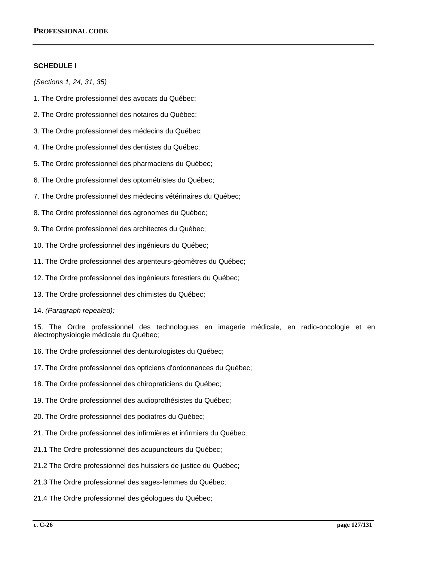# **SCHEDULE I**

*(Sections 1, 24, 31, 35)*

- 1. The Ordre professionnel des avocats du Québec;
- 2. The Ordre professionnel des notaires du Québec;
- 3. The Ordre professionnel des médecins du Québec;
- 4. The Ordre professionnel des dentistes du Québec;
- 5. The Ordre professionnel des pharmaciens du Québec;
- 6. The Ordre professionnel des optométristes du Québec;
- 7. The Ordre professionnel des médecins vétérinaires du Québec;
- 8. The Ordre professionnel des agronomes du Québec;
- 9. The Ordre professionnel des architectes du Québec;
- 10. The Ordre professionnel des ingénieurs du Québec;
- 11. The Ordre professionnel des arpenteurs-géomètres du Québec;
- 12. The Ordre professionnel des ingénieurs forestiers du Québec;
- 13. The Ordre professionnel des chimistes du Québec;
- 14. *(Paragraph repealed);*

15. The Ordre professionnel des technologues en imagerie médicale, en radio-oncologie et en électrophysiologie médicale du Québec;

- 16. The Ordre professionnel des denturologistes du Québec;
- 17. The Ordre professionnel des opticiens d'ordonnances du Québec;
- 18. The Ordre professionnel des chiropraticiens du Québec;
- 19. The Ordre professionnel des audioprothésistes du Québec;
- 20. The Ordre professionnel des podiatres du Québec;
- 21. The Ordre professionnel des infirmières et infirmiers du Québec;
- 21.1 The Ordre professionnel des acupuncteurs du Québec;
- 21.2 The Ordre professionnel des huissiers de justice du Québec;
- 21.3 The Ordre professionnel des sages-femmes du Québec;
- 21.4 The Ordre professionnel des géologues du Québec;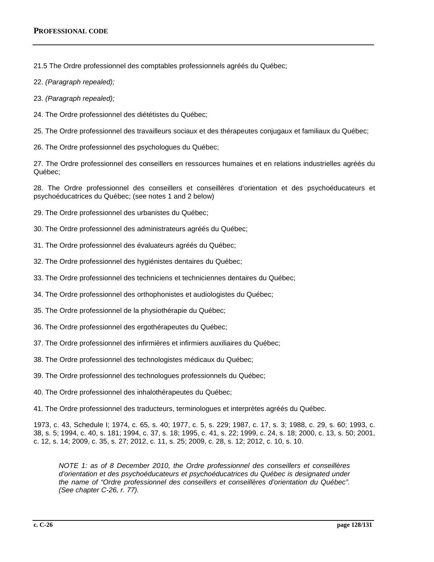21.5 The Ordre professionnel des comptables professionnels agréés du Québec;

- 22. *(Paragraph repealed);*
- 23. *(Paragraph repealed);*
- 24. The Ordre professionnel des diététistes du Québec;

25. The Ordre professionnel des travailleurs sociaux et des thérapeutes conjugaux et familiaux du Québec;

26. The Ordre professionnel des psychologues du Québec;

27. The Ordre professionnel des conseillers en ressources humaines et en relations industrielles agréés du Québec;

28. The Ordre professionnel des conseillers et conseillères d'orientation et des psychoéducateurs et psychoéducatrices du Québec; (see notes 1 and 2 below)

- 29. The Ordre professionnel des urbanistes du Québec;
- 30. The Ordre professionnel des administrateurs agréés du Québec;
- 31. The Ordre professionnel des évaluateurs agréés du Québec;
- 32. The Ordre professionnel des hygiénistes dentaires du Québec;
- 33. The Ordre professionnel des techniciens et techniciennes dentaires du Québec;
- 34. The Ordre professionnel des orthophonistes et audiologistes du Québec;
- 35. The Ordre professionnel de la physiothérapie du Québec;
- 36. The Ordre professionnel des ergothérapeutes du Québec;
- 37. The Ordre professionnel des infirmières et infirmiers auxiliaires du Québec;
- 38. The Ordre professionnel des technologistes médicaux du Québec;
- 39. The Ordre professionnel des technologues professionnels du Québec;
- 40. The Ordre professionnel des inhalothérapeutes du Québec;
- 41. The Ordre professionnel des traducteurs, terminologues et interprètes agréés du Québec.

1973, c. 43, Schedule I; 1974, c. 65, s. 40; 1977, c. 5, s. 229; 1987, c. 17, s. 3; 1988, c. 29, s. 60; 1993, c. 38, s. 5; 1994, c. 40, s. 181; 1994, c. 37, s. 18; 1995, c. 41, s. 22; 1999, c. 24, s. 18; 2000, c. 13, s. 50; 2001, c. 12, s. 14; 2009, c. 35, s. 27; 2012, c. 11, s. 25; 2009, c. 28, s. 12; 2012, c. 10, s. 10.

*NOTE 1: as of 8 December 2010, the Ordre professionnel des conseillers et conseillères d'orientation et des psychoéducateurs et psychoéducatrices du Québec is designated under the name of "Ordre professionnel des conseillers et conseillères d'orientation du Québec". (See chapter C-26, r. 77).*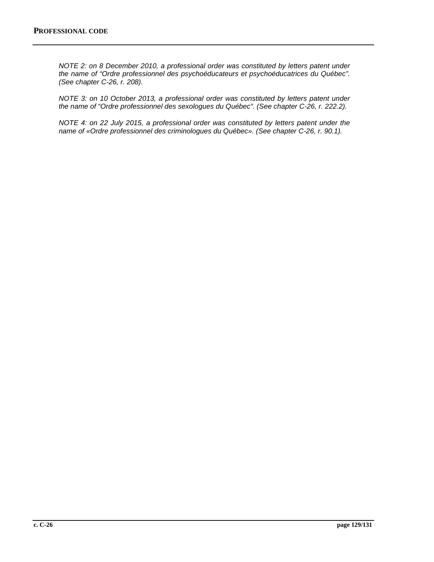*NOTE 2: on 8 December 2010, a professional order was constituted by letters patent under the name of "Ordre professionnel des psychoéducateurs et psychoéducatrices du Québec". (See chapter C-26, r. 208).*

*NOTE 3: on 10 October 2013, a professional order was constituted by letters patent under the name of "Ordre professionnel des sexologues du Québec". (See chapter C-26, r. 222.2).*

*NOTE 4: on 22 July 2015, a professional order was constituted by letters patent under the name of «Ordre professionnel des criminologues du Québec». (See chapter C-26, r. 90.1).*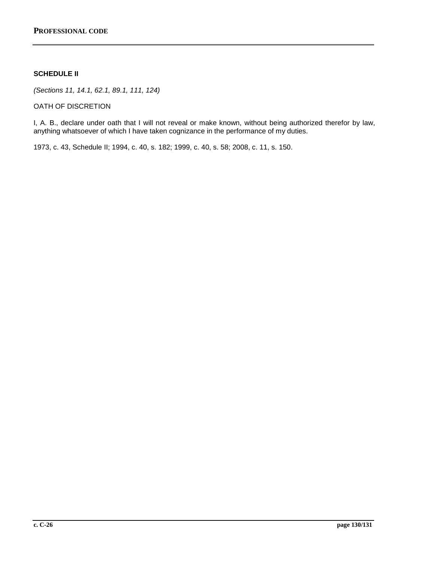# **SCHEDULE II**

*(Sections 11, 14.1, 62.1, 89.1, 111, 124)*

OATH OF DISCRETION

I, A. B., declare under oath that I will not reveal or make known, without being authorized therefor by law, anything whatsoever of which I have taken cognizance in the performance of my duties.

1973, c. 43, Schedule II; 1994, c. 40, s. 182; 1999, c. 40, s. 58; 2008, c. 11, s. 150.